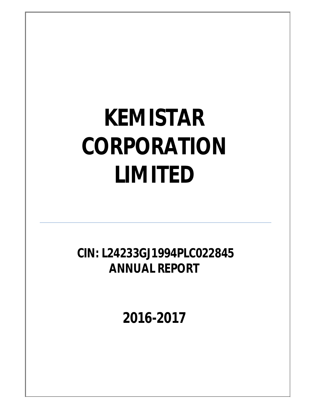**CIN: L24233GJ1994PLC022845 ANNUAL REPORT**

**2016-2017**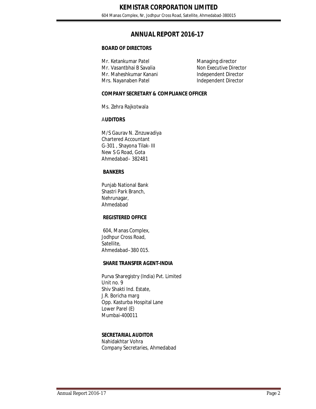# **ANNUAL REPORT 2016-17**

#### **BOARD OF DIRECTORS**

Mr. Ketankumar Patel Managing director Mr. Vasantbhai B Savalia Non Executive Director Mr. Maheshkumar Kanani **Independent Director** Mrs. Nayanaben Patel **Independent Director** 

### **COMPANY SECRETARY & COMPLIANCE OFFICER**

Ms. Zehra Rajkotwala

### A**UDITORS**

M/S Gaurav N. Zinzuwadiya Chartered Accountant G-301 , Shayona Tilak- III New S G Road, Gota Ahmedabad– 382481

### **BANKERS**

Punjab National Bank Shastri Park Branch, Nehrunagar, Ahmedabad

### **REGISTERED OFFICE**

604, Manas Complex, Jodhpur Cross Road, Satellite, Ahmedabad–380 015.

#### **SHARE TRANSFER AGENT-INDIA**

Purva Sharegistry (India) Pvt. Limited Unit no. 9 Shiv Shakti Ind. Estate, J.R. Boricha marg Opp. Kasturba Hospital Lane Lower Parel (E) Mumbai-400011

### **SECRETARIAL AUDITOR**

Nahidakhtar Vohra Company Secretaries, Ahmedabad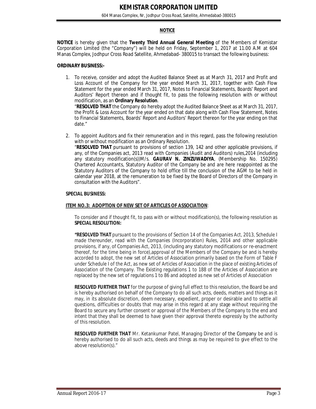#### **NOTICE**

**NOTICE** is hereby given that the **Twenty Third Annual General Meeting** of the Members of Kemistar Corporation Limited (the "Company") will be held on Friday, September 1, 2017 at 11.00 A.M at 604 Manas Complex, Jodhpur Cross Road Satellite, Ahmedabad- 380015 to transact the following business:

#### **ORDINARY BUSINESS:-**

1. To receive, consider and adopt the Audited Balance Sheet as at March 31, 2017 and Profit and Loss Account of the Company for the year ended March 31, 2017, together with Cash Flow Statement for the year ended March 31, 2017, Notes to Financial Statements, Boards' Report and Auditors' Report thereon and if thought fit, to pass the following resolution with or without modification, as an **Ordinary Resolution**.

"**RESOLVED THAT** the Company do hereby adopt the Audited Balance Sheet as at March 31, 2017, the Profit & Loss Account for the year ended on that date along with Cash Flow Statement, Notes to Financial Statements, Boards' Report and Auditors' Report thereon for the year ending on that date."

2. To appoint Auditors and fix their remuneration and in this regard, pass the following resolution with or without modification as an Ordinary Resolution.

"**RESOLVED THAT** pursuant to provisions of section 139, 142 and other applicable provisions, if any, of the Companies act, 2013 read with Companies (Audit and Auditors) rules,2014 (including any statutory modification(s))M/s. **GAURAV N. ZINZUWADIYA**, (Membership No. 150295) Chartered Accountants, Statutory Auditor of the Company be and are here reappointed as the Statutory Auditors of the Company to hold office till the conclusion of the AGM to be held in calendar year 2018, at the remuneration to be fixed by the Board of Directors of the Company in consultation with the Auditors".

#### **SPECIAL BUSINESS:**

#### **ITEM NO.3: ADOPTION OF NEW SET OF ARTICLES OF ASSOCIATION**:

To consider and if thought fit, to pass with or without modification(s), the following resolution as **SPECIAL RESOLUTION:**

**"RESOLVED THAT** pursuant to the provisions of Section 14 of the Companies Act, 2013, Schedule I made thereunder, read with the Companies (Incorporation) Rules, 2014 and other applicable provisions, if any, of Companies Act, 2013, (including any statutory modifications or re-enactment thereof, for the time being in force),approval of the Members of the Company be and is hereby accorded to adopt, the new set of Articles of Association primarily based on the Form of Table F under Schedule I of the Act, as new set of Articles of Association in the place of existing Articles of Association of the Company. The Existing regulations 1 to 188 of the Articles of Association are replaced by the new set of regulations 1 to 86 and adopted as new set of Articles of Association

**RESOLVED FURTHER THAT** for the purpose of giving full effect to this resolution, the Board be and is hereby authorised on behalf of the Company to do all such acts, deeds, matters and things as it may, in its absolute discretion, deem necessary, expedient, proper or desirable and to settle all questions, difficulties or doubts that may arise in this regard at any stage without requiring the Board to secure any further consent or approval of the Members of the Company to the end and intent that they shall be deemed to have given their approval thereto expressly by the authority of this resolution.

**RESOLVED FURTHER THAT** Mr. Ketankumar Patel, Managing Director of the Company be and is hereby authorised to do all such acts, deeds and things as may be required to give effect to the above resolution(s)."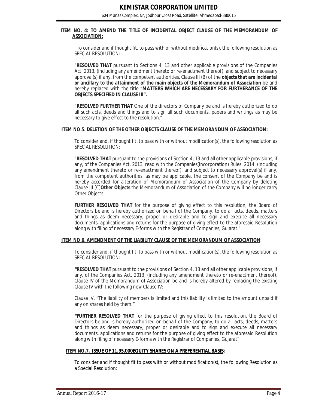#### **ITEM NO. 4: TO AMEND THE TITLE OF INCIDENTAL OBJECT CLAUSE OF THE MEMORANDUM OF ASSOCIATION:**

 To consider and if thought fit, to pass with or without modification(s), the following resolution as SPECIAL RESOLUTION:

"**RESOLVED THAT** pursuant to Sections 4, 13 and other applicable provisions of the Companies Act, 2013, (including any amendment thereto or re-enactment thereof), and subject to necessary approval(s) if any, from the competent authorities, Clause III (B) of the *objects that are incidental or ancillary to the attainment of the main objects of the Memorandum of Association* be and hereby replaced with the title "**MATTERS WHICH ARE NECESSARY FOR FURTHERANCE OF THE OBJECTS SPECIFIED IN CLAUSE III".**

**"RESOLVED FURTHER THAT** One of the directors of Company be and is hereby authorized to do all such acts, deeds and things and to sign all such documents, papers and writings as may be necessary to give effect to the resolution."

#### **ITEM NO.5. DELETION OF THE OTHER OBJECTS CLAUSE OF THE MEMORANDUM OF ASSOCIATION:**

To consider and, if thought fit, to pass with or without modification(s), the following resolution as SPECIAL RESOLUTION:

"**RESOLVED THAT** pursuant to the provisions of Section 4, 13 and all other applicable provisions, if any, of the Companies Act, 2013, read with the Companies(Incorporation) Rules, 2014, (including any amendment thereto or re-enactment thereof), and subject to necessary approval(s) if any, from the competent authorities, as may be applicable, the consent of the Company be and is hereby accorded for alteration of Memorandum of Association of the Company by deleting Clause III [C]**Other Objects** the Memorandum of Association of the Company will no longer carry Other Objects

**FURTHER RESOLVED THAT** for the purpose of giving effect to this resolution, the Board of Directors be and is hereby authorized on behalf of the Company, to do all acts, deeds, matters and things as deem necessary, proper or desirable and to sign and execute all necessary documents, applications and returns for the purpose of giving effect to the aforesaid Resolution along with filing of necessary E-forms with the Registrar of Companies, Gujarat."

#### **ITEM NO.6. AMENDMENT OF THE LIABILITY CLAUSE OF THE MEMORANDUM OF ASSOCIATION**:

To consider and, if thought fit, to pass with or without modification(s), the following resolution as SPECIAL RESOLUTION:

**"RESOLVED THAT** pursuant to the provisions of Section 4, 13 and all other applicable provisions, if any, of the Companies Act, 2013, (including any amendment thereto or re-enactment thereof), Clause IV of the Memorandum of Association be and is hereby altered by replacing the existing Clause IV with the following new Clause IV:

Clause IV. "The liability of members is limited and this liability is limited to the amount unpaid if any on shares held by them."

**"FURTHER RESOLVED THAT** for the purpose of giving effect to this resolution, the Board of Directors be and is hereby authorized on behalf of the Company, to do all acts, deeds, matters and things as deem necessary, proper or desirable and to sign and execute all necessary documents, applications and returns for the purpose of giving effect to the aforesaid Resolution along with filing of necessary E-forms with the Registrar of Companies, Gujarat".

#### **ITEM NO.7. ISSUE OF 11,95,000EQUITY SHARES ON A PREFERENTIAL BASIS:**

To consider and if thought fit to pass with or without modification(s), the following Resolution as a Special Resolution: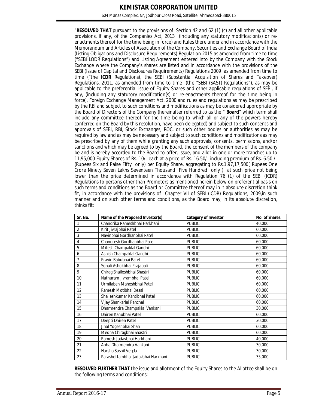604 Manas Complex, Nr, Jodhpur Cross Road, Satellite, Ahmedabad-380015

"**RESOLVED THAT** pursuant to the provisions of Section 42 and 62 (1) (c) and all other applicable provisions, if any, of the Companies Act, 2013 (including any statutory modification(s) or reenactments thereof for the time being in force) and Rules there under and in accordance with the Memorandum and Articles of Association of the Company, Securities and Exchange Board of India (Listing Obligations and Disclosure Requirements) Regulation 2015 as amended from time to time ("SEBI LODR Regulations") and Listing Agreement entered into by the Company with the Stock Exchange where the Company's shares are listed and in accordance with the provisions of the SEBI (Issue of Capital and Disclosures Requirements) Regulations 2009 as amended from time to time ("the **ICDR** Regulations), the SEBI (Substantial Acquisition of Shares and Takeover) Regulations, 2011, as amended from time to time (the "SEBI (SAST) Regulations"), as may be applicable to the preferential issue of Equity Shares and other applicable regulations of SEBI, if any, (including any statutory modification(s) or re-enactments thereof for the time being in force), Foreign Exchange Management Act, 2000 and rules and regulations as may be prescribed by the RBI and subject to such conditions and modifications as may be considered appropriate by the Board of Directors of the Company (hereinafter referred to as the " **Board**" which term shall include any committee thereof for the time being to which all or any of the powers hereby conferred on the Board by this resolution, have been delegated) and subject to such consents and approvals of SEBI, RBI, Stock Exchanges, ROC, or such other bodies or authorities as may be required by law and as may be necessary and subject to such conditions and modifications as may be prescribed by any of them while granting any such approvals, consents, permissions, and/or sanctions and which may be agreed to by the Board, the consent of the members of the company be and is hereby accorded to the Board to offer, issue, and allot in one or more tranches up to 11,95,000 Equity Shares of Rs. 10/- each at a price of Rs. 16.50/- including premium of Rs. 6.50 /- (Rupees Six and Paise Fifty only) per Equity Share, aggregating to Rs.1,97,17,500( Rupees One Crore Ninety Seven Lakhs Seventeen Thousand Five Hundred only ) at such price not being lower than the price determined in accordance with Regulation 76 (1) of the SEBI (ICDR) Regulations to persons other than Promoters as mentioned herein below on preferential basis on such terms and conditions as the Board or Committee thereof may in it absolute discretion think fit, in accordance with the provisions of Chapter VII of SEBI (ICDR) Regulations, 2009,in such manner and on such other terms and conditions, as the Board may, in its absolute discretion, thinks fit:

| Sr. No.        | Name of the Proposed Investor(s)   | <b>Category of Investor</b> | <b>No. of Shares</b> |
|----------------|------------------------------------|-----------------------------|----------------------|
| 1              | Chandrika Rameshbhai Harkhani      | <b>PUBLIC</b>               | 40,000               |
| $\overline{2}$ | Kirit Jivrajbhai Patel             | <b>PUBLIC</b>               | 60,000               |
| 3              | Navinbhai Gordhanbhai Patel        | <b>PUBLIC</b>               | 60,000               |
| $\overline{4}$ | Chandresh Gordhanbhai Patel        | <b>PUBLIC</b>               | 60,000               |
| 5              | Mitesh Champaklal Gandhi           | <b>PUBLIC</b>               | 60,000               |
| 6              | Ashish Champaklal Gandhi           | <b>PUBLIC</b>               | 60,000               |
| 7              | Pravin Babubhai Patel              | <b>PUBLIC</b>               | 60,000               |
| 8              | Sonali Ashokbhai Prajapati         | <b>PUBLIC</b>               | 60,000               |
| 9              | Chirag Shaileshbhai Shastri        | <b>PUBLIC</b>               | 60,000               |
| 10             | Nathuram Jivrambhai Patel          | <b>PUBLIC</b>               | 60,000               |
| 11             | Urmilaben Maheshbhai Patel         | <b>PUBLIC</b>               | 60,000               |
| 12             | Ramesh Motibhai Desai              | <b>PUBLIC</b>               | 60,000               |
| 13             | Shaileshkumar Kantibhai Patel      | <b>PUBLIC</b>               | 60,000               |
| 14             | Vijay Shankarlal Panchal           | <b>PUBLIC</b>               | 60,000               |
| 15             | Dharmendra Champaklal Vankani      | <b>PUBLIC</b>               | 30,000               |
| 16             | Dhiren Kanubhai Patel              | <b>PUBLIC</b>               | 60,000               |
| 17             | Deepti Dhiren Patel                | <b>PUBLIC</b>               | 30,000               |
| 18             | Jinal Yogeshbhai Shah              | <b>PUBLIC</b>               | 60,000               |
| 19             | Medha Chiragbhai Shastri           | <b>PUBLIC</b>               | 60,000               |
| 20             | Ramesh Jadavbhai Harkhani          | <b>PUBLIC</b>               | 40,000               |
| 21             | Abha Dharmendra Vankani            | <b>PUBLIC</b>               | 30,000               |
| 22             | Harsha Sushil Vegda                | <b>PUBLIC</b>               | 30,000               |
| 23             | Parashottambhai Jadavbhai Harkhani | <b>PUBLIC</b>               | 35,000               |

**RESOLVED FURTHER THAT** the issue and allotment of the Equity Shares to the Allottee shall be on the following terms and conditions: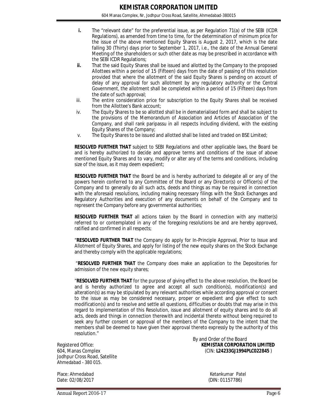- **i.** The "relevant date" for the preferential issue, as per Regulation 71(a) of the SEBI (ICDR Regulations), as amended from time to time, for the determination of minimum price for the issue of the above mentioned Equity Shares is August 2, 2017, which is the date falling 30 (Thirty) days prior to September 1, 2017, i.e., the date of the Annual General Meeting of the shareholders or such other date as may be prescribed in accordance with the SEBI ICDR Regulations;
- **ii.** That the said Equity Shares shall be issued and allotted by the Company to the proposed Allottees within a period of 15 (Fifteen) days from the date of passing of this resolution provided that where the allotment of the said Equity Shares is pending on account of delay of any approval for such allotment by any regulatory authority or the Central Government, the allotment shall be completed within a period of 15 (Fifteen) days from the date of such approval;
- iii. The entire consideration price for subscription to the Equity Shares shall be received from the Allottee's Bank account;
- iv. The Equity Shares to be so allotted shall be in dematerialised form and shall be subject to the provisions of the Memorandum of Association and Articles of Association of the Company, and shall rank paripassu in all respects including dividend, with the existing Equity Shares of the Company;
- v. The Equity Shares to be issued and allotted shall be listed and traded on BSE Limited;

**RESOLVED FURTHER THAT** subject to SEBI Regulations and other applicable laws, the Board be and is hereby authorized to decide and approve terms and conditions of the issue of above mentioned Equity Shares and to vary, modify or alter any of the terms and conditions, including size of the issue, as it may deem expedient;

**RESOLVED FURTHER THAT** the Board be and is hereby authorized to delegate all or any of the powers herein conferred to any Committee of the Board or any Director(s) or Officer(s) of the Company and to generally do all such acts, deeds and things as may be required in connection with the aforesaid resolutions, including making necessary filings with the Stock Exchanges and Regulatory Authorities and execution of any documents on behalf of the Company and to represent the Company before any governmental authorities;

**RESOLVED FURTHER THAT** all actions taken by the Board in connection with any matter(s) referred to or contemplated in any of the foregoing resolutions be and are hereby approved, ratified and confirmed in all respects;

"**RESOLVED FURTHER THAT** the Company do apply for In-Principle Approval, Prior to Issue and Allotment of Equity Shares, and apply for listing of the new equity shares on the Stock Exchange and thereby comply with the applicable regulations;

"**RESOLVED FURTHER THAT** the Company does make an application to the Depositories for admission of the new equity shares;

"**RESOLVED FURTHER THAT** for the purpose of giving effect to the above resolution, the Board be and is hereby authorized to agree and accept all such condition(s), modification(s) and alteration(s) as may be stipulated by any relevant authorities while according approval or consent to the issue as may be considered necessary, proper or expedient and give effect to such modification(s) and to resolve and settle all questions, difficulties or doubts that may arise in this regard to implementation of this Resolution, issue and allotment of equity shares and to do all acts, deeds and things in connection therewith and incidental thereto without being required to seek any further consent or approval of the members of the Company to the intent that the members shall be deemed to have given their approval thereto expressly by the authority of this resolution."

Jodhpur Cross Road, Satellite Ahmedabad - 380 015.

Place: Ahmedabad Ketankumar Patel Date: 02/08/2017 (DIN: 01157786)

 By and Order of the Board Registered Office: **KEMISTAR CORPORATION LIMITED** 604, Manas Complex (CIN: **L24233GJ1994PLC022845** )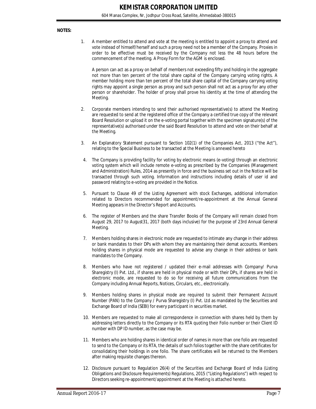#### **NOTES:**

1. A member entitled to attend and vote at the meeting is entitled to appoint a proxy to attend and vote instead of himself/herself and such a proxy need not be a member of the Company. Proxies in order to be effective must be received by the Company not less the 48 hours before the commencement of the meeting. A Proxy Form for the AGM is enclosed.

A person can act as a proxy on behalf of members not exceeding fifty and holding in the aggregate not more than ten percent of the total share capital of the Company carrying voting rights. A member holding more than ten percent of the total share capital of the Company carrying voting rights may appoint a single person as proxy and such person shall not act as a proxy for any other person or shareholder. The holder of proxy shall prove his identity at the time of attending the Meeting.

- 2. Corporate members intending to send their authorised representative(s) to attend the Meeting are requested to send at the registered office of the Company a certified true copy of the relevant Board Resolution or upload it on the e-voting portal together with the specimen signature(s) of the representative(s) authorised under the said Board Resolution to attend and vote on their behalf at the Meeting.
- 3. An Explanatory Statement pursuant to Section 102(1) of the Companies Act, 2013 ("the Act"), relating to the Special Business to be transacted at the Meeting is annexed hereto
- 4. The Company is providing facility for voting by electronic means (e-voting) through an electronic voting system which will include remote e-voting as prescribed by the Companies (Management and Administration) Rules, 2014 as presently in force and the business set out in the Notice will be transacted through such voting. Information and instructions including details of user id and password relating to e-voting are provided in the Notice.
- 5. Pursuant to Clause 49 of the Listing Agreement with stock Exchanges, additional information related to Directors recommended for appointment/re-appointment at the Annual General Meeting appears in the Director's Report and Accounts.
- 6. The register of Members and the share Transfer Books of the Company will remain closed from August 29, 2017 to August31, 2017 (both days inclusive) for the purpose of 23rd Annual General Meeting.
- 7. Members holding shares in electronic mode are requested to intimate any change in their address or bank mandates to their DPs with whom they are maintaining their demat accounts. Members holding shares in physical mode are requested to advise any change in their address or bank mandates to the Company.
- 8. Members who have not registered / updated their e-mail addresses with Company/ Purva Sharegistry (I) Pvt. Ltd., if shares are held in physical mode or with their DPs, if shares are held in electronic mode, are requested to do so for receiving all future communications from the Company including Annual Reports, Notices, Circulars, etc., electronically.
- 9. Members holding shares in physical mode are required to submit their Permanent Account Number (PAN) to the Company / Purva Sharegistry (I) Pvt. Ltd as mandated by the Securities and Exchange Board of India (SEBI) for every participant in securities market.
- 10. Members are requested to make all correspondence in connection with shares held by them by addressing letters directly to the Company or its RTA quoting their Folio number or their Client ID number with DP ID number, as the case may be.
- 11. Members who are holding shares in identical order of names in more than one folio are requested to send to the Company or its RTA, the details of such folios together with the share certificates for consolidating their holdings in one folio. The share certificates will be returned to the Members after making requisite changes thereon.
- 12. Disclosure pursuant to Regulation 26(4) of the Securities and Exchange Board of India (Listing Obligations and Disclosure Requirements) Regulations, 2015 ("Listing Regulations") with respect to Directors seeking re-appointment/appointment at the Meeting is attached hereto.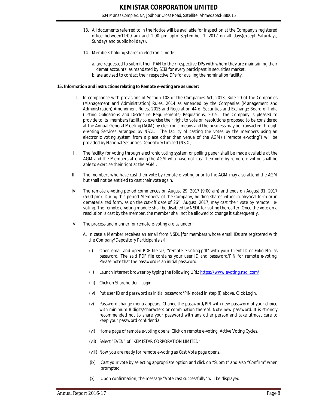- 13. All documents referred to in the Notice will be available for inspection at the Company's registered office between11:00 am and 1:00 pm upto September 1, 2017 on all days(except Saturdays, Sundays and public holidays).
- 14. Members holding shares in electronic mode:
	- a. are requested to submit their PAN to their respective DPs with whom they are maintaining their demat accounts, as mandated by SEBI for every participant in securities market.
	- b. are advised to contact their respective DPs for availing the nomination facility.

#### **15. Information and instructions relating to Remote e-voting are as under:**

- I. In compliance with provisions of Section 108 of the Companies Act, 2013, Rule 20 of the Companies (Management and Administration) Rules, 2014 as amended by the Companies (Management and Administration) Amendment Rules, 2015 and Regulation 44 of Securities and Exchange Board of India (Listing Obligations and Disclosure Requirements) Regulations, 2015, the Company is pleased to provide to its members facility to exercise their right to vote on resolutions proposed to be considered at the Annual General Meeting (AGM) by electronic means and the business may be transacted through e-Voting Services arranged by NSDL. The facility of casting the votes by the members using an electronic voting system from a place other than venue of the AGM) ("remote e-voting") will be provided by National Securities Depository Limited (NSDL).
- II. The facility for voting through electronic voting system or polling paper shall be made available at the AGM and the Members attending the AGM who have not cast their vote by remote e-voting shall be able to exercise their right at the AGM .
- III. The members who have cast their vote by remote e-voting prior to the AGM may also attend the AGM but shall not be entitled to cast their vote again.
- IV. The remote e-voting period commences on August 29, 2017 (9:00 am) and ends on August 31, 2017 (5:00 pm). During this period Members' of the Company, holding shares either in physical form or in dematerialized form, as on the cut-off date of 26<sup>th</sup> August, 2017, may cast their vote by remote evoting. The remote e-voting module shall be disabled by NSDL for voting thereafter. Once the vote on a resolution is cast by the member, the member shall not be allowed to change it subsequently.
- V. The process and manner for remote e-voting are as under:
	- A. In case a Member receives an email from NSDL [for members whose email IDs are registered with the Company/Depository Participants(s)] :
		- (i) Open email and open PDF file viz; "remote e-voting.pdf" with your Client ID or Folio No. as password. The said PDF file contains your user ID and password/PIN for remote e-voting. Please note that the password is an initial password.
		- (ii) Launch internet browser by typing the following URL: https://www.evoting.nsdl.com/
		- (iii) Click on Shareholder Login
		- (iv) Put user ID and password as initial password/PIN noted in step (i) above. Click Login.
		- (v) Password change menu appears. Change the password/PIN with new password of your choice with minimum 8 digits/characters or combination thereof. Note new password. It is strongly recommended not to share your password with any other person and take utmost care to keep your password confidential.
		- (vi) Home page of remote e-voting opens. Click on remote e-voting: Active Voting Cycles.
		- (vii) Select "EVEN" of "KEMISTAR CORPORATION LIMITED".
		- (viii) Now you are ready for remote e-voting as Cast Vote page opens.
		- (ix) Cast your vote by selecting appropriate option and click on "Submit" and also "Confirm" when prompted.
		- (x) Upon confirmation, the message "Vote cast successfully" will be displayed.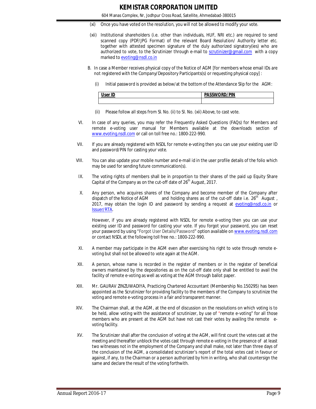- (xi) Once you have voted on the resolution, you will not be allowed to modify your vote.
- (xii) Institutional shareholders (i.e. other than individuals, HUF, NRI etc.) are required to send scanned copy (PDF/JPG Format) of the relevant Board Resolution/ Authority letter etc. together with attested specimen signature of the duly authorized signatory(ies) who are authorized to vote, to the Scrutinizer through e-mail to scrutinizer@gmail.com with a copy marked to evoting@nsdl.co.in
- B. In case a Member receives physical copy of the Notice of AGM [for members whose email IDs are not registered with the Company/Depository Participants(s) or requesting physical copy] :
	- (i) Initial password is provided as below/at the bottom of the Attendance Slip for the AGM:

| ser ID | <b>PASSWORD/PIN</b> |
|--------|---------------------|
|        |                     |

- (ii) Please follow all steps from Sl. No. (ii) to Sl. No. (xii) Above, to cast vote.
- VI. In case of any queries, you may refer the Frequently Asked Questions (FAQs) for Members and remote e-voting user manual for Members available at the downloads section of www.evoting.nsdl.com or call on toll free no.: 1800-222-990.
- VII. If you are already registered with NSDL for remote e-voting then you can use your existing user ID and password/PIN for casting your vote.
- VIII. You can also update your mobile number and e-mail id in the user profile details of the folio which may be used for sending future communication(s).
- IX. The voting rights of members shall be in proportion to their shares of the paid up Equity Share Capital of the Company as on the cut-off date of  $26<sup>th</sup>$  August, 2017.
- X. Any person, who acquires shares of the Company and become member of the Company after dispatch of the Notice of AGM and holding shares as of the cut-off date i.e. 26<sup>th</sup> August, dispatch of the Notice of AGM and holding shares as of the cut-off date i.e. 26<sup>th</sup> August, 2017, may obtain the login ID and password by sending a request at evoting@nsdl.co.in or Issuer/RTA.

However, if you are already registered with NSDL for remote e-voting then you can use your existing user ID and password for casting your vote. If you forgot your password, you can reset your password by using "Forgot User Details/Password" option available on www.evoting.nsdl.com or contact NSDL at the following toll free no.: 1800-222-990.

- XI. A member may participate in the AGM even after exercising his right to vote through remote evoting but shall not be allowed to vote again at the AGM.
- XII. A person, whose name is recorded in the register of members or in the register of beneficial owners maintained by the depositories as on the cut-off date only shall be entitled to avail the facility of remote e-voting as well as voting at the AGM through ballot paper.
- XIII. Mr. GAURAV ZINZUWADIYA, Practicing Chartered Accountant (Membership No.150295) has been appointed as the Scrutinizer for providing facility to the members of the Company to scrutinize the voting and remote e-voting process in a fair and transparent manner.
- XIV. The Chairman shall, at the AGM, at the end of discussion on the resolutions on which voting is to be held, allow voting with the assistance of scrutinizer, by use of "remote e-voting" for all those members who are present at the AGM but have not cast their votes by availing the remote evoting facility.
- XV. The Scrutinizer shall after the conclusion of voting at the AGM, will first count the votes cast at the meeting and thereafter unblock the votes cast through remote e-voting in the presence of at least two witnesses not in the employment of the Company and shall make, not later than three days of the conclusion of the AGM, a consolidated scrutinizer's report of the total votes cast in favour or against, if any, to the Chairman or a person authorized by him in writing, who shall countersign the same and declare the result of the voting forthwith.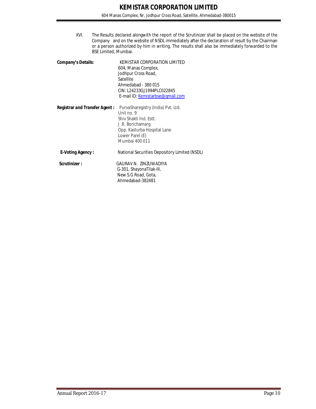XVI. The Results declared alongwith the report of the Scrutinizer shall be placed on the website of the Company and on the website of NSDL immediately after the declaration of result by the Chairman or a person authorized by him in writing. The results shall also be immediately forwarded to the BSE Limited, Mumbai.

| <b>Company's Details:</b>     | KEMISTAR CORPORATION LIMITED<br>604, Manas Complex,<br>Jodhpur Cross Road,<br>Satellite<br>Ahmedabad - 380 015<br>CIN: L24233GJ1994PLC022845<br>E-mail ID: Kemistarbse@gmail.com |
|-------------------------------|----------------------------------------------------------------------------------------------------------------------------------------------------------------------------------|
| Registrar and Transfer Agent: | PurvaSharegistry (India) Pvt. Ltd.<br>$1$ lnit no 9<br>Shiv Shakti Ind. Estt.<br>J.R. Borichamarg<br>Opp. Kasturba Hospital Lane<br>Lower Parel (E)<br>Mumbai 400 011            |
| <b>E-Voting Agency:</b>       | National Securities Depository Limited (NSDL)                                                                                                                                    |
| Scrutinizer:                  | GAURAV N. ZINZUWADIYA<br>G-301, ShayonaTilak-III,<br>New S.G Road, Gota,<br>Ahmedabad-382481                                                                                     |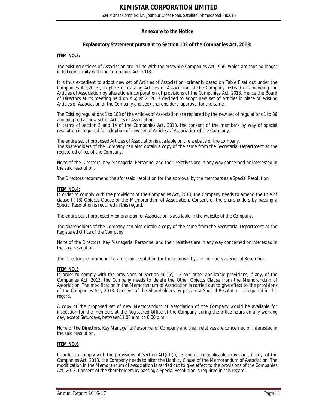#### **Annexure to the Notice**

#### **Explanatory Statement pursuant to Section 102 of the Companies Act, 2013:**

#### **ITEM NO.3:**

The existing Articles of Association are in line with the erstwhile Companies Act 1956, which are thus no longer in full conformity with the Companies Act, 2013.

It is thus expedient to adopt new set of Articles of Association (primarily based on Table F set out under the Companies Act,2013), in place of existing Articles of Association of the Company instead of amending the Articles of Association by alteration/incorporation of provisions of the Companies Act, 2013. Hence the Board of Directors at its meeting held on August 2, 2017 decided to adopt new set of Articles in place of existing Articles of Association of the Company and seek shareholders' approval for the same.

The Existing regulations 1 to 188 of the Articles of Association are replaced by the new set of regulations 1 to 86 and adopted as new set of Articles of Association.

In terms of section 5 and 14 of the Companies Act, 2013, the consent of the members by way of special resolution is required for adoption of new set of Articles of Association of the Company.

The entire set of proposed Articles of Association is available on the website of the company. The shareholders of the Company can also obtain a copy of the same from the Secretarial Department at the registered office of the Company.

None of the Directors, Key Managerial Personnel and their relatives are in any way concerned or interested in the said resolution.

The Directors recommend the aforesaid resolution for the approval by the members as a Special Resolution.

#### **ITEM NO.4:**

In order to comply with the provisions of the Companies Act, 2013, the Company needs to amend the title of clause III (B) Objects Clause of the Memorandum of Association. Consent of the shareholders by passing a Special Resolution is required in this regard.

The entire set of proposed Memorandum of Association is available in the website of the Company.

The shareholders of the Company can also obtain a copy of the same from the Secretarial Department at the Registered Office of the Company.

None of the Directors, Key Managerial Personnel and their relatives are in any way concerned or interested in the said resolution.

The Directors recommend the aforesaid resolution for the approval by the members as Special Resolution.

#### **ITEM NO.5**

In order to comply with the provisions of Section 4(1)(c), 13 and other applicable provisions, if any, of the Companies Act, 2013, the Company needs to delete the Other Objects Clause from the Memorandum of Association. The modification in the Memorandum of Association is carried out to give effect to the provisions of the Companies Act, 2013. Consent of the Shareholders by passing a Special Resolution is required in this regard.

A copy of the proposed set of new Memorandum of Association of the Company would be available for inspection for the members at the Registered Office of the Company during the office hours on any working day, except Saturdays, between11.00 a.m. to 6.00 p.m.

None of the Directors, Key Managerial Personnel of Company and their relatives are concerned or interested in the said resolution.

#### **ITEM NO.6**

In order to comply with the provisions of Section  $4(1)(d)(i)$ , 13 and other applicable provisions, if any, of the Companies Act, 2013, the Company needs to alter the Liability Clause of the Memorandum of Association. The modification in the Memorandum of Association is carried out to give effect to the provisions of the Companies Act, 2013. Consent of the shareholders by passing a Special Resolution is required in this regard.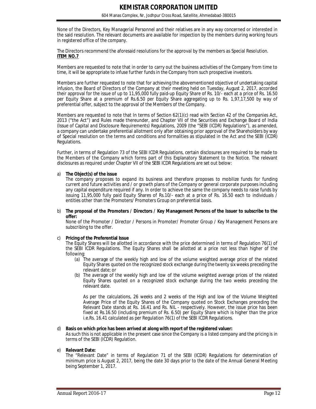None of the Directors, Key Managerial Personnel and their relatives are in any way concerned or interested in the said resolution. The relevant documents are available for inspection by the members during working hours in registered office of the company.

The Directors recommend the aforesaid resolutions for the approval by the members as Special Resolution. **ITEM NO.7**

Members are requested to note that in order to carry out the business activities of the Company from time to time, it will be appropriate to infuse further funds in the Company from such prospective investors.

Members are further requested to note that for achieving the abovementioned objective of undertaking capital infusion, the Board of Directors of the Company at their meeting held on Tuesday, August 2, 2017, accorded their approval for the issue of up to 11,95,000 fully paid-up Equity Share of Rs. 10/- each at a price of Rs. 16.50 per Equity Share at a premium of Rs.6.50 per Equity Share aggregating up to Rs. 1,97,17,500 by way of preferential offer, subject to the approval of the Members of the Company.

Members are requested to note that In terms of Section 62(1)(c) read with Section 42 of the Companies Act, 2013 ("the Act") and Rules made thereunder, and Chapter VII of the Securities and Exchange Board of India (Issue of Capital and Disclosure Requirements) Regulations, 2009 (the "SEBI (ICDR) Regulations"), as amended, a company can undertake preferential allotment only after obtaining prior approval of the Shareholders by way of Special resolution on the terms and conditions and formalities as stipulated in the Act and the SEBI (ICDR) Regulations.

Further, in terms of Regulation 73 of the SEBI ICDR Regulations, certain disclosures are required to be made to the Members of the Company which forms part of this Explanatory Statement to the Notice. The relevant disclosures as required under Chapter VII of the SEBI ICDR Regulations are set out below:

#### a) **The Object(s) of the issue**

The company proposes to expand its business and therefore proposes to mobilize funds for funding current and future activities and / or growth plans of the Company or general corporate purposes including any capital expenditure required if any. In order to achieve the same the company needs to raise funds by issuing 11,95,000 fully paid Equity Shares of Rs.10/- each at a price of Rs. 16.50 each to individuals / entities other than the Promoters/ Promoters Group on preferential basis.

b) **The proposal of the Promoters / Directors / Key Management Persons of the Issuer to subscribe to the offer:** 

None of the Promoter / Director / Persons in Promoter/ Promoter Group / Key Management Persons are subscribing to the offer.

#### c) **Pricing of the Preferential Issue**

The Equity Shares will be allotted in accordance with the price determined in terms of Regulation 76(1) of the SEBI ICDR Regulations. The Equity Shares shall be allotted at a price not less than higher of the following:

- (a) The average of the weekly high and low of the volume weighted average price of the related Equity Shares quoted on the recognized stock exchange during the twenty six weeks preceding the relevant date; or
- (b) The average of the weekly high and low of the volume weighted average prices of the related Equity Shares quoted on a recognized stock exchange during the two weeks preceding the relevant date.

As per the calculations, 26 weeks and 2 weeks of the High and low of the Volume Weighted Average Price of the Equity Shares of the Company quoted on Stock Exchanges preceding the Relevant Date stands at Rs. 16.41 and Rs. NIL - respectively. However, the issue price has been fixed at Rs.16.50 (including premium of Rs. 6.50) per Equity Share which is higher than the price i.e.Rs. 16.41 calculated as per Regulation 76(1) of the SEBI ICDR Regulations.

#### d) **Basis on which price has been arrived at along with report of the registered valuer:**

As such this is not applicable in the present case since the Company is a listed company and the pricing is in terms of the SEBI (ICDR) Regulation.

#### e) **Relevant Date:**

The "Relevant Date" in terms of Regulation 71 of the SEBI (ICDR) Regulations for determination of minimum price is August 2, 2017, being the date 30 days prior to the date of the Annual General Meeting being September 1, 2017.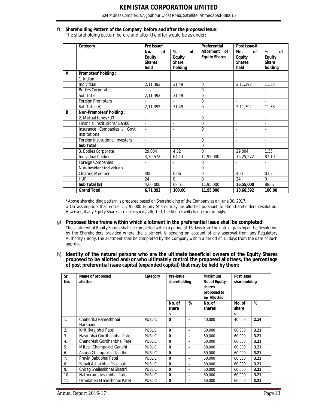604 Manas Complex, Nr, Jodhpur Cross Road, Satellite, Ahmedabad-380015

# f) **Shareholding Pattern of the Company before and after the proposed Issue:**

The shareholding pattern before and after the offer would be as under:

|   | Category                                    | Pre Issue*                                                 |                                                     | Preferential                         | Post Issue#                                         |                                                     |  |
|---|---------------------------------------------|------------------------------------------------------------|-----------------------------------------------------|--------------------------------------|-----------------------------------------------------|-----------------------------------------------------|--|
|   |                                             | No.<br><b>of</b><br><b>Equity</b><br><b>Shares</b><br>held | %<br>of<br><b>Equity</b><br><b>Share</b><br>holding | Allotment of<br><b>Equity Shares</b> | No.<br>of<br><b>Equity</b><br><b>Shares</b><br>held | %<br>of<br><b>Equity</b><br><b>Share</b><br>holding |  |
| A | Promoters' holding:                         |                                                            |                                                     |                                      |                                                     |                                                     |  |
|   | $1.$ Indian :                               |                                                            |                                                     |                                      |                                                     |                                                     |  |
|   | Individual                                  | 2,11,392                                                   | 31.49                                               | $\Omega$                             | 2,11,392                                            | 11.33                                               |  |
|   | <b>Bodies Corporate</b>                     |                                                            |                                                     | $\mathbf 0$                          |                                                     | $\overline{\phantom{a}}$                            |  |
|   | Sub Total                                   | 2,11,392                                                   | 31.49                                               | $\mathbf 0$                          |                                                     |                                                     |  |
|   | Foreign Promoters                           |                                                            |                                                     | 0                                    |                                                     | $\overline{a}$                                      |  |
|   | Sub Total (A)                               | 2,11,392                                                   | 31.49                                               | $\mathbf 0$                          | 2,11,392                                            | 11.33                                               |  |
| B | Non-Promoters' holding:                     |                                                            |                                                     |                                      |                                                     |                                                     |  |
|   | 2. Mutual funds / UTI                       |                                                            |                                                     | $\Omega$                             |                                                     |                                                     |  |
|   | Financial Institutions/Banks                | $\sim$                                                     |                                                     | $\Omega$                             |                                                     |                                                     |  |
|   | Insurance Companies / Govt.<br>Institutions |                                                            |                                                     | $\Omega$                             |                                                     |                                                     |  |
|   | Foreign Institutional Investors             | $\overline{\phantom{a}}$                                   | $\blacksquare$                                      | $\mathbf 0$                          | $\blacksquare$                                      | $\overline{\phantom{a}}$                            |  |
|   | <b>Sub Total</b>                            |                                                            |                                                     | $\Omega$                             |                                                     |                                                     |  |
|   | 3. Bodies Corporate                         | 29,004                                                     | 4.32                                                | $\mathbf 0$                          | 29,004                                              | 1.55                                                |  |
|   | Individual holding                          | 4,30,572                                                   | 64.13                                               | 11,95,000                            | 16,25,572                                           | 87.10                                               |  |
|   | Foreign Companies                           |                                                            |                                                     | $\Omega$                             |                                                     | $\overline{a}$                                      |  |
|   | Non-Resident Individuals                    |                                                            | $\overline{a}$                                      | $\mathbf 0$                          | $\overline{a}$                                      | $\overline{a}$                                      |  |
|   | <b>Clearing Member</b>                      | 400                                                        | 0.06                                                | $\mathbf 0$                          | 400                                                 | 0.02                                                |  |
|   | <b>HUF</b>                                  | 24                                                         | $\Omega$                                            | $\Omega$                             | 24                                                  | $\Omega$                                            |  |
|   | Sub Total (B)                               | 4.60.000                                                   | 68.51                                               | 11,95,000                            | 16,55,000                                           | 88.67                                               |  |
|   | <b>Grand Total</b>                          | 6,71,392                                                   | 100.00                                              | 11,95,000                            | 18,66,392                                           | 100.00                                              |  |

\*Above shareholding pattern is prepared based on Shareholding of the Company as on June 30, 2017. # On assumption that entire 11, 95,000 Equity Shares may be allotted pursuant to the shareholders resolution. However, if any Equity Shares are not issued / allotted, the figures will change accordingly.

#### g) **Proposed time frame within which allotment in the preferential issue shall be completed:**

The allotment of Equity Shares shall be completed within a period of 15 days from the date of passing of the Resolution by the Shareholders provided where the allotment is pending on account of any approval from any Regulatory Authority / Body, the allotment shall be completed by the Company within a period of 15 days from the date of such approval.

h) **Identity of the natural persons who are the ultimate beneficial owners of the Equity Shares proposed to be allotted and/or who ultimately control the proposed allottees, the percentage of post preferential issue capital (expanded capital) that may be held by them:**

| Sr.<br>No.     | Name of proposed<br>allottee     | Category      | Pre-issue<br>shareholding |                | <b>Maximum</b><br>No. of Equity<br>shares<br>proposed to<br>be Allotted | Post issue<br>shareholding |      |
|----------------|----------------------------------|---------------|---------------------------|----------------|-------------------------------------------------------------------------|----------------------------|------|
|                |                                  |               | No. of<br>share           | %              | No. of<br>shares                                                        | No. of<br>share            | %    |
|                |                                  |               | s                         |                |                                                                         | s                          |      |
| 1.             | Chandrika Rameshbhai<br>Harkhani | <b>PUBLIC</b> | $\bf{0}$                  |                | 40,000                                                                  | 40,000                     | 2.14 |
| 2.             | Kirit Jivrajbhai Patel           | <b>PUBLIC</b> | $\Omega$                  | $\blacksquare$ | 60,000                                                                  | 60,000                     | 3.21 |
| 3              | Navinbhai Gordhanbhai Patel      | <b>PUBLIC</b> | $\Omega$                  | $\blacksquare$ | 60,000                                                                  | 60,000                     | 3.21 |
| 4.             | Chandresh Gordhanbhai Patel      | <b>PUBLIC</b> | $\bf{0}$                  | ۰              | 60,000                                                                  | 60,000                     | 3.21 |
| 5.             | Mitesh Champaklal Gandhi         | <b>PUBLIC</b> | $\bf{0}$                  | $\blacksquare$ | 60,000                                                                  | 60,000                     | 3.21 |
| 6.             | Ashish Champaklal Gandhi         | <b>PUBLIC</b> | $\bf{0}$                  | ۰              | 60,000                                                                  | 60,000                     | 3.21 |
| 7 <sub>1</sub> | Pravin Babubhai Patel            | <b>PUBLIC</b> | $\bf{0}$                  |                | 60.000                                                                  | 60,000                     | 3.21 |
| 8.             | Sonali Ashokbhai Prajapati       | <b>PUBLIC</b> | $\bf{0}$                  | $\blacksquare$ | 60,000                                                                  | 60,000                     | 3.21 |
| 9.             | Chirag Shaileshbhai Shastri      | <b>PUBLIC</b> | $\mathbf{0}$              | ä,             | 60,000                                                                  | 60,000                     | 3.21 |
| 10.            | Nathuram Jivrambhai Patel        | <b>PUBLIC</b> | $\bf{0}$                  | ۰              | 60,000                                                                  | 60,000                     | 3.21 |
| 11.            | Urmilaben Maheshbhai Patel       | <b>PUBLIC</b> | $\bf{0}$                  |                | 60,000                                                                  | 60,000                     | 3.21 |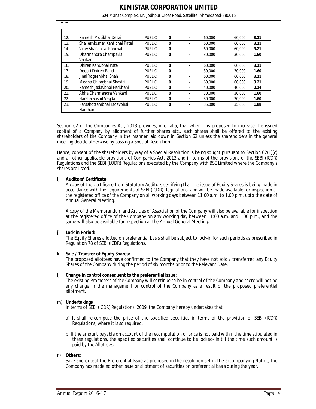604 Manas Complex, Nr, Jodhpur Cross Road, Satellite, Ahmedabad-380015

| 12. | Ramesh Motibhai Desai                 | <b>PUBLIC</b> | $\bf{0}$     |   | 60.000 | 60,000 | 3.21 |
|-----|---------------------------------------|---------------|--------------|---|--------|--------|------|
| 13. | Shaileshkumar Kantibhai Patel         | <b>PUBLIC</b> | $\bf{0}$     |   | 60.000 | 60,000 | 3.21 |
| 14. | Vijay Shankarlal Panchal              | <b>PUBLIC</b> | 0            |   | 60.000 | 60,000 | 3.21 |
| 15. | Dharmendra Champaklal<br>Vankani      | <b>PUBLIC</b> | $\mathbf{0}$ |   | 30,000 | 30,000 | 1.60 |
| 16. | Dhiren Kanubhai Patel                 | <b>PUBLIC</b> | 0            | ۰ | 60.000 | 60,000 | 3.21 |
| 17. | Deepti Dhiren Patel                   | <b>PUBLIC</b> | 0            |   | 30,000 | 30,000 | 1.60 |
| 18. | Jinal Yogeshbhai Shah                 | <b>PUBLIC</b> | $\mathbf{0}$ |   | 60,000 | 60,000 | 3.21 |
| 19. | Medha Chiragbhai Shastri              | <b>PUBLIC</b> | 0            |   | 60.000 | 60,000 | 3.21 |
| 20. | Ramesh Jadavbhai Harkhani             | <b>PUBLIC</b> | 0            |   | 40.000 | 40,000 | 2.14 |
| 21. | Abha Dharmendra Vankani               | <b>PUBLIC</b> | $\mathbf{0}$ |   | 30,000 | 30,000 | 1.60 |
| 22. | Harsha Sushil Vegda                   | <b>PUBLIC</b> | 0            |   | 30,000 | 30,000 | 1.60 |
| 23. | Parashottambhai Jadavbhai<br>Harkhani | <b>PUBLIC</b> | $\bf{0}$     |   | 35,000 | 35,000 | 1.88 |

Section 62 of the Companies Act, 2013 provides, inter alia, that when it is proposed to increase the issued capital of a Company by allotment of further shares etc., such shares shall be offered to the existing shareholders of the Company in the manner laid down in Section 62 unless the shareholders in the general meeting decide otherwise by passing a Special Resolution.

Hence, consent of the shareholders by way of a Special Resolution is being sought pursuant to Section 62(1)(c) and all other applicable provisions of Companies Act, 2013 and in terms of the provisions of the SEBI (ICDR) Regulations and the SEBI (LODR) Regulations executed by the Company with BSE Limited where the Company's shares are listed.

#### i) **Auditors' Certificate:**

ŋ.

A copy of the certificate from Statutory Auditors certifying that the issue of Equity Shares is being made in accordance with the requirements of SEBI (ICDR) Regulations, and will be made available for inspection at the registered office of the Company on all working days between 11.00 a.m. to 1.00 p.m. upto the date of Annual General Meeting.

A copy of the Memorandum and Articles of Association of the Company will also be available for inspection at the registered office of the Company on any working day between 11:00 a.m. and 1:00 p.m., and the same will also be available for inspection at the Annual General Meeting.

#### j) **Lock in Period:**

The Equity Shares allotted on preferential basis shall be subject to lock-in for such periods as prescribed in Regulation 78 of SEBI (ICDR) Regulations.

#### k) **Sale / Transfer of Equity Shares:**

The proposed allottees have confirmed to the Company that they have not sold / transferred any Equity Shares of the Company during the period of six months prior to the Relevant Date.

#### l) **Change in control consequent to the preferential issue:**

The existing Promoters of the Company will continue to be in control of the Company and there will not be any change in the management or control of the Company as a result of the proposed preferential allotment**.** 

#### m) **Undertakings**

In terms of SEBI (ICDR) Regulations, 2009, the Company hereby undertakes that:

- a) It shall re-compute the price of the specified securities in terms of the provision of SEBI (ICDR) Regulations, where it is so required.
- b) If the amount payable on account of the recomputation of price is not paid within the time stipulated in these regulations, the specified securities shall continue to be locked- in till the time such amount is paid by the Allottees.

#### n) **Others:**

Save and except the Preferential Issue as proposed in the resolution set in the accompanying Notice, the Company has made no other issue or allotment of securities on preferential basis during the year.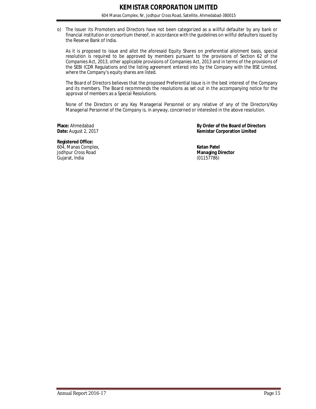o) The Issuer its Promoters and Directors have not been categorized as a willful defaulter by any bank or financial institution or consortium thereof, in accordance with the guidelines on willful defaulters issued by the Reserve Bank of India.

As it is proposed to issue and allot the aforesaid Equity Shares on preferential allotment basis, special resolution is required to be approved by members pursuant to the provisions of Section 62 of the Companies Act, 2013, other applicable provisions of Companies Act, 2013 and in terms of the provisions of the SEBI ICDR Regulations and the listing agreement entered into by the Company with the BSE Limited, where the Company's equity shares are listed.

The Board of Directors believes that the proposed Preferential Issue is in the best interest of the Company and its members. The Board recommends the resolutions as set out in the accompanying notice for the approval of members as a Special Resolutions.

None of the Directors or any Key Managerial Personnel or any relative of any of the Directors/Key Managerial Personnel of the Company is, in anyway, concerned or interested in the above resolution.

**Place:** Ahmedabad **By Order of the Board of Directors**<br> **By Order of the Board of Directors**<br> **By Order of the Board of Directors Kemistar Corporation Limited** 

**Registered Office:** 604, Manas Complex, **Ketan Patel Jodhpur Cross Road** Gujarat, India (01157786)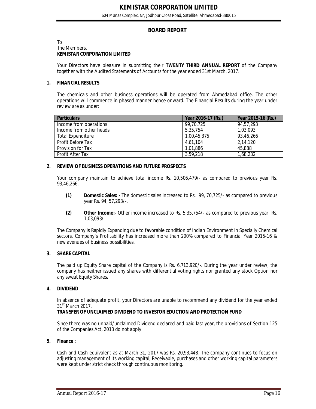## **BOARD REPORT**

#### To The Members, **KEMISTAR CORPORATION LIMITED**

Your Directors have pleasure in submitting their **TWENTY THIRD ANNUAL REPORT** of the Company together with the Audited Statements of Accounts for the year ended 31st March, 2017.

#### **1. FINANCIAL RESULTS**

The chemicals and other business operations will be operated from Ahmedabad office. The other operations will commence in phased manner hence onward. The Financial Results during the year under review are as under:

| <b>Particulars</b>       | Year 2016-17 (Rs.) | Year 2015-16 (Rs.) |
|--------------------------|--------------------|--------------------|
| Income from operations   | 99.70.725          | 94.57.293          |
| Income from other heads  | 5,35,754           | 1.03.093           |
| <b>Total Expenditure</b> | 1,00,45,375        | 93,46,266          |
| <b>Profit Before Tax</b> | 4,61,104           | 2,14,120           |
| Provision for Tax        | 1,01,886           | 45,888             |
| Profit After Tax         | 3,59,218           | 1,68,232           |

#### **2. REVIEW OF BUSINESS OPERATIONS AND FUTURE PROSPECTS**

Your company maintain to achieve total income Rs. 10,506,479/- as compared to previous year Rs. 93,46,266.

- **(1) Domestic Sales: -** The domestic sales Increased to Rs. 99, 70,725/- as compared to previous year Rs. 94, 57,293/-.
- **(2) Other Income:-** Other income increased to Rs. 5,35,754/- as compared to previous year Rs. 1,03,093/-

The Company is Rapidly Expanding due to favorable condition of Indian Environment in Specially Chemical sectors. Company's Profitability has increased more than 200% compared to Financial Year 2015-16 & new avenues of business possibilities.

#### **3. SHARE CAPITAL**

The paid up Equity Share capital of the Company is Rs. 6,713,920/-. During the year under review, the company has neither issued any shares with differential voting rights nor granted any stock Option nor any sweat Equity Shares**.**

#### **4. DIVIDEND**

In absence of adequate profit, your Directors are unable to recommend any dividend for the year ended 31<sup>st</sup> March 2017.

#### **TRANSFER OF UNCLAIMED DIVIDEND TO INVESTOR EDUCTION AND PROTECTION FUND**

Since there was no unpaid/unclaimed Dividend declared and paid last year, the provisions of Section 125 of the Companies Act, 2013 do not apply.

#### **5. Finance :**

Cash and Cash equivalent as at March 31, 2017 was Rs. 20,93,448. The company continues to focus on adjusting management of its working capital, Receivable, purchases and other working capital parameters were kept under strict check through continuous monitoring.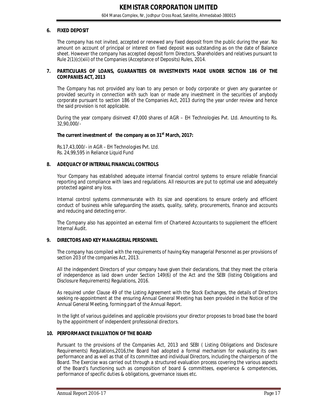#### **6. FIXED DEPOSIT**

The company has not invited, accepted or renewed any fixed deposit from the public during the year. No amount on account of principal or interest on fixed deposit was outstanding as on the date of Balance sheet. However the company has accepted deposit form Directors, Shareholders and relatives pursuant to Rule 2(1)(c)(xiii) of the Companies (Acceptance of Deposits) Rules, 2014.

#### **7. PARTICULARS OF LOANS, GUARANTEES OR INVESTMENTS MADE UNDER SECTION 186 OF THE COMPANIES ACT, 2013**

The Company has not provided any loan to any person or body corporate or given any guarantee or provided security in connection with such loan or made any investment in the securities of anybody corporate pursuant to section 186 of the Companies Act, 2013 during the year under review and hence the said provision is not applicable.

During the year company disinvest 47,000 shares of AGR – EH Technologies Pvt. Ltd. Amounting to Rs. 32,90,000/-

#### **The current investment of the company as on 31st March, 2017:**

Rs.17,43,000/- in AGR – EH Technologies Pvt. Ltd. Rs. 24,99,595 in Reliance Liquid Fund

#### **8. ADEQUACY OF INTERNAL FINANCIAL CONTROLS**

Your Company has established adequate internal financial control systems to ensure reliable financial reporting and compliance with laws and regulations. All resources are put to optimal use and adequately protected against any loss.

Internal control systems commensurate with its size and operations to ensure orderly and efficient conduct of business while safeguarding the assets, quality, safety, procurements, finance and accounts and reducing and detecting error.

The Company also has appointed an external firm of Chartered Accountants to supplement the efficient Internal Audit.

#### **9. DIRECTORS AND KEY MANAGERIAL PERSONNEL**

The company has compiled with the requirements of having Key managerial Personnel as per provisions of section 203 of the companies Act, 2013.

All the independent Directors of your company have given their declarations, that they meet the criteria of independence as laid down under Section 149(6) of the Act and the SEBI (listing Obligations and Disclosure Requirements) Regulations, 2016.

As required under Clause 49 of the Listing Agreement with the Stock Exchanges, the details of Directors seeking re-appointment at the ensuring Annual General Meeting has been provided in the Notice of the Annual General Meeting, forming part of the Annual Report.

In the light of various guidelines and applicable provisions your director proposes to broad base the board by the appointment of independent professional directors.

#### **10. PERFORMANCE EVALUATION OF THE BOARD**

Pursuant to the provisions of the Companies Act, 2013 and SEBI ( Listing Obligations and Disclosure Requirements) Regulations,2016,the Board had adopted a formal mechanism for evaluating its own performance and as well as that of its committee and individual Directors, including the chairperson of the Board. The Exercise was carried out through a structured evaluation process covering the various aspects of the Board's functioning such as composition of board & committees, experience & competencies, performance of specific duties & obligations, governance issues etc.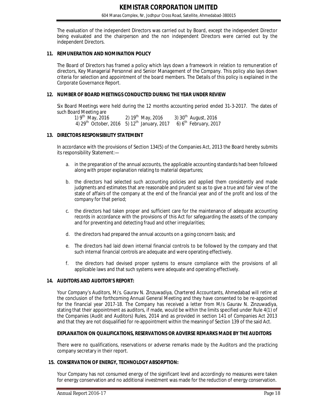The evaluation of the independent Directors was carried out by Board, except the independent Director being evaluated and the chairperson and the non independent Directors were carried out by the independent Directors.

#### **11. REMUNERATION AND NOMINATION POLICY**

The Board of Directors has framed a policy which lays down a framework in relation to remuneration of directors, Key Managerial Personnel and Senior Management of the Company. This policy also lays down criteria for selection and appointment of the board members. The Details of this policy is explained in the Corporate Governance Report.

#### **12. NUMBER OF BOARD MEETINGS CONDUCTED DURING THE YEAR UNDER REVIEW**

Six Board Meetings were held during the 12 months accounting period ended 31-3-2017. The dates of such Board Meeting are

1)  $9^{th}$  May, 2016 2)  $19^{th}$  May, 2016 3)  $30^{th}$  August, 2016 4) 29<sup>th</sup> October, 2016 5) 12<sup>th</sup> January, 2017 6) 6<sup>th</sup> February, 2017

#### **13. DIRECTORS RESPONSIBILITY STATEMENT**

In accordance with the provisions of Section 134(5) of the Companies Act, 2013 the Board hereby submits its responsibility Statement:—

- a. in the preparation of the annual accounts, the applicable accounting standards had been followed along with proper explanation relating to material departures;
- b. the directors had selected such accounting policies and applied them consistently and made judgments and estimates that are reasonable and prudent so as to give a true and fair view of the state of affairs of the company at the end of the financial year and of the profit and loss of the company for that period;
- c. the directors had taken proper and sufficient care for the maintenance of adequate accounting records in accordance with the provisions of this Act for safeguarding the assets of the company and for preventing and detecting fraud and other irregularities;
- d. the directors had prepared the annual accounts on a going concern basis; and
- e. The directors had laid down internal financial controls to be followed by the company and that such internal financial controls are adequate and were operating effectively.
- f. the directors had devised proper systems to ensure compliance with the provisions of all applicable laws and that such systems were adequate and operating effectively.

#### **14. AUDITORS AND AUDITOR'S REPORT:**

Your Company's Auditors, M/s. Gaurav N. Zinzuwadiya, Chartered Accountants, Ahmedabad will retire at the conclusion of the forthcoming Annual General Meeting and they have consented to be re-appointed for the financial year 2017-18. The Company has received a letter from M/s Gaurav N. Zinzuwadiya, stating that their appointment as auditors, if made, would be within the limits specified under Rule 4(1) of the Companies (Audit and Auditors) Rules, 2014 and as provided in section 141 of Companies Act 2013 and that they are not disqualified for re-appointment within the meaning of Section 139 of the said Act.

#### **EXPLANATION ON QUALIFICATIONS, RESERVATIONS OR ADVERSE REMARKS MADE BY THE AUDITORS**

There were no qualifications, reservations or adverse remarks made by the Auditors and the practicing company secretary in their report.

#### **15. CONSERVATION OF ENERGY, TECHNOLOGY ABSORPTION:**

Your Company has not consumed energy of the significant level and accordingly no measures were taken for energy conservation and no additional investment was made for the reduction of energy conservation.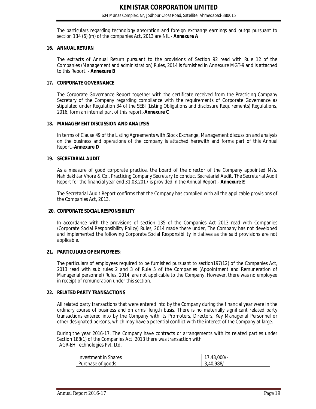The particulars regarding technology absorption and foreign exchange earnings and outgo pursuant to section 134 (6) (m) of the companies Act, 2013 are NIL.- **Annexure A**

#### **16. ANNUAL RETURN**

The extracts of Annual Return pursuant to the provisions of Section 92 read with Rule 12 of the Companies (Management and administration) Rules, 2014 is furnished in Annexure MGT-9 and is attached to this Report. - **Annexure B**

#### **17. CORPORATE GOVERNANCE**

The Corporate Governance Report together with the certificate received from the Practicing Company Secretary of the Company regarding compliance with the requirements of Corporate Governance as stipulated under Regulation 34 of the SEBI (Listing Obligations and disclosure Requirements) Regulations, 2016, form an internal part of this report.-**Annexure C**

#### **18. MANAGEMENT DISCUSSION AND ANALYSIS**

In terms of Clause 49 of the Listing Agreements with Stock Exchange, Management discussion and analysis on the business and operations of the company is attached herewith and forms part of this Annual Report.-**Annexure D**

#### **19. SECRETARIAL AUDIT**

As a measure of good corporate practice, the board of the director of the Company appointed M/s. Nahidakhtar Vhora & Co., Practicing Company Secretary to conduct Secretarial Audit. The Secretarial Audit Report for the financial year end 31.03.2017 is provided in the Annual Report.- **Annexure E**

The Secretarial Audit Report confirms that the Company has complied with all the applicable provisions of the Companies Act, 2013.

#### **20. CORPORATE SOCIAL RESPONSIBILITY**

In accordance with the provisions of section 135 of the Companies Act 2013 read with Companies (Corporate Social Responsibility Policy) Rules, 2014 made there under, The Company has not developed and implemented the following Corporate Social Responsibility initiatives as the said provisions are not applicable.

#### **21. PARTICULARS OF EMPLOYEES:**

The particulars of employees required to be furnished pursuant to section197(12) of the Companies Act, 2013 read with sub rules 2 and 3 of Rule 5 of the Companies (Appointment and Remuneration of Managerial personnel) Rules, 2014, are not applicable to the Company. However, there was no employee in receipt of remuneration under this section.

#### **22. RELATED PARTY TRANSACTIONS**

All related party transactions that were entered into by the Company during the financial year were in the ordinary course of business and on arms' length basis. There is no materially significant related party transactions entered into by the Company with its Promoters, Directors, Key Managerial Personnel or other designated persons, which may have a potential conflict with the interest of the Company at large.

During the year 2016-17, The Company have contracts or arrangements with its related parties under Section 188(1) of the Companies Act, 2013 there was transaction with AGR-EH Technologies Pvt. Ltd.

| Investment in Shares | $.43.000/-$ |
|----------------------|-------------|
| Purchase of goods    | 3,40,988/-  |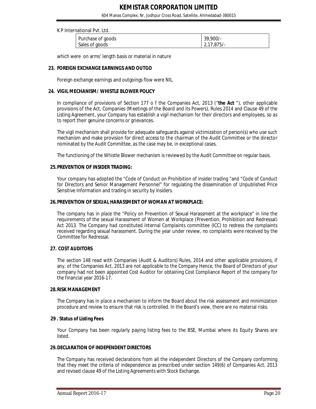604 Manas Complex, Nr, Jodhpur Cross Road, Satellite, Ahmedabad-380015

#### K P International Pvt. Ltd.

| Purchase of goods | $39.900/-$   |  |  |  |  |
|-------------------|--------------|--|--|--|--|
| Sales of goods    | $2.17.875/-$ |  |  |  |  |

which were on arms' length basis or material in nature

#### **23. FOREIGN EXCHANGE EARNINGS AND OUTGO**

Foreign exchange earnings and outgoings flow were NIL.

#### **24. VIGIL MECHANISM/ WHISTLE BLOWER POLICY**

In compliance of provisions of Section 177 o f the Companies Act, 2013 ("**the Act** "), other applicable provisions of the Act, Companies (Meetings of the Board and its Powers), Rules 2014 and Clause 49 of the Listing Agreement, your Company has establish a vigil mechanism for their directors and employees, so as to report their genuine concerns or grievances.

The vigil mechanism shall provide for adequate safeguards against victimization of person(s) who use such mechanism and make provision for direct access to the chairman of the Audit Committee or the director nominated by the Audit Committee, as the case may be, in exceptional cases.

The functioning of the Whistle Blower mechanism is reviewed by the Audit Committee on regular basis.

#### **25.PREVENTION OF INSIDER TRADING:**

Your company has adopted the "Code of Conduct on Prohibition of insider trading "and "Code of Conduct for Directors and Senior Management Personnel" for regulating the dissemination of Unpublished Price Sensitive Information and trading in security by insiders.

#### **26.PREVENTION OF SEXUAL HARASSMENT OF WOMAN AT WORKPLACE:**

 The company has in place the "Policy on Prevention of Sexual Harassment at the workplace" in line the requirements of the sexual Harassment of Women at Workplace (Prevention, Prohibition and Redressal) Act 2013. The Company had constituted Internal Complaints committee (ICC) to redress the complaints received regarding sexual harassment. During the year under review, no complaints were received by the Committee for Redressal.

#### **27. COST AUDITORS**

The section 148 read with Companies (Audit & Auditors) Rules, 2014 and other applicable provisions, if any, of the Companies Act, 2013 are not applicable to the Company Hence, the Board of Directors of your company had not been appointed Cost Auditor for obtaining Cost Compliance Report of the company for the financial year 2016-17.

#### **28.RISK MANAGEMENT**

The Company has in place a mechanism to inform the Board about the risk assessment and minimization procedure and review to ensure that risk is controlled. In the Board's view, there are no material risks.

#### **29 . Status of Listing Fees**

Your Company has been regularly paying listing fees to the BSE, Mumbai where its Equity Shares are listed.

#### **29.DECLARATION OF INDEPENDENT DIRECTORS**

The Company has received declarations from all the independent Directors of the Company conforming that they meet the criteria of independence as prescribed under section 149(6) of Companies Act, 2013 and revised clause 49 of the Listing Agreements with Stock Exchange.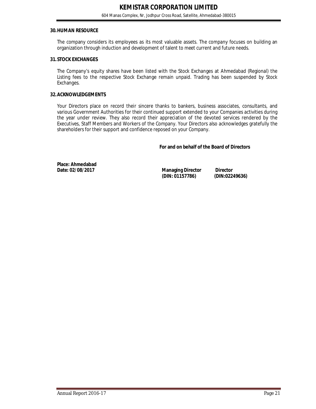#### **30.HUMAN RESOURCE**

The company considers its employees as its most valuable assets. The company focuses on building an organization through induction and development of talent to meet current and future needs.

#### **31.STOCK EXCHANGES**

The Company's equity shares have been listed with the Stock Exchanges at Ahmedabad (Regional) the Listing fees to the respective Stock Exchange remain unpaid. Trading has been suspended by Stock Exchanges.

#### **32.ACKNOWLEDGEMENTS**

Your Directors place on record their sincere thanks to bankers, business associates, consultants, and various Government Authorities for their continued support extended to your Companies activities during the year under review. They also record their appreciation of the devoted services rendered by the Executives, Staff Members and Workers of the Company. Your Directors also acknowledges gratefully the shareholders for their support and confidence reposed on your Company.

#### **For and on behalf of the Board of Directors**

**Place: Ahmedabad** 

**Managing Director Director**<br>(DIN: 01157786) (DIN:02249636) **(DIN: 01157786) (DIN:02249636)**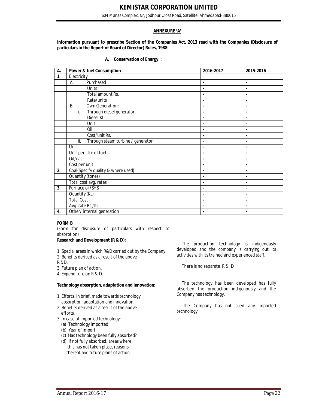604 Manas Complex, Nr, Jodhpur Cross Road, Satellite, Ahmedabad-380015

#### **ANNEXURE 'A'**

**Information pursuant to prescribe Section of the Companies Act, 2013 read with the Companies (Disclosure of particulars in the Report of Board of Director) Rules, 1988:**

| А. | <b>Conservation of Energy:</b> |  |  |
|----|--------------------------------|--|--|
|----|--------------------------------|--|--|

| А. | <b>Power &amp; fuel Consumption</b>      | 2016-2017      | 2015-2016      |
|----|------------------------------------------|----------------|----------------|
| 1. | Electricity                              |                |                |
|    | Purchased<br>А.                          | ٠              | $\blacksquare$ |
|    | Units                                    |                |                |
|    | Total amount Rs.                         |                | ٠              |
|    | Rate/units                               |                |                |
|    | Own Generation:<br><b>B.</b>             |                | ٠              |
|    | Through diesel generator<br>i.           |                |                |
|    | <b>Diesel KI</b>                         |                | $\blacksquare$ |
|    | Unit                                     | $\blacksquare$ | $\blacksquare$ |
|    | Oil                                      | $\blacksquare$ | $\blacksquare$ |
|    | Cost/unit Rs.                            | $\blacksquare$ | $\blacksquare$ |
|    | Through steam turbine / generator<br>ii. | $\blacksquare$ | ٠              |
|    | Unit                                     | ٠              | ٠              |
|    | Unit per litre of fuel                   | $\blacksquare$ | $\blacksquare$ |
|    | Oil/gas                                  | $\blacksquare$ | $\blacksquare$ |
|    | Cost per unit                            | $\blacksquare$ | $\blacksquare$ |
| 2. | Coal(Specify quality & where used)       | $\blacksquare$ | ٠              |
|    | Quantity (tones)                         | $\blacksquare$ | $\blacksquare$ |
|    | Total cost avg. rates                    | $\blacksquare$ | $\blacksquare$ |
| 3. | Furnace oil/SHS                          | ٠              | ٠              |
|    | Quantity (KL)                            | $\blacksquare$ | ٠              |
|    | <b>Total Cost</b>                        |                | ٠              |
|    | Avg. rate Rs./KL                         |                | ٠              |
| 4. | Other/ internal generation               |                |                |

#### **FORM B**

(Form for disclosure of particulars with respect to absorption)

#### **Research and Development (R & D):**

- 1. Special areas in which R&D carried out by the Company.
- 2. Benefits derived as a result of the above
- R &D.
- 3. Future plan of action.
- 4. Expenditure on R & D.

#### **Technology absorption, adaptation and innovation:**

- 1. Efforts, in brief, made towards technology absorption, adaptation and innovation.
- 2. Benefits derived as a result of the above efforts.
- 3. In case of imported technology:
	- (a) Technology imported
	- (b) Year of import
	- (c) Has technology been fully absorbed?
	- (d) If not fully absorbed, areas where this has not taken place, reasons thereof and future plans of action

The production technology is indigenously developed and the company is carrying out its activities with its trained and experienced staff.

There is no separate R & D

 The technology has been developed has fully absorbed the production indigenously and the Company has technology.

 The Company has not sued any imported technology.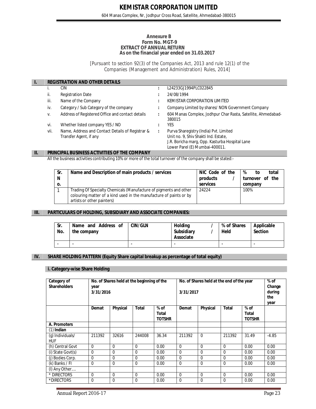#### **Annexure B Form No. MGT-9 EXTRACT OF ANNUAL RETURN As on the financial year ended on 31.03.2017**

[Pursuant to section 92(3) *of the Companies Act, 2013* and rule 12(1) of the Companies (Management and Administration) Rules, 2014]

| <b>REGISTRATION AND OTHER DETAILS</b> |                                                                            |   |                                                                                                                                                                    |  |  |  |
|---------------------------------------|----------------------------------------------------------------------------|---|--------------------------------------------------------------------------------------------------------------------------------------------------------------------|--|--|--|
|                                       | CIN                                                                        |   | L24233GJ1994PLC022845                                                                                                                                              |  |  |  |
| ii.                                   | <b>Registration Date</b>                                                   |   | 24/08/1994                                                                                                                                                         |  |  |  |
| iii.                                  | Name of the Company                                                        |   | KEMISTAR CORPORATION LIMITED                                                                                                                                       |  |  |  |
| iv.                                   | Category / Sub Category of the company                                     |   | Company Limited by shares/NON Government Company                                                                                                                   |  |  |  |
| V.                                    | Address of Registered Office and contact details                           | ÷ | 604 Manas Complex, Jodhpur Char Rasta, Satellite, Ahmedabad-<br>380015                                                                                             |  |  |  |
| vi.                                   | Whether listed company YES / NO                                            |   | YES                                                                                                                                                                |  |  |  |
| vii.                                  | Name, Address and Contact Details of Registrar &<br>Transfer Agent, if any |   | Purva Sharegistry (India) Pvt. Limited<br>Unit no. 9, Shiv Shakti Ind. Estate,<br>J.R. Boricha marg, Opp. Kasturba Hospital Lane<br>Lower Parel (E) Mumbai-400011. |  |  |  |

#### **II. PRINCIPAL BUSINESS ACTIVITIES OF THE COMPANY**

All the business activities contributing 10% or more of the total turnover of the company shall be stated:-

| Sr.<br>N<br>0. | Name and Description of main products / services                                                                                                                      | NIC Code of the<br>products<br>services | %<br>total<br>to<br>turnover of the<br>company |
|----------------|-----------------------------------------------------------------------------------------------------------------------------------------------------------------------|-----------------------------------------|------------------------------------------------|
|                | Trading Of Specialty Chemicals (Manufacture of pigments and other<br>colouring matter of a kind used in the manufacture of paints or by<br>artists or other painters) | 24224                                   | 100%                                           |

#### **III. PARTICULARS OF HOLDING, SUBSIDIARY AND ASSOCIATE COMPANIES:**

| Sr.<br>No. | Name and Address of<br>the company | <b>CIN/GLN</b> | Holdina<br><b>Subsidiary</b><br>Associate | % of Shares<br>Held | Applicable<br><b>Section</b> |
|------------|------------------------------------|----------------|-------------------------------------------|---------------------|------------------------------|
| ۰.         | -                                  | -              |                                           | -                   |                              |

#### **IV. SHARE HOLDING PATTERN (Equity Share capital breakup as percentage of total equity)**

#### **i. Category-wise Share Holding**

| Category of<br><b>Shareholders</b>  | No. of Shares held at the beginning of the<br>year<br>3/31/2016 |                 |             | No. of Shares held at the end of the year<br>3/31/2017 |             |                 |              | % of<br>Change<br>during<br>the<br>year |         |
|-------------------------------------|-----------------------------------------------------------------|-----------------|-------------|--------------------------------------------------------|-------------|-----------------|--------------|-----------------------------------------|---------|
|                                     | Demat                                                           | <b>Physical</b> | Total       | $%$ of<br>Total<br><b>TOTSHR</b>                       | Demat       | <b>Physical</b> | <b>Total</b> | $%$ of<br><b>Total</b><br><b>TOTSHR</b> |         |
| A. Promoters                        |                                                                 |                 |             |                                                        |             |                 |              |                                         |         |
| $(1)$ Indian                        |                                                                 |                 |             |                                                        |             |                 |              |                                         |         |
| (g) Individuals/<br><b>HUF</b>      | 211392                                                          | 32616           | 244008      | 36.34                                                  | 211392      | $\Omega$        | 211392       | 31.49                                   | $-4.85$ |
| (h) Central Govt                    | $\Omega$                                                        | $\Omega$        | $\mathbf 0$ | 0.00                                                   | $\Omega$    | $\Omega$        | $\Omega$     | 0.00                                    | 0.00    |
| (i) State Govt(s)                   | $\Omega$                                                        | $\Omega$        | $\Omega$    | 0.00                                                   | $\Omega$    | $\Omega$        | $\Omega$     | 0.00                                    | 0.00    |
| (j) Bodies Corp.                    | $\mathbf 0$                                                     | $\Omega$        | $\Omega$    | 0.00                                                   | $\Omega$    | $\Omega$        | $\Omega$     | 0.00                                    | 0.00    |
| (k) Banks / FI                      | $\Omega$                                                        | $\Omega$        | $\Omega$    | 0.00                                                   | $\Omega$    | $\Omega$        | $\Omega$     | 0.00                                    | 0.00    |
| $\overline{(\mathsf{I})}$ Any Other |                                                                 |                 |             |                                                        |             |                 |              |                                         |         |
| * DIRECTORS                         | $\Omega$                                                        | $\mathbf 0$     | $\mathbf 0$ | 0.00                                                   | $\Omega$    | $\Omega$        | $\Omega$     | 0.00                                    | 0.00    |
| *DIRECTORS                          | $\mathbf 0$                                                     | $\mathbf 0$     | $\mathbf 0$ | 0.00                                                   | $\mathbf 0$ | $\mathbf{0}$    | $\Omega$     | 0.00                                    | 0.00    |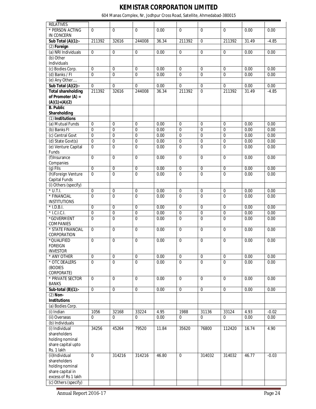604 Manas Complex, Nr, Jodhpur Cross Road, Satellite, Ahmedabad-380015

| <b>RELATIVES</b>                    |                |                |                  |       |                  |                  |                |       |         |
|-------------------------------------|----------------|----------------|------------------|-------|------------------|------------------|----------------|-------|---------|
| * PERSON ACTING                     | $\Omega$       | $\overline{0}$ | $\Omega$         | 0.00  | $\mathbf 0$      | $\Omega$         | $\Omega$       | 0.00  | 0.00    |
| IN CONCERN                          |                |                |                  |       |                  |                  |                |       |         |
| Sub Total $(A)(1)$ :-               | 211392         | 32616          | 244008           | 36.34 | 211392           | $\mathbf 0$      | 211392         | 31.49 | $-4.85$ |
| $(2)$ Foreign                       |                |                |                  |       |                  |                  |                |       |         |
| (a) NRI Individuals<br>(b) Other    | $\mathbf 0$    | $\overline{0}$ | $\overline{0}$   | 0.00  | $\overline{0}$   | $\mathbf 0$      | $\mathbf 0$    | 0.00  | 0.00    |
| Individuals                         |                |                |                  |       |                  |                  |                |       |         |
| (c) Bodies Corp.                    | $\overline{0}$ | $\overline{0}$ | $\mathbf 0$      | 0.00  | $\overline{0}$   | $\mathbf 0$      | 0              | 0.00  | 0.00    |
| (d) Banks / FI                      | $\Omega$       | $\overline{0}$ | $\overline{0}$   | 0.00  | $\overline{0}$   | $\mathbf{0}$     | $\mathbf{0}$   | 0.00  | 0.00    |
| (e) Any Other                       |                |                |                  |       |                  |                  |                |       |         |
| Sub Total (A)(2):-                  | $\overline{0}$ | $\mathbf 0$    | $\Omega$         | 0.00  | $\mathbf 0$      | $\pmb{0}$        | 0              | 0.00  | 0.00    |
| <b>Total shareholding</b>           | 211392         | 32616          | 244008           | 36.34 | 211392           | $\mathbf 0$      | 211392         | 31.49 | $-4.85$ |
| of Promoter $(A) =$                 |                |                |                  |       |                  |                  |                |       |         |
| $(A)(1)+(A)(2)$                     |                |                |                  |       |                  |                  |                |       |         |
| <b>B.</b> Public<br>Shareholding    |                |                |                  |       |                  |                  |                |       |         |
| (1) Institutions                    |                |                |                  |       |                  |                  |                |       |         |
| (a) Mutual Funds                    | $\mathbf 0$    | $\overline{0}$ | $\mathbf 0$      | 0.00  | $\overline{0}$   | $\Omega$         | $\Omega$       | 0.00  | 0.00    |
| (b) Banks FI                        | $\overline{0}$ | 0              | $\overline{0}$   | 0.00  | $\overline{0}$   | $\mathbf 0$      | $\Omega$       | 0.00  | 0.00    |
| (c) Central Govt                    | $\overline{0}$ | $\overline{0}$ | $\overline{0}$   | 0.00  | $\overline{0}$   | $\pmb{0}$        | $\mathbf 0$    | 0.00  | 0.00    |
| (d) State Govt(s)                   | $\pmb{0}$      | 0              | $\pmb{0}$        | 0.00  | $\mathbf 0$      | $\mathbf 0$      | $\mathbf 0$    | 0.00  | 0.00    |
| (e) Venture Capital                 | $\overline{0}$ | 0              | $\overline{0}$   | 0.00  | $\overline{0}$   | $\overline{0}$   | $\overline{0}$ | 0.00  | 0.00    |
| Funds                               |                |                |                  |       |                  |                  |                |       |         |
| (f) Insurance                       | $\overline{0}$ | $\overline{0}$ | $\overline{0}$   | 0.00  | $\overline{0}$   | $\overline{0}$   | $\Omega$       | 0.00  | 0.00    |
| Companies                           |                |                |                  |       |                  |                  |                |       |         |
| $(g)$ FIIs                          | $\overline{0}$ | 0              | $\pmb{0}$        | 0.00  | $\boldsymbol{0}$ | $\pmb{0}$        | $\mathbf 0$    | 0.00  | 0.00    |
| (h)Foreign Venture<br>Capital Funds | $\overline{0}$ | $\overline{0}$ | $\boldsymbol{0}$ | 0.00  | $\mathbf 0$      | $\overline{0}$   | $\overline{0}$ | 0.00  | 0.00    |
| (i) Others (specify)                |                |                |                  |       |                  |                  |                |       |         |
| $*$ U.T.I.                          | $\overline{0}$ | 0              | $\pmb{0}$        | 0.00  | $\pmb{0}$        | $\mathbf 0$      | $\mathbf 0$    | 0.00  | 0.00    |
| * FINANCIAL                         | $\overline{0}$ | $\overline{0}$ | $\overline{0}$   | 0.00  | $\mathbf 0$      | $\mathbf 0$      | $\overline{0}$ | 0.00  | 0.00    |
| <b>INSTITUTIONS</b>                 |                |                |                  |       |                  |                  |                |       |         |
| $*$ I.D.B.I.                        | $\mathbf 0$    | $\overline{0}$ | $\overline{0}$   | 0.00  | $\overline{0}$   | $\overline{0}$   | $\mathbf 0$    | 0.00  | 0.00    |
| $*$ I.C.I.C.I.                      | $\pmb{0}$      | 0              | $\overline{0}$   | 0.00  | $\overline{0}$   | $\pmb{0}$        | $\mathbf 0$    | 0.00  | 0.00    |
| *GOVERMENT                          | $\mathbf 0$    | $\overline{0}$ | $\pmb{0}$        | 0.00  | $\mathbf 0$      | $\mathbf 0$      | 0              | 0.00  | 0.00    |
| COMPANIES                           |                |                |                  |       |                  |                  |                |       |         |
| * STATE FINANCIAL<br>CORPORATION    | $\overline{0}$ | 0              | $\mathbf 0$      | 0.00  | $\overline{0}$   | $\mathbf 0$      | $\mathbf 0$    | 0.00  | 0.00    |
| *QUALIFIED                          | $\mathbf 0$    | 0              | $\pmb{0}$        | 0.00  | $\mathbf 0$      | $\mathbf 0$      | $\mathbf 0$    | 0.00  | 0.00    |
| <b>FOREIGN</b>                      |                |                |                  |       |                  |                  |                |       |         |
| <b>INVESTOR</b>                     |                |                |                  |       |                  |                  |                |       |         |
| * ANY OTHER                         | $\mathbf 0$    | 0              | $\pmb{0}$        | 0.00  | $\pmb{0}$        | $\pmb{0}$        | $\mathbf 0$    | 0.00  | 0.00    |
| * OTC DEALERS                       | $\Omega$       | $\overline{0}$ | $\Omega$         | 0.00  | $\mathbf 0$      | $\boldsymbol{0}$ | $\Omega$       | 0.00  | 0.00    |
| (BODIES                             |                |                |                  |       |                  |                  |                |       |         |
| CORPORATE)                          |                |                |                  |       |                  |                  |                |       |         |
| * PRIVATE SECTOR                    | $\mathbf 0$    | $\overline{0}$ | $\mathbf 0$      | 0.00  | $\overline{0}$   | $\mathbf 0$      | $\mathbf 0$    | 0.00  | 0.00    |
| <b>BANKS</b>                        |                |                |                  |       |                  |                  |                |       |         |
| Sub-total $(B)(1)$ :-<br>$(2)$ Non- | $\mathbf 0$    | $\pmb{0}$      | $\overline{0}$   | 0.00  | $\mathbf 0$      | $\pmb{0}$        | $\mathbf 0$    | 0.00  | 0.00    |
| <b>Institutions</b>                 |                |                |                  |       |                  |                  |                |       |         |
| (a) Bodies Corp.                    |                |                |                  |       |                  |                  |                |       |         |
| (i) Indian                          | 1056           | 32168          | 33224            | 4.95  | 1988             | 31136            | 33124          | 4.93  | $-0.02$ |
| (ii) Overseas                       | $\overline{0}$ | $\mathbf 0$    | 0                | 0.00  | $\mathbf 0$      | 0                | $\mathbf 0$    | 0.00  | 0.00    |
| (b) Individuals                     |                |                |                  |       |                  |                  |                |       |         |
| (i) Individual                      | 34256          | 45264          | 79520            | 11.84 | 35620            | 76800            | 112420         | 16.74 | 4.90    |
| shareholders                        |                |                |                  |       |                  |                  |                |       |         |
| holding nominal                     |                |                |                  |       |                  |                  |                |       |         |
| share capital upto                  |                |                |                  |       |                  |                  |                |       |         |
| Rs. 1 lakh                          |                |                |                  |       |                  |                  |                |       |         |
| (ii)Individual<br>shareholders      | $\mathbf 0$    | 314216         | 314216           | 46.80 | $\mathbf 0$      | 314032           | 314032         | 46.77 | $-0.03$ |
| holding nominal                     |                |                |                  |       |                  |                  |                |       |         |
| share capital in                    |                |                |                  |       |                  |                  |                |       |         |
| excess of Rs 1 lakh                 |                |                |                  |       |                  |                  |                |       |         |
| (c) Others (specify)                |                |                |                  |       |                  |                  |                |       |         |
|                                     |                |                |                  |       |                  |                  |                |       |         |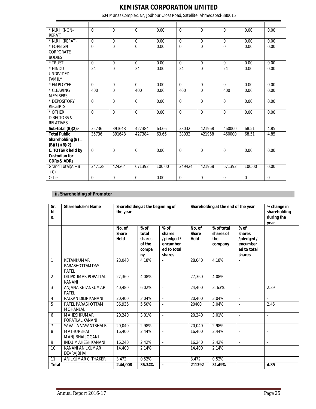604 Manas Complex, Nr, Jodhpur Cross Road, Satellite, Ahmedabad-380015

| * N.R.I. (NON-         | $\Omega$    | $\Omega$ | $\Omega$ | 0.00   | $\Omega$    | $\Omega$    | $\Omega$ | 0.00        | 0.00        |
|------------------------|-------------|----------|----------|--------|-------------|-------------|----------|-------------|-------------|
| REPAT)                 |             |          |          |        |             |             |          |             |             |
| * N.R.I. (REPAT)       | $\Omega$    | $\Omega$ | $\Omega$ | 0.00   | $\Omega$    | $\Omega$    | $\Omega$ | 0.00        | 0.00        |
| * FOREIGN              | 0           | $\Omega$ | $\Omega$ | 0.00   | $\mathbf 0$ | $\mathbf 0$ | $\Omega$ | 0.00        | 0.00        |
| <b>CORPORATE</b>       |             |          |          |        |             |             |          |             |             |
| <b>BODIES</b>          |             |          |          |        |             |             |          |             |             |
| * TRUST                | $\Omega$    | $\Omega$ | $\Omega$ | 0.00   | $\Omega$    | $\mathbf 0$ | $\Omega$ | 0.00        | 0.00        |
| * HINDU                | 24          | $\Omega$ | 24       | 0.00   | 24          | $\Omega$    | 24       | 0.00        | 0.00        |
| <b>UNDIVIDED</b>       |             |          |          |        |             |             |          |             |             |
| <b>FAMILY</b>          |             |          |          |        |             |             |          |             |             |
| * EMPLOYEE             | $\Omega$    | $\Omega$ | $\Omega$ | 0.00   | $\Omega$    | $\mathbf 0$ | $\Omega$ | 0.00        | 0.00        |
| * CLEARING             | 400         | $\Omega$ | 400      | 0.06   | 400         | $\Omega$    | 400      | 0.06        | 0.00        |
| <b>MEMBERS</b>         |             |          |          |        |             |             |          |             |             |
| * DEPOSITORY           | $\Omega$    | $\Omega$ | $\Omega$ | 0.00   | $\Omega$    | $\Omega$    | $\Omega$ | 0.00        | 0.00        |
| <b>RECEIPTS</b>        |             |          |          |        |             |             |          |             |             |
| * OTHER                | $\Omega$    | $\Omega$ | $\Omega$ | 0.00   | $\Omega$    | $\Omega$    | $\Omega$ | 0.00        | 0.00        |
| <b>DIRECTORS &amp;</b> |             |          |          |        |             |             |          |             |             |
| <b>RELATIVES</b>       |             |          |          |        |             |             |          |             |             |
| Sub-total $(B)(2)$ :-  | 35736       | 391648   | 427384   | 63.66  | 38032       | 421968      | 460000   | 68.51       | 4.85        |
| <b>Total Public</b>    | 35736       | 391648   | 427384   | 63.66  | 38032       | 421968      | 460000   | 68.51       | 4.85        |
| Shareholding $(B)$ =   |             |          |          |        |             |             |          |             |             |
| $(B)(1)+(B)(2)$        |             |          |          |        |             |             |          |             |             |
| C. TOTSHR held by      | $\Omega$    | $\Omega$ | $\Omega$ | 0.00   | $\Omega$    | $\Omega$    | $\Omega$ | 0.00        | 0.00        |
| <b>Custodian for</b>   |             |          |          |        |             |             |          |             |             |
| <b>GDRs &amp; ADRs</b> |             |          |          |        |             |             |          |             |             |
| Grand Total $(A + B)$  | 247128      | 424264   | 671392   | 100.00 | 249424      | 421968      | 671392   | 100.00      | 0.00        |
| $+ C$                  |             |          |          |        |             |             |          |             |             |
| Other                  | $\mathbf 0$ | $\Omega$ | $\Omega$ | 0.00   | $\Omega$    | $\Omega$    | $\Omega$ | $\mathbf 0$ | $\mathbf 0$ |

# **ii. Shareholding of Promoter**

| Sr.<br>N<br>0. | <b>Shareholder's Name</b>                    | the year                       | Shareholding at the beginning of                   |                                                                    |                                | Shareholding at the end of the year       |                                                                    |                          |  |
|----------------|----------------------------------------------|--------------------------------|----------------------------------------------------|--------------------------------------------------------------------|--------------------------------|-------------------------------------------|--------------------------------------------------------------------|--------------------------|--|
|                |                                              | No. of<br><b>Share</b><br>Held | $%$ of<br>total<br>shares<br>of the<br>compa<br>ny | $%$ of<br>shares<br>/pledged/<br>encumber<br>ed to total<br>shares | No. of<br><b>Share</b><br>Held | % of total<br>shares of<br>the<br>company | $%$ of<br>shares<br>/pledged/<br>encumber<br>ed to total<br>shares |                          |  |
| $\mathbf{1}$   | KETANKUMAR<br>PARASHOTTAMDAS<br><b>PATEL</b> | 28,040                         | 4.18%                                              | $\overline{a}$                                                     | 28.040                         | 4.18%                                     |                                                                    |                          |  |
| 2              | DILIPKUMAR POPATLAL<br><b>KANANI</b>         | 27,360                         | 4.08%                                              | $\overline{a}$                                                     | 27,360                         | 4.08%                                     | $\overline{a}$                                                     | $\overline{a}$           |  |
| 3              | ANJANA KETANKUMAR<br>PATEL                   | 40.480                         | 6.02%                                              | $\overline{\phantom{a}}$                                           | 24,400                         | 3.63%                                     | $\sim$                                                             | 2.39                     |  |
| 4              | PALKAN DILIP KANANI                          | 20,400                         | 3.04%                                              | $\overline{\phantom{a}}$                                           | 20,400                         | 3.04%                                     | $\mathbf{r}$                                                       | $\overline{a}$           |  |
| 5              | PATEL PARASHOTTAM<br><b>MOHANLAL</b>         | 36,936                         | 5.50%                                              | ÷,                                                                 | 20400                          | 3.04%                                     | ÷,                                                                 | 2.46                     |  |
| 6              | <b>MAHESHKUMAR</b><br>POPATLAL KANANI        | 20,240                         | 3.01%                                              | L,                                                                 | 20,240                         | 3.01%                                     | $\overline{a}$                                                     | $\overline{a}$           |  |
| $\overline{7}$ | SAVALIA VASANTBHAI B                         | 20,040                         | 2.98%                                              | $\overline{\phantom{a}}$                                           | 20,040                         | 2.98%                                     | $\mathcal{L}$                                                      | $\blacksquare$           |  |
| 8              | <b>MATHURBHAI</b><br><b>MANJIBHAI JOGANI</b> | 16,400                         | 2.44%                                              | $\overline{\phantom{a}}$                                           | 16,400                         | 2.44%                                     | $\overline{a}$                                                     | $\overline{a}$           |  |
| 9              | <b>INDU MAHESH KANANI</b>                    | 16,240                         | 2.42%                                              | $\overline{\phantom{a}}$                                           | 16,240                         | 2.42%                                     | $\sim$                                                             | $\overline{\phantom{a}}$ |  |
| 10             | KANANI ANILKUMAR<br><b>DEVRAJBHAI</b>        | 14,400                         | 2.14%                                              |                                                                    | 14,400                         | 2.14%                                     |                                                                    |                          |  |
| 11             | ANILKUMAR C. THAKER                          | 3.472                          | 0.52%                                              |                                                                    | 3,472                          | 0.52%                                     |                                                                    |                          |  |
| <b>Total</b>   |                                              | 2,44,008                       | 36.34%                                             | $\blacksquare$                                                     | 211392                         | 31.49%                                    |                                                                    | 4.85                     |  |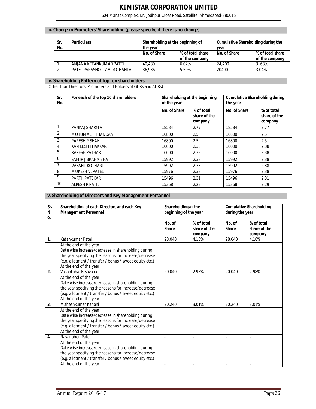# **iii. Change in Promoters' Shareholding (please specify, if there is no change)**

| Sr.<br>No. | <b>Particulars</b>         | Shareholding at the beginning of<br>the year       |       | Cumulative Shareholding during the<br>vear |                                    |  |
|------------|----------------------------|----------------------------------------------------|-------|--------------------------------------------|------------------------------------|--|
|            |                            | No. of Share<br>% of total share<br>of the company |       | No. of Share                               | % of total share<br>of the company |  |
|            | ANJANA KETANKUMAR PATEL    | 40.480                                             | 6.02% | 24.400                                     | 3.63%                              |  |
| z.         | PATEL PARASHOTTAM MOHANLAL | 36.936                                             | 5.50% | 20400                                      | 3.04%                              |  |

#### **iv. Shareholding Pattern of top ten shareholders**

(Other than Directors, Promoters and Holders of GDRs and ADRs)

| Sr.<br>No.     | For each of the top 10 shareholders | of the year  | Shareholding at the beginning         | <b>Cumulative Shareholding during</b><br>the year |                                       |  |
|----------------|-------------------------------------|--------------|---------------------------------------|---------------------------------------------------|---------------------------------------|--|
|                |                                     | No. of Share | % of total<br>share of the<br>company | No. of Share                                      | % of total<br>share of the<br>company |  |
| 1              | PANKAJ SHARMA                       | 18584        | 2.77                                  | 18584                                             | 2.77                                  |  |
| 2              | MOTUMAL T THANDANI                  | 16800        | 2.5                                   | 16800                                             | 2.5                                   |  |
| 3              | PARESH P SHAH                       | 16800        | 2.5                                   | 16800                                             | 2.5                                   |  |
| 4              | KAMLESH THAKKAR                     | 16000        | 2.38                                  | 16000                                             | 2.38                                  |  |
| 5              | RAKESH PATHAK                       | 16000        | 2.38                                  | 16000                                             | 2.38                                  |  |
| 6              | SAMIR J BRAHMBHATT                  | 15992        | 2.38                                  | 15992                                             | 2.38                                  |  |
| $\overline{7}$ | <b>VASANT KOTHARI</b>               | 15992        | 2.38                                  | 15992                                             | 2.38                                  |  |
| 8              | <b>MUKESH V. PATEL</b>              | 15976        | 2.38                                  | 15976                                             | 2.38                                  |  |
| 9              | PARTH PATEKAR                       | 15496        | 2.31                                  | 15496                                             | 2.31                                  |  |
| 10             | ALPESH R PATIL                      | 15368        | 2.29                                  | 15368                                             | 2.29                                  |  |

#### **v. Shareholding of Directors and Key Management Personnel**

| Sr.<br>N<br>0. | Shareholding of each Directors and each Key<br>Shareholding at the<br><b>Management Personnel</b><br>beginning of the year                                                                                                 |                        |                                       | <b>Cumulative Shareholding</b><br>during the year |                                       |  |
|----------------|----------------------------------------------------------------------------------------------------------------------------------------------------------------------------------------------------------------------------|------------------------|---------------------------------------|---------------------------------------------------|---------------------------------------|--|
|                |                                                                                                                                                                                                                            | No. of<br><b>Share</b> | % of total<br>share of the<br>company | No. of<br><b>Share</b>                            | % of total<br>share of the<br>company |  |
| 1.             | Ketankumar Patel                                                                                                                                                                                                           | 28.040                 | 4.18%                                 | 28.040                                            | 4.18%                                 |  |
|                | At the end of the year<br>Date wise increase/decrease in shareholding during<br>the year specifying the reasons for increase/decrease<br>(e.g. allotment / transfer / bonus / sweet equity etc.)<br>At the end of the year |                        |                                       |                                                   |                                       |  |
| 2.             | Vasantbhai B Savalia                                                                                                                                                                                                       | 20.040                 | 2.98%                                 | 20,040                                            | 2.98%                                 |  |
|                | At the end of the year<br>Date wise increase/decrease in shareholding during<br>the year specifying the reasons for increase/decrease<br>(e.g. allotment / transfer / bonus / sweet equity etc.)<br>At the end of the year |                        |                                       |                                                   |                                       |  |
| 3.             | Maheshkumar Kanani                                                                                                                                                                                                         | 20.240                 | 3.01%                                 | 20,240                                            | 3.01%                                 |  |
|                | At the end of the year<br>Date wise increase/decrease in shareholding during<br>the year specifying the reasons for increase/decrease<br>(e.g. allotment / transfer / bonus / sweet equity etc.)<br>At the end of the year |                        |                                       |                                                   |                                       |  |
| 4.             | Nayanaben Patel                                                                                                                                                                                                            |                        |                                       |                                                   | $\overline{a}$                        |  |
|                | At the end of the year<br>Date wise increase/decrease in shareholding during<br>the year specifying the reasons for increase/decrease<br>(e.g. allotment / transfer / bonus / sweet equity etc.)<br>At the end of the year |                        |                                       |                                                   |                                       |  |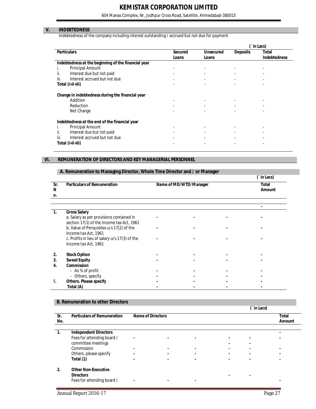604 Manas Complex, Nr, Jodhpur Cross Road, Satellite, Ahmedabad-380015

### **V. INDEBTEDNESS**

Indebtedness of the company including interest outstanding / accrued but not due for payment

|                                                     |                |                          | in Lacs)                 |                          |  |
|-----------------------------------------------------|----------------|--------------------------|--------------------------|--------------------------|--|
| <b>Particulars</b>                                  | <b>Secured</b> | <b>Unsecured</b>         | <b>Deposits</b>          | Total                    |  |
|                                                     | Loans          | Loans                    |                          | <b>Indebtedness</b>      |  |
| Indebtedness at the beginning of the financial year |                |                          |                          |                          |  |
| <b>Principal Amount</b>                             |                |                          |                          |                          |  |
| Interest due but not paid<br>ii.                    |                |                          |                          |                          |  |
| iii.<br>Interest accrued but not due                |                |                          |                          |                          |  |
| Total (i+ii+iii)                                    |                |                          |                          |                          |  |
| Change in indebtedness during the financial year    |                |                          |                          |                          |  |
| Addition                                            | -              |                          |                          |                          |  |
| Reduction                                           |                |                          |                          |                          |  |
| Net Change                                          |                |                          |                          |                          |  |
| Indebtedness at the end of the financial year       |                |                          |                          |                          |  |
| <b>Principal Amount</b>                             | -              | $\overline{\phantom{a}}$ |                          |                          |  |
| Interest due but not paid<br>ii.                    | -              | $\overline{\phantom{a}}$ |                          |                          |  |
| iii.<br>Interest accrued but not due                | ٠              | $\overline{\phantom{a}}$ | $\overline{\phantom{a}}$ | $\overline{\phantom{a}}$ |  |
| Total (i+ii+iii)                                    | ٠              |                          |                          |                          |  |

### **VI. REMUNERATION OF DIRECTORS AND KEY MANAGERIAL PERSONNEL**

#### **A. Remuneration to Managing Director, Whole Time Director and / or Manager**

|              |                                               |                        | (in Lacs)    |
|--------------|-----------------------------------------------|------------------------|--------------|
| Sr.          | <b>Particulars of Remuneration</b>            | Name of MD/WTD/Manager | <b>Total</b> |
| N            |                                               |                        | Amount       |
| О.           |                                               |                        |              |
|              |                                               |                        |              |
|              |                                               |                        |              |
| 1.           | <b>Gross Salary</b>                           |                        |              |
|              | a. Salary as per provisions contained in      |                        |              |
|              | section 17(1) of the Income tax Act, 1961     |                        |              |
|              | b. Value of Perquisites u/s 17(2) of the      |                        |              |
|              | Income tax Act, 1961                          |                        |              |
|              | c. Profits in lieu of salary u/s 17(3) of the |                        |              |
|              | Income tax Act, 1961                          |                        |              |
|              |                                               |                        |              |
| $\mathbf{2}$ | <b>Stock Option</b>                           |                        |              |
| 3.           | <b>Sweat Equity</b>                           |                        |              |
| 4.           | Commission                                    |                        |              |
|              | - As % of profit                              |                        |              |
|              | - Others, specify                             |                        |              |
| 5.           | Others. Please specify                        |                        |              |
|              | Total (A)                                     |                        |              |

#### **B. Remuneration to other Directors**

|                |                                                  |                          |                |                | in Lacs)       |                                  |                        |
|----------------|--------------------------------------------------|--------------------------|----------------|----------------|----------------|----------------------------------|------------------------|
| Sr.<br>No.     | <b>Particulars of Remuneration</b>               | <b>Name of Directors</b> |                |                |                |                                  | <b>Total</b><br>Amount |
| 1.             | <b>Independent Directors</b>                     |                          |                |                |                |                                  |                        |
|                | Fees for attending board /<br>committee meetings | $\blacksquare$           | $\overline{a}$ |                | $\blacksquare$ | $\blacksquare$<br>$\blacksquare$ |                        |
|                | Commission                                       |                          | $\blacksquare$ |                |                | $\blacksquare$                   |                        |
|                | Others, please specify                           |                          | $\blacksquare$ |                | $\blacksquare$ | $\blacksquare$                   |                        |
|                | Total (1)                                        |                          | $\blacksquare$ | $\blacksquare$ | $\blacksquare$ | $\blacksquare$                   |                        |
| $\overline{2}$ | <b>Other Non-Executive</b><br><b>Directors</b>   |                          |                |                |                | $\blacksquare$                   |                        |
|                | Fees for attending board /                       | $\blacksquare$           | $\blacksquare$ |                |                |                                  |                        |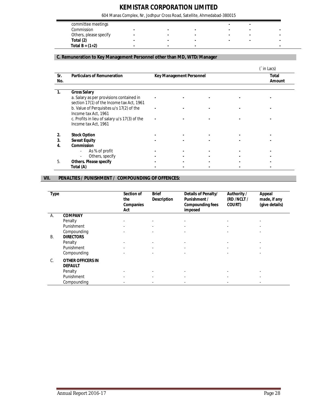604 Manas Complex, Nr, Jodhpur Cross Road, Satellite, Ahmedabad-380015

| committee meetings     |  |  |  |
|------------------------|--|--|--|
| Commission             |  |  |  |
| Others, please specify |  |  |  |
| Total (2)              |  |  |  |
| Total B = $(1+2)$      |  |  |  |

### **C. Remuneration to Key Management Personnel other than MD, WTD/Manager**

|            |                                                                 |                                 |                               |  | `in Lacs) |
|------------|-----------------------------------------------------------------|---------------------------------|-------------------------------|--|-----------|
| Sr.<br>No. | <b>Particulars of Remuneration</b>                              | <b>Key Management Personnel</b> | <b>Total</b><br><b>Amount</b> |  |           |
|            | <b>Gross Salary</b><br>a. Salary as per provisions contained in |                                 |                               |  |           |
|            | section 17(1) of the Income tax Act, 1961                       |                                 |                               |  |           |
|            | b. Value of Perquisites u/s 17(2) of the                        |                                 |                               |  |           |
|            | Income tax Act, 1961                                            |                                 |                               |  |           |
|            | c. Profits in lieu of salary u/s 17(3) of the                   |                                 |                               |  |           |
|            | Income tax Act, 1961                                            |                                 |                               |  |           |
| 2.         | <b>Stock Option</b>                                             |                                 |                               |  |           |
| 3.         | <b>Sweat Equity</b>                                             |                                 |                               |  |           |
| 4.         | <b>Commission</b>                                               |                                 |                               |  |           |
|            | As % of profit<br>$\overline{\phantom{a}}$                      |                                 |                               |  |           |
|            | Others, specify<br>$\overline{\phantom{a}}$                     |                                 |                               |  |           |
| .5         | <b>Others. Please specify</b>                                   |                                 |                               |  |           |
|            | Total (A)                                                       |                                 |                               |  |           |

#### **VII. PENALTIES / PUNISHMENT / COMPOUNDING OF OFFENCES:**

| <b>Type</b> |                                            | Section of<br>the<br><b>Companies</b><br>Act | <b>Brief</b><br><b>Description</b> | Details of Penalty/<br><b>Punishment /</b><br><b>Compounding fees</b><br>imposed | Authority /<br>(RD /NCLT /<br><b>COURT</b> ) | <b>Appeal</b><br>made, if any<br>(give details) |
|-------------|--------------------------------------------|----------------------------------------------|------------------------------------|----------------------------------------------------------------------------------|----------------------------------------------|-------------------------------------------------|
| А.          | <b>COMPANY</b>                             |                                              |                                    |                                                                                  |                                              |                                                 |
|             | Penalty                                    |                                              | $\overline{\phantom{a}}$           |                                                                                  |                                              |                                                 |
|             | Punishment                                 |                                              | $\overline{\phantom{a}}$           |                                                                                  |                                              |                                                 |
|             | Compounding                                |                                              | ٠                                  |                                                                                  | $\overline{\phantom{a}}$                     |                                                 |
| В.          | <b>DIRECTORS</b>                           |                                              |                                    |                                                                                  |                                              |                                                 |
|             | Penalty                                    |                                              | ٠                                  |                                                                                  |                                              |                                                 |
|             | Punishment                                 |                                              |                                    |                                                                                  |                                              |                                                 |
|             | Compounding                                |                                              | ٠                                  |                                                                                  |                                              |                                                 |
| C.          | <b>OTHER OFFICERS IN</b><br><b>DEFAULT</b> |                                              |                                    |                                                                                  |                                              |                                                 |
|             | Penalty                                    |                                              | ٠                                  |                                                                                  |                                              |                                                 |
|             | Punishment                                 |                                              | ۰                                  | $\overline{\phantom{a}}$                                                         |                                              |                                                 |
|             | Compounding                                |                                              |                                    |                                                                                  |                                              |                                                 |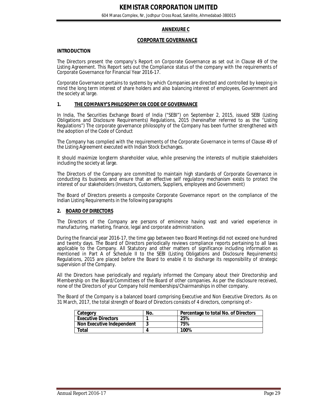# **ANNEXURE C**

#### **CORPORATE GOVERNANCE**

#### **INTRODUCTION**

The Directors present the company's Report on Corporate Governance as set out in Clause 49 of the Listing Agreement. This Report sets out the Compliance status of the company with the requirements of Corporate Governance for Financial Year 2016-17.

Corporate Governance pertains to systems by which Companies are directed and controlled by keeping in mind the long term interest of share holders and also balancing interest of employees, Government and the society at large.

#### **1. THE COMPANY'S PHILOSOPHY ON CODE OF GOVERNANCE**

In India, The Securities Exchange Board of India ("SEBI") on September 2, 2015, issued SEBI (Listing Obligations and Disclosure Requirements) Regulations, 2015 (hereinafter referred to as the "Listing Regulations") The corporate governance philosophy of the Company has been further strengthened with the adoption of the Code of Conduct

The Company has complied with the requirements of the Corporate Governance in terms of Clause 49 of the Listing Agreement executed with Indian Stock Exchanges.

It should maximize longterm shareholder value, while preserving the interests of multiple stakeholders including the society at large.

The Directors of the Company are committed to maintain high standards of Corporate Governance in conducting its business and ensure that an effective self regulatory mechanism exists to protect the interest of our stakeholders (Investors, Customers, Suppliers, employees and Government)

The Board of Directors presents a composite Corporate Governance report on the compliance of the Indian Listing Requirements in the following paragraphs

#### **2. BOARD OF DIRECTORS**

The Directors of the Company are persons of eminence having vast and varied experience in manufacturing, marketing, finance, legal and corporate administration.

During the financial year 2016-17, the time gap between two Board Meetings did not exceed one hundred and twenty days. The Board of Directors periodically reviews compliance reports pertaining to all laws applicable to the Company. All Statutory and other matters of significance including information as mentioned in Part A of Schedule II to the SEBI (Listing Obligations and Disclosure Requirements) Regulations, 2015 are placed before the Board to enable it to discharge its responsibility of strategic supervision of the Company.

All the Directors have periodically and regularly informed the Company about their Directorship and Membership on the Board/Committees of the Board of other companies. As per the disclosure received, none of the Directors of your Company hold memberships/Chairmanships in other company.

The Board of the Company is a balanced board comprising Executive and Non Executive Directors. As on 31 March, 2017, the total strength of Board of Directors consists of 4 directors, comprising of:-

| Category                   | No. | Percentage to total No. of Directors |
|----------------------------|-----|--------------------------------------|
| <b>Executive Directors</b> |     | 25%                                  |
| Non Executive Independent  |     | 75%                                  |
| Total                      |     | 100%                                 |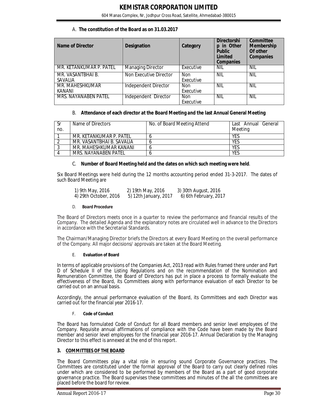| Name of Director             | <b>Designation</b>       | Category                | <b>Directorshi</b><br>in Other<br>D<br><b>Public</b><br>Limited<br><b>Companies</b> | Committee<br>Membership<br>Of other<br><b>Companies</b> |
|------------------------------|--------------------------|-------------------------|-------------------------------------------------------------------------------------|---------------------------------------------------------|
| MR. KETANKUMAR P. PATEL      | <b>Managing Director</b> | Executive               | NIL                                                                                 | NIL                                                     |
| MR. VASANTBHAI B.<br>SAVALIA | Non Executive Director   | <b>Non</b><br>Executive | <b>NIL</b>                                                                          | <b>NIL</b>                                              |
| MR. MAHESHKUMAR<br>KANANI    | Independent Director     | <b>Non</b><br>Executive | NIL                                                                                 | <b>NIL</b>                                              |
| MRS. NAYANABEN PATEL         | Independent Director     | <b>Non</b><br>Executive | <b>NIL</b>                                                                          | <b>NIL</b>                                              |

#### B. **Attendance of each director at the Board Meeting and the last Annual General Meeting**

| Sr<br>no. | Name of Directors         | No. of Board Meeting Attend | Last Annual General<br>Meeting |
|-----------|---------------------------|-----------------------------|--------------------------------|
|           | MR. KFTANKUMAR P. PATFI   |                             | <b>YES</b>                     |
|           | MR. VASANTBHAI B. SAVALIA |                             | YES                            |
|           | MR. MAHESHKUMAR KANANI    |                             | YES                            |
|           | MRS. NAYANABEN PATEL      |                             | YES                            |

#### C. **Number of Board Meeting held and the dates on which such meeting were held**.

Six Board Meetings were held during the 12 months accounting period ended 31-3-2017. The dates of such Board Meeting are

| 1) 9th May, 2016      | 2) 19th May, 2016     | 3) 30th August, 2016  |
|-----------------------|-----------------------|-----------------------|
| 4) 29th October, 2016 | 5) 12th January, 2017 | 6) 6th February, 2017 |

#### D. **Board Procedure**

The Board of Directors meets once in a quarter to review the performance and financial results of the Company. The detailed Agenda and the explanatory notes are circulated well in advance to the Directors in accordance with the Secretarial Standards.

The Chairman/Managing Director briefs the Directors at every Board Meeting on the overall performance of the Company. All major decisions/ approvals are taken at the Board Meeting.

#### E. **Evaluation of Board**

In terms of applicable provisions of the Companies Act, 2013 read with Rules framed there under and Part D of Schedule II of the Listing Regulations and on the recommendation of the Nomination and Remuneration Committee, the Board of Directors has put in place a process to formally evaluate the effectiveness of the Board, its Committees along with performance evaluation of each Director to be carried out on an annual basis.

Accordingly, the annual performance evaluation of the Board, its Committees and each Director was carried out for the financial year 2016-17.

#### F. **Code of Conduct**

The Board has formulated Code of Conduct for all Board members and senior level employees of the Company. Requisite annual affirmations of compliance with the Code have been made by the Board member and senior level employees for the financial year 2016-17. Annual Declaration by the Managing Director to this effect is annexed at the end of this report.

#### **3. COMMITTEES OF THE BOARD**

The Board Committees play a vital role in ensuring sound Corporate Governance practices. The Committees are constituted under the formal approval of the Board to carry out clearly defined roles under which are considered to be performed by members of the Board as a part of good corporate governance practice. The Board supervises these committees and minutes of the all the committees are placed before the board for review.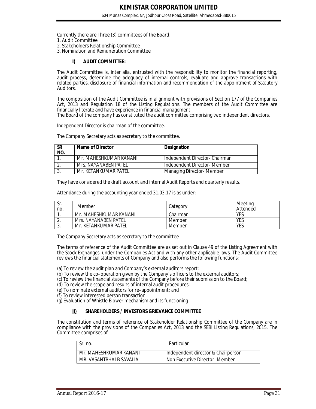Currently there are Three (3) committees of the Board.

- 1. Audit Committee
- 2. Stakeholders Relationship Committee
- 3. Nomination and Remuneration Committee

#### **I) AUDIT COMMITTEE:**

The Audit Committee is, inter alia, entrusted with the responsibility to monitor the financial reporting, audit process, determine the adequacy of internal controls, evaluate and approve transactions with related parties, disclosure of financial information and recommendation of the appointment of Statutory Auditors.

The composition of the Audit Committee is in alignment with provisions of Section 177 of the Companies Act, 2013 and Regulation 18 of the Listing Regulations. The members of the Audit Committee are financially literate and have experience in financial management.

The Board of the company has constituted the audit committee comprising two independent directors.

Independent Director is chairman of the committee.

The Company Secretary acts as secretary to the committee.

| <b>SR</b><br>NO. | Name of Director       | <b>Designation</b>            |
|------------------|------------------------|-------------------------------|
|                  | Mr. MAHESHKUMAR KANANI | Independent Director-Chairman |
|                  | Mrs. NAYANABEN PATEL   | Independent Director- Member  |
|                  | Mr. KETANKUMAR PATEL   | Managing Director- Member     |

They have considered the draft account and internal Audit Reports and quarterly results.

Attendance during the accounting year ended 31.03.17 is as under:

| Sr.<br>no. | Member                 | Category | Meeting<br>Attended |
|------------|------------------------|----------|---------------------|
|            | Mr. MAHESHKUMAR KANANI | Chairman | YES                 |
| <u>.</u>   | Mrs. NAYANABEN PATEL   | Member   | YES                 |
| . ب        | Mr. KETANKUMAR PATEL   | Member   | YES                 |

The Company Secretary acts as secretary to the committee

The terms of reference of the Audit Committee are as set out in Clause 49 of the Listing Agreement with the Stock Exchanges, under the Companies Act and with any other applicable laws. The Audit Committee reviews the financial statements of Company and also performs the following functions:

(a) To review the audit plan and Company's external auditors report;

(b) To review the co–operation given by the Company's officers to the external auditors;

(c) To review the financial statements of the Company before their submission to the Board;

- (d) To review the scope and results of internal audit procedures;
- (e) To nominate external auditors for re–appointment; and

(f) To review interested person transaction

(g) Evaluation of Whistle Blower mechanism and its functioning

#### **II) SHAREHOLDERS / INVESTORS GRIEVANCE COMMITTEE**

The constitution and terms of reference of Stakeholder Relationship Committee of the Company are in compliance with the provisions of the Companies Act, 2013 and the SEBI Listing Regulations, 2015. The Committee comprises of

| Sr. no.                  | Particular                         |
|--------------------------|------------------------------------|
| Mr. MAHESHKUMAR KANANI   | Independent director & Chairperson |
| MR. VASANTBHAI B SAVALIA | Non Executive Director- Member     |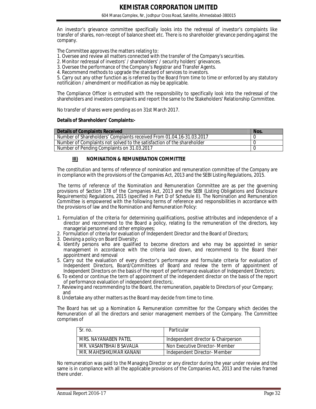An investor's grievance committee specifically looks into the redressal of investor's complaints like transfer of shares, non-receipt of balance sheet etc. There is no shareholder grievance pending against the company.

The Committee approves the matters relating to:

- 1. Oversee and review all matters connected with the transfer of the Company's securities.
- 2. Monitor redressal of investors' / shareholders' / security holders' grievances.
- 3. Oversee the performance of the Company's Registrar and Transfer Agents.
- 4. Recommend methods to upgrade the standard of services to investors.

5. Carry out any other function as is referred by the Board from time to time or enforced by any statutory notification / amendment or modification as may be applicable.

The Compliance Officer is entrusted with the responsibility to specifically look into the redressal of the shareholders and investors complaints and report the same to the Stakeholders' Relationship Committee.

No transfer of shares were pending as on 31st March 2017.

#### **Details of Shareholders' Complaints:-**

| Details of Complaints Received                                         | Nos. |
|------------------------------------------------------------------------|------|
| Number of Shareholders' Complaints received From 01.04.16-31.03.2017   |      |
| Number of Complaints not solved to the satisfaction of the shareholder |      |
| Number of Pending Complaints on 31.03.2017                             |      |

#### **III) NOMINATION & REMUNERATION COMMITTEE**

The constitution and terms of reference of nomination and remuneration committee of the Company are in compliance with the provisions of the Companies Act, 2013 and the SEBI Listing Regulations, 2015.

The terms of reference of the Nomination and Remuneration Committee are as per the governing provisions of Section 178 of the Companies Act, 2013 and the SEBI (Listing Obligations and Disclosure Requirements) Regulations, 2015 (specified in Part D of Schedule II). The Nomination and Remuneration Committee is empowered with the following terms of reference and responsibilities in accordance with the provisions of law and the Nomination and Remuneration Policy:

- 1. Formulation of the criteria for determining qualifications, positive attributes and independence of a director and recommend to the Board a policy, relating to the remuneration of the directors, key managerial personnel and other employees;
- 2. Formulation of criteria for evaluation of Independent Director and the Board of Directors;
- 3. Devising a policy on Board Diversity;
- 4. Identify persons who are qualified to become directors and who may be appointed in senior management in accordance with the criteria laid down, and recommend to the Board their appointment and removal
- 5. Carry out the evaluation of every director's performance and formulate criteria for evaluation of Independent Directors, Board/Committees of Board and review the term of appointment of Independent Directors on the basis of the report of performance evaluation of Independent Directors;
- 6. To extend or continue the term of appointment of the independent director on the basis of the report of performance evaluation of independent directors;.
- 7. Reviewing and recommending to the Board, the remuneration, payable to Directors of your Company; and
- 8. Undertake any other matters as the Board may decide from time to time.

The Board has set up a Nomination & Remuneration committee for the Company which decides the Remuneration of all the directors and senior management members of the Company. The Committee comprises of

| l Sr. no.                | Particular                         |
|--------------------------|------------------------------------|
| MRS. NAYANABEN PATFI     | Independent director & Chairperson |
| MR. VASANTBHAI B SAVALIA | Non Executive Director- Member     |
| MR. MAHESHKUMAR KANANI   | Independent Director- Member       |

No remuneration was paid to the Managing Director or any director during the year under review and the same is in compliance with all the applicable provisions of the Companies Act, 2013 and the rules framed there under.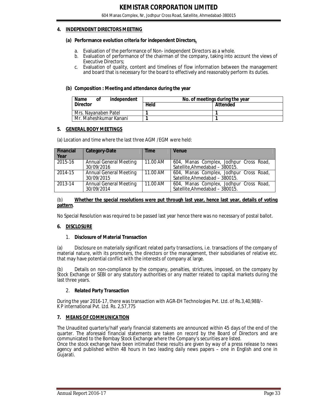#### **4. INDEPENDENT DIRECTORS MEETING**

#### **(a) Performance evolution criteria for independent Directors.**

- a. Evaluation of the performance of Non- independent Directors as a whole.
- b. Evaluation of performance of the chairman of the company, taking into account the views of Executive Directors;
- c. Evaluation of quality, content and timelines of flow information between the management and board that is necessary for the board to effectively and reasonably perform its duties.

#### **(b) Composition : Meeting and attendance during the year**

| <b>Name</b><br>independent<br>Οf |      | No. of meetings during the year |  |  |
|----------------------------------|------|---------------------------------|--|--|
| <b>Director</b>                  | Held | Attended                        |  |  |
| Mrs. Navanaben Patel             |      |                                 |  |  |
| Mr. Maheshkumar Kanani           |      |                                 |  |  |

#### **5. GENERAL BODY MEETINGS**

(a) Location and time where the last three AGM /EGM were held:

| <b>Financial</b><br>Year | <b>Category-Date</b>                        | <b>Time</b> | <b>Venue</b>                                                              |
|--------------------------|---------------------------------------------|-------------|---------------------------------------------------------------------------|
| 2015-16                  | <b>Annual General Meeting</b><br>30/09/2016 | 11.00 AM    | 604, Manas Complex, Jodhpur Cross Road,<br>Satellite, Ahmedabad - 380015. |
| 2014-15                  | <b>Annual General Meeting</b><br>30/09/2015 | $11.00$ AM  | 604, Manas Complex, Jodhpur Cross Road,<br>Satellite, Ahmedabad - 380015. |
| 2013-14                  | Annual General Meeting<br>30/09/2014        | 11.00 AM    | 604, Manas Complex, Jodhpur Cross Road,<br>Satellite, Ahmedabad - 380015. |

#### (b) **Whether the special resolutions were put through last year, hence last year, details of voting pattern**.

No Special Resolution was required to be passed last year hence there was no necessary of postal ballot.

#### **6. DISCLOSURE**

#### 1. **Disclosure of Material Transaction**

(a) Disclosure on materially significant related party transactions, i.e. transactions of the company of material nature, with its promoters, the directors or the management, their subsidiaries of relative etc. that may have potential conflict with the interests of company at large.

Details on non-compliance by the company, penalties, strictures, imposed, on the company by Stock Exchange or SEBI or any statutory authorities or any matter related to capital markets during the last three years.

#### 2. **Related Party Transaction**

During the year 2016-17, there was transaction with AGR-EH Technologies Pvt. Ltd. of Rs.3,40,988/- K P international Pvt. Ltd. Rs. 2,57,775

#### **7. MEANS OF COMMUNICATION**

The Unaudited quarterly/half yearly financial statements are announced within 45 days of the end of the quarter. The aforesaid financial statements are taken on record by the Board of Directors and are communicated to the Bombay Stock Exchange where the Company's securities are listed.

Once the stock exchange have been intimated these results are given by way of a press release to news agency and published within 48 hours in two leading daily news papers – one in English and one in Gujarati.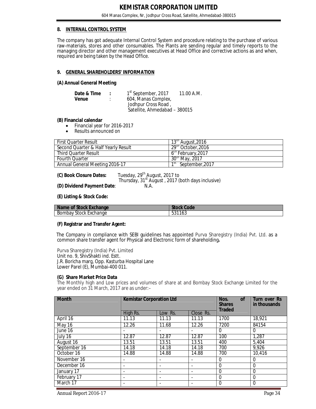#### **8. INTERNAL CONTROL SYSTEM**

The company has got adequate Internal Control System and procedure relating to the purchase of various raw-materials, stores and other consumables. The Plants are sending regular and timely reports to the managing director and other management executives at Head Office and corrective actions as and when, required are being taken by the Head Office.

#### **9. GENERAL SHAREHOLDERS' INFORMATION**

#### **(A) Annual General Meeting**

| Date & Time | 1 <sup>st</sup> September, 2017 | 11.00 A.M. |
|-------------|---------------------------------|------------|
| Venue       | 604, Manas Complex,             |            |
|             | Jodhpur Cross Road,             |            |
|             | Satellite, Ahmedabad - 380015   |            |

#### **(B) Financial calendar**

- Financial year for 2016-2017
- Results announced on

| <b>First Quarter Result</b>         | $13m$ August, 2016     |
|-------------------------------------|------------------------|
| Second Quarter & Half Yearly Result | $29th$ October, 2016   |
| Third Ouarter Result                | $6th$ February, 2017   |
| <b>Fourth Quarter</b>               | $30th$ May, 2017       |
| Annual General Meeting 2016-17      | September, 2017<br>1SL |

**(C) Book Closure Dates:** Tuesday, 29th August, 2017 to Thursday, 31<sup>st</sup> August, 2017 (both days inclusive) **(D) Dividend Payment Date**: N.A.

**(E) Listing & Stock Code:**

| Name of Stock Exchange | Code   |
|------------------------|--------|
| Stock                  | F94410 |
| Bombay                 | ါ ၀ါ   |
| : Exchange             | JJ 1   |

#### **(F) Registrar and Transfer Agent:**

The Company in compliance with SEBI guidelines has appointed Purva Sharegistry (India) Pvt. Ltd. as a common share transfer agent for Physical and Electronic form of shareholding**.**

Purva Sharegistry (India) Pvt. Limited Unit no. 9, ShivShakti ind. Estt. J.R. Boricha marg, Opp. Kasturba Hospital Lane Lower Parel (E), Mumbai-400 011.

#### **(G) Share Market Price Data**

The Monthly high and Low prices and volumes of share at and Bombay Stock Exchange Limited for the year ended on 31 March, 2017 are as under:–

| <b>Month</b> | <b>Kemistar Corporation Ltd</b> |         |           | Nos.<br><b>of</b><br><b>Shares</b><br><b>Traded</b> | <b>Turn over Rs</b><br>in thousands |
|--------------|---------------------------------|---------|-----------|-----------------------------------------------------|-------------------------------------|
|              | High Rs.                        | Low Rs. | Close Rs. |                                                     |                                     |
| April 16     | 11.13                           | 11.13   | 11.13     | 1700                                                | 18,921                              |
| May 16       | 12.26                           | 11.68   | 12.26     | 7200                                                | 84154                               |
| June 16      |                                 |         |           | $\Omega$                                            | $\Omega$                            |
| July 16      | 12.87                           | 12.87   | 12.87     | 100                                                 | 1,287                               |
| August 16    | 13.51                           | 13.51   | 13.51     | 400                                                 | 5,404                               |
| September 16 | 14.18                           | 14.18   | 14.18     | 700                                                 | 9,926                               |
| October 16   | 14.88                           | 14.88   | 14.88     | 700                                                 | 10,416                              |
| November 16  |                                 |         |           | $\Omega$                                            | $\Omega$                            |
| December 16  | $\overline{\phantom{0}}$        |         |           | $\Omega$                                            | $\Omega$                            |
| January 17   | $\overline{\phantom{0}}$        |         |           | $\Omega$                                            | $\Omega$                            |
| February 17  | $\blacksquare$                  |         |           | $\theta$                                            | $\Omega$                            |
| March 17     |                                 |         |           | $\Omega$                                            | $\mathbf 0$                         |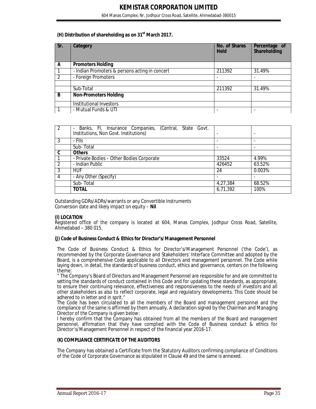604 Manas Complex, Nr, Jodhpur Cross Road, Satellite, Ahmedabad-380015

#### **(H) Distribution of shareholding as on 31st March 2017.**

| Sr. | Category                                       | No. of Shares<br><b>Held</b> | Percentage of<br>Shareholding |
|-----|------------------------------------------------|------------------------------|-------------------------------|
| A   | <b>Promoters Holding</b>                       |                              |                               |
|     | - Indian Promoters & persons acting in concert | 211392                       | 31.49%                        |
|     | - Foreign Promoters                            |                              |                               |
|     |                                                |                              |                               |
|     | Sub-Total                                      | 211392                       | 31.49%                        |
| B   | <b>Non-Promoters Holding</b>                   |                              |                               |
|     | Institutional Investors                        |                              |                               |
|     | - Mutual Funds & UTI                           |                              |                               |

| $\overline{2}$ | Banks, Fl, Insurance Companies, (Central, State Govt.<br>$\qquad \qquad \blacksquare$<br>Institutions, Non Govt. Institutions) |          | ۰      |
|----------------|--------------------------------------------------------------------------------------------------------------------------------|----------|--------|
|                | - Flls                                                                                                                         |          |        |
|                | Sub-Total                                                                                                                      |          |        |
| C              | <b>Others</b>                                                                                                                  |          |        |
|                | - Private Bodies - Other Bodies Corporate                                                                                      | 33524    | 4.99%  |
|                | - Indian Public                                                                                                                | 426452   | 63.52% |
| 3              | <b>HUF</b>                                                                                                                     | 24       | 0.003% |
| 4              | - Any Other (Specify)                                                                                                          |          |        |
|                | Sub-Total                                                                                                                      | 4,27,384 | 68.52% |
|                | <b>TOTAL</b>                                                                                                                   | 6,71,392 | 100%   |

Outstanding GDRs/ADRs/warrants or any Convertible Instruments Conversion date and likely impact on equity – **Nil**

#### **(I) LOCATION**

Registered office of the company is located at 604, Manas Complex, Jodhpur Cross Road, Satellite, Ahmedabad – 380 015.

#### **(J) Code of Business Conduct & Ethics for Director's/Management Personnel**

The Code of Business Conduct & Ethics for Director's/Management Personnel ('the Code'), as recommended by the Corporate Governance and Stakeholders' Interface Committee and adopted by the Board, is a comprehensive Code applicable to all Directors and management personnel. The Code while laying down, in detail, the standards of business conduct, ethics and governance, centers on the following theme:

" The Company's Board of Directors and Management Personnel are responsible for and are committed to setting the standards of conduct contained in this Code and for updating these standards, as appropriate, to ensure their continuing relevance, effectiveness and responsiveness to the needs of investors and all other stakeholders as also to reflect corporate, legal and regulatory developments. This Code should be adhered to in letter and in sprit."

The Code has been circulated to all the members of the Board and management personnel and the compliance of the same is affirmed by them annually, A declaration signed by the Chairman and Managing Director of the Company is given below:

I hereby confirm that the Company has obtained from all the members of the Board and management personnel, affirmation that they have complied with the Code of Business conduct & ethics for Director's/Management Personnel in respect of the financial year 2016-17.

#### **(K) COMPLIANCE CERTIFICATE OF THE AUDITORS**

The Company has obtained a Certificate from the Statutory Auditors confirming compliance of Conditions of the Code of Corporate Governance as stipulated in Clause 49 and the same is annexed.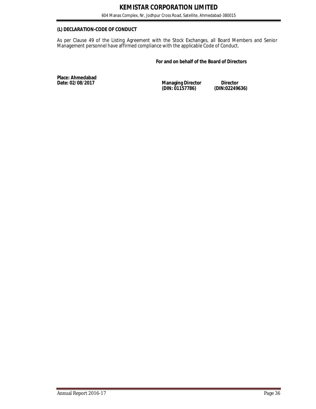#### **(L) DECLARATION-CODE OF CONDUCT**

As per Clause 49 of the Listing Agreement with the Stock Exchanges, all Board Members and Senior Management personnel have affirmed compliance with the applicable Code of Conduct.

#### **For and on behalf of the Board of Directors**

**Place: Ahmedabad** 

**Date: 02/08/2017 Managing Director Director (DIN: 01157786) (DIN:02249636)**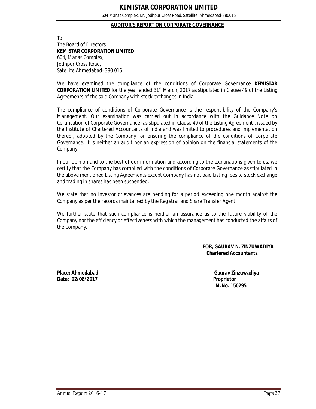604 Manas Complex, Nr, Jodhpur Cross Road, Satellite, Ahmedabad-380015

#### **AUDITOR'S REPORT ON CORPORATE GOVERNANCE**

To, The Board of Directors **KEMISTAR CORPORATION LIMITED** 604, Manas Complex, Jodhpur Cross Road, Satellite,Ahmedabad–380 015.

We have examined the compliance of the conditions of Corporate Governance **KEMISTAR CORPORATION LIMITED** for the year ended 31<sup>st</sup> March, 2017 as stipulated in Clause 49 of the Listing Agreements of the said Company with stock exchanges in India.

The compliance of conditions of Corporate Governance is the responsibility of the Company's Management. Our examination was carried out in accordance with the Guidance Note on Certification of Corporate Governance (as stipulated in Clause 49 of the Listing Agreement), issued by the Institute of Chartered Accountants of India and was limited to procedures and implementation thereof, adopted by the Company for ensuring the compliance of the conditions of Corporate Governance. It is neither an audit nor an expression of opinion on the financial statements of the Company.

In our opinion and to the best of our information and according to the explanations given to us, we certify that the Company has complied with the conditions of Corporate Governance as stipulated in the above mentioned Listing Agreements except Company has not paid Listing fees to stock exchange and trading in shares has been suspended.

We state that no investor grievances are pending for a period exceeding one month against the Company as per the records maintained by the Registrar and Share Transfer Agent.

We further state that such compliance is neither an assurance as to the future viability of the Company nor the efficiency or effectiveness with which the management has conducted the affairs of the Company.

> **FOR, GAURAV N. ZINZUWADIYA Chartered Accountants**

**Date: 02/08/2017 Proprietor**

**Place: Ahmedabad Gaurav Zinzuwadiya M.No. 150295**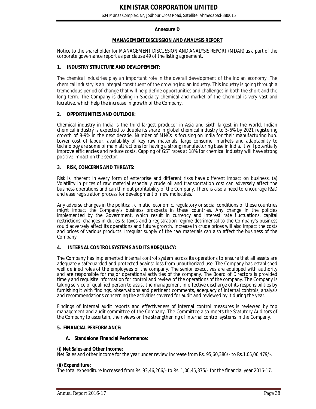#### **Annexure D**

#### **MANAGEMENT DISCUSSION AND ANALYSIS REPORT**

Notice to the shareholder for MANAGEMENT DISCUSSION AND ANALYSIS REPORT (MDAR) as a part of the corporate governance report as per clause 49 of the listing agreement.

#### **1. INDUSTRY STRUCTURE AND DEVLOPEMENT:**

The chemical industries play an important role in the overall development of the Indian economy .The chemical industry is an integral constituent of the growing Indian Industry. This industry is going through a tremendous period of change that will help define opportunities and challenges in both the short and the long term. The Company is dealing in Specialty chemical and market of the Chemical is very vast and lucrative, which help the increase in growth of the Company.

#### **2. OPPORTUNITIES AND OUTLOOK:**

Chemical industry in India is the third largest producer in Asia and sixth largest in the world. Indian chemical industry is expected to double its share in global chemical industry to 5-6% by 2021 registering growth of 8-9% in the next decade. Number of MNCs is focusing on India for their manufacturing hub. Lower cost of labour, availability of key raw materials, large consumer markets and adaptability to technology are some of main attractions for having a strong manufacturing base in India. It will potentially improve efficiencies and reduce costs. Capping of GST rates at 18% for chemical industry will have strong positive impact on the sector.

#### **3. RISK, CONCERNS AND THREATS:**

Risk is inherent in every form of enterprise and different risks have different impact on business. (a) Volatility in prices of raw material especially crude oil and transportation cost can adversely affect the business operations and can thin out profitability of the Company. There is also a need to encourage R&D and ease registration process for development of new molecules.

Any adverse changes in the political, climatic, economic, regulatory or social conditions of these countries might impact the Company's business prospects in these countries. Any change in the policies implemented by the Government, which result in currency and interest rate fluctuations, capital restrictions, changes in duties & taxes and a registration regime detrimental to the Company's business could adversely affect its operations and future growth. Increase in crude prices will also impact the costs and prices of various products. Irregular supply of the raw materials can also affect the business of the Company.

#### **4. INTERNAL CONTROL SYSTEMS AND ITS ADEQUACY:**

The Company has implemented internal control system across its operations to ensure that all assets are adequately safeguarded and protected against loss from unauthorized use. The Company has established well defined roles of the employees of the company. The senior executives are equipped with authority and are responsible for major operational activities of the company. The Board of Directors is provided timely and requisite information for control and review of the operations of the company. The Company is taking service of qualified person to assist the management in effective discharge of its responsibilities by furnishing it with findings, observations and pertinent comments, adequacy of internal controls, analysis and recommendations concerning the activities covered for audit and reviewed by it during the year.

Findings of internal audit reports and effectiveness of internal control measures is reviewed by top management and audit committee of the Company. The Committee also meets the Statutory Auditors of the Company to ascertain, their views on the strengthening of internal control systems in the Company.

#### **5. FINANCIAL PERFORMANCE:**

#### **A. Standalone Financial Performance:**

#### **(i) Net Sales and Other Income:**

Net Sales and other income for the year under review Increase from Rs. 95,60,386/- to Rs.1,05,06,479/-.

#### **(ii) Expenditure:**

The total expenditure Increased from Rs. 93,46,266/- to Rs. 1,00,45,375/- for the financial year 2016-17.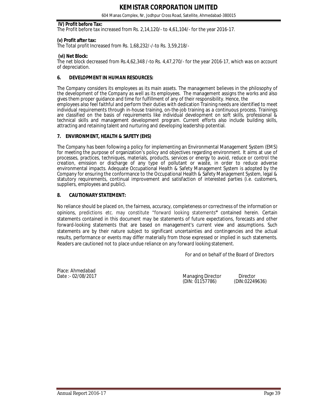604 Manas Complex, Nr, Jodhpur Cross Road, Satellite, Ahmedabad-380015

#### **IV) Profit before Tax:**

The Profit before tax increased from Rs. 2,14,120/- to 4,61,104/- for the year 2016-17.

#### **(v) Profit after tax:**

The Total profit Increased from Rs. 1,68,232/-/-to Rs. 3,59,218/-

#### **(vi) Net Block:**

The net block decreased from Rs.4,62,348 /-to Rs. 4,47,270/- for the year 2016-17, which was on account of depreciation.

#### **6. DEVELOPMENT IN HUMAN RESOURCES:**

The Company considers its employees as its main assets. The management believes in the philosophy of the development of the Company as well as its employees. The management assigns the works and also gives them proper guidance and time for fulfillment of any of their responsibility. Hence, the employees also feel faithful and perform their duties with dedication Training needs are identified to meet individual requirements through in-house training, on-the-job training as a continuous process. Trainings are classified on the basis of requirements like individual development on soft skills, professional & technical skills and management development program. Current efforts also include building skills, attracting and retaining talent and nurturing and developing leadership potential.

#### **7. ENVIRONMENT, HEALTH & SAFETY (EHS)**

The Company has been following a policy for implementing an Environmental Management System (EMS) for meeting the purpose of organization's policy and objectives regarding environment. It aims at use of processes, practices, techniques, materials, products, services or energy to avoid, reduce or control the creation, emission or discharge of any type of pollutant or waste, in order to reduce adverse environmental impacts. Adequate Occupational Health & Safety Management System is adopted by the Company for ensuring the conformance to the Occupational Health & Safety Management System, legal & statutory requirements, continual improvement and satisfaction of interested parties (i.e. customers, suppliers, employees and public).

#### **8. CAUTIONARY STATEMENT:**

No reliance should be placed on, the fairness, accuracy, completeness or correctness of the information or opinions, predictions etc. may constitute "forward looking statements**"** contained herein. Certain statements contained in this document may be statements of future expectations, forecasts and other forward-looking statements that are based on management's current view and assumptions. Such statements are by their nature subject to significant uncertainties and contingencies and the actual results, performance or events may differ materially from those expressed or implied in such statements. Readers are cautioned not to place undue reliance on any forward looking statement.

For and on behalf of the Board of Directors

Place: Ahmedabad<br>Date :- 02/08/2017

Managing Director Director<br>(DIN: 01157786) (DIN:02249636) (DIN: 01157786)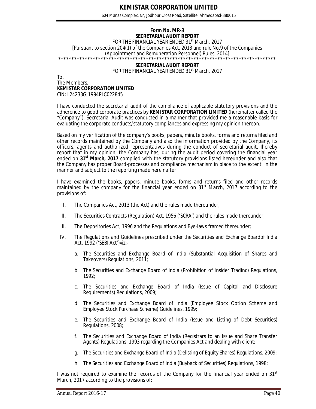604 Manas Complex, Nr, Jodhpur Cross Road, Satellite, Ahmedabad-380015

#### **Form No. MR-3 SECRETARIAL AUDIT REPORT**

FOR THE FINANCIAL YEAR ENDED 31<sup>st</sup> March, 2017

[Pursuant to section 204(1) of the Companies Act, 2013 and rule No.9 of the Companies (Appointment and Remuneration Personnel) Rules, 2014]

#### \*\*\*\*\*\*\*\*\*\*\*\*\*\*\*\*\*\*\*\*\*\*\*\*\*\*\*\*\*\*\*\*\*\*\*\*\*\*\*\*\*\*\*\*\*\*\*\*\*\*\*\*\*\*\*\*\*\*\*\*\*\*\*\*\*\*\*\*\*\*\*\*\*\*\*\*\*\*\*\*\*\* **SECRETARIAL AUDIT REPORT** FOR THE FINANCIAL YEAR ENDED 31<sup>st</sup> March, 2017

#### To, The Members, **KEMISTAR CORPORATION LIMITED** CIN: L24233GJ1994PLC022845

I have conducted the secretarial audit of the compliance of applicable statutory provisions and the adherence to good corporate practices by **KEMISTAR CORPORATION LIMITED** (hereinafter called the "Company"). Secretarial Audit was conducted in a manner that provided me a reasonable basis for evaluating the corporate conducts/statutory compliances and expressing my opinion thereon.

Based on my verification of the company's books, papers, minute books, forms and returns filed and other records maintained by the Company and also the information provided by the Company, its officers, agents and authorized representatives during the conduct of secretarial audit, Ihereby report that in my opinion, the Company has, during the audit period covering the financial year ended on **31st March, 2017** complied with the statutory provisions listed hereunder and also that the Company has proper Board-processes and compliance mechanism in place to the extent, in the manner and subject to the reporting made hereinafter:

I have examined the books, papers, minute books, forms and returns filed and other records maintained by the company for the financial year ended on  $31<sup>st</sup>$  March, 2017 according to the provisions of:

- I. The Companies Act, 2013 (the Act) and the rules made thereunder;
- II. The Securities Contracts (Regulation) Act, 1956 ('SCRA') and the rules made thereunder;
- III. The Depositories Act, 1996 and the Regulations and Bye-laws framed thereunder;
- IV. The Regulations and Guidelines prescribed under the Securities and Exchange Boardof India Act, 1992 ('SEBI Act')viz:
	- a. The Securities and Exchange Board of India (Substantial Acquisition of Shares and Takeovers) Regulations, 2011;
	- b. The Securities and Exchange Board of India (Prohibition of Insider Trading) Regulations, 1992;
	- c. The Securities and Exchange Board of India (Issue of Capital and Disclosure Requirements) Regulations, 2009;
	- d. The Securities and Exchange Board of India (Employee Stock Option Scheme and Employee Stock Purchase Scheme) Guidelines, 1999;
	- e. The Securities and Exchange Board of India (Issue and Listing of Debt Securities) Regulations, 2008;
	- f. The Securities and Exchange Board of India (Registrars to an Issue and Share Transfer Agents) Regulations, 1993 regarding the Companies Act and dealing with client;
	- g. The Securities and Exchange Board of India (Delisting of Equity Shares) Regulations, 2009;
	- h. The Securities and Exchange Board of India (Buyback of Securities) Regulations, 1998;

I was not required to examine the records of the Company for the financial year ended on  $31<sup>st</sup>$ March, 2017 according to the provisions of: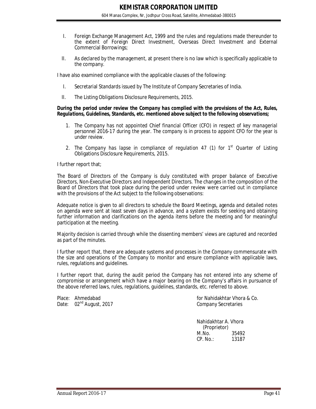- I. Foreign Exchange Management Act, 1999 and the rules and regulations made thereunder to the extent of Foreign Direct Investment, Overseas Direct Investment and External Commercial Borrowings;
- II. As declared by the management, at present there is no law which is specifically applicable to the company.

I have also examined compliance with the applicable clauses of the following:

- I. Secretarial Standards issued by The Institute of Company Secretaries of India.
- II. The Listing Obligations Disclosure Requirements, 2015.

#### *During the period under review the Company has complied with the provisions of the Act, Rules, Regulations, Guidelines, Standards, etc. mentioned above subject to the following observations;*

- *1. The Company has not appointed Chief financial Officer (CFO) in respect of key managerial personnel 2016-17 during the year. The company is in process to appoint CFO for the year is under review.*
- *2. The Company has lapse in compliance of regulation 47 (1) for 1st Quarter of* Listing Obligations Disclosure Requirements, 2015.

I further report that;

The Board of Directors of the Company is duly constituted with proper balance of Executive Directors, Non-Executive Directors and Independent Directors. The changes in the composition of the Board of Directors that took place during the period under review were carried out in compliance with the provisions of the Act subject to the following observations:

Adequate notice is given to all directors to schedule the Board Meetings, agenda and detailed notes on agenda were sent at least seven days in advance, and a system exists for seeking and obtaining further information and clarifications on the agenda items before the meeting and for meaningful participation at the meeting.

Majority decision is carried through while the dissenting members' views are captured and recorded as part of the minutes.

I further report that, there are adequate systems and processes in the Company commensurate with the size and operations of the Company to monitor and ensure compliance with applicable laws, rules, regulations and guidelines.

I further report that, during the audit period the Company has not entered into any scheme of compromise or arrangement which have a major bearing on the Company's affairs in pursuance of the above referred laws, rules, regulations, guidelines, standards, etc. referred to above.

Date:  $02<sup>nd</sup>$  August, 2017

Place: Ahmedabad for Nahidakhtar Vhora & Co.<br>Date: 02<sup>nd</sup> August, 2017 for Nahidakhtar Vhora & Co.

Nahidakhtar A. Vhora (Proprietor) M.No. 35492<br>CP. No.: 13187  $CP. No.:$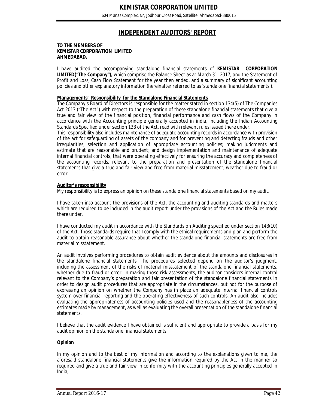# **INDEPENDENT AUDITORS' REPORT**

#### **TO THE MEMBERS OF KEMISTAR CORPORATION LIMITED AHMEDABAD.**

I have audited the accompanying standalone financial statements of **KEMISTAR CORPORATION LIMITED("The Company"),** which comprise the Balance Sheet as at March 31, 2017, and the Statement of Profit and Loss, Cash Flow Statement for the year then ended, and a summary of significant accounting policies and other explanatory information (hereinafter referred to as 'standalone financial statements').

#### **Managements' Responsibility for the Standalone Financial Statements**

The Company's Board of Directors is responsible for the matter stated in section 134(5) of The Companies Act 2013 ("The Act") with respect to the preparation of these standalone financial statements that give a true and fair view of the financial position, financial performance and cash flows of the Company in accordance with the Accounting principle generally accepted in india, including the Indian Accounting Standards Specified under section 133 of the Act, read with relevant rules issued there under.

This responsibility also includes maintenance of adequate accounting records in accordance with provision of the act for safeguarding of assets of the company and for preventing and detecting frauds and other irregularities; selection and application of appropriate accounting policies; making judgments and estimate that are reasonable and prudent; and design implementation and maintenance of adequate internal financial controls, that were operating effectively for ensuring the accuracy and completeness of the accounting records, relevant to the preparation and presentation of the standalone financial statements that give a true and fair view and free from material misstatement, weather due to fraud or error.

#### **Auditor's responsibility**

My responsibility is to express an opinion on these standalone financial statements based on my audit.

I have taken into account the provisions of the Act, the accounting and auditing standards and matters which are required to be included in the audit report under the provisions of the Act and the Rules made there under.

I have conducted my audit in accordance with the Standards on Auditing specified under section 143(10) of the Act. Those standards require that I comply with the ethical requirements and plan and perform the audit to obtain reasonable assurance about whether the standalone financial statements are free from material misstatement.

An audit involves performing procedures to obtain audit evidence about the amounts and disclosures in the standalone financial statements. The procedures selected depend on the auditor's judgment, including the assessment of the risks of material misstatement of the standalone financial statements, whether due to fraud or error. In making those risk assessments, the auditor considers internal control relevant to the Company's preparation and fair presentation of the standalone financial statements in order to design audit procedures that are appropriate in the circumstances, but not for the purpose of expressing an opinion on whether the Company has in place an adequate internal financial controls system over financial reporting and the operating effectiveness of such controls. An audit also includes evaluating the appropriateness of accounting policies used and the reasonableness of the accounting estimates made by management, as well as evaluating the overall presentation of the standalone financial statements.

I believe that the audit evidence I have obtained is sufficient and appropriate to provide a basis for my audit opinion on the standalone financial statements.

#### **Opinion**

In my opinion and to the best of my information and according to the explanations given to me, the aforesaid standalone financial statements give the information required by the Act in the manner so required and give a true and fair view in conformity with the accounting principles generally accepted in India,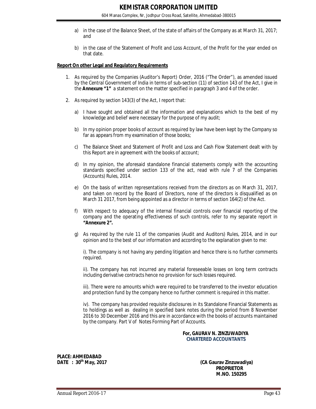- a) in the case of the Balance Sheet, of the state of affairs of the Company as at March 31, 2017; and
- b) in the case of the Statement of Profit and Loss Account, of the Profit for the year ended on that date.

#### **Report On other Legal and Regulatory Requirements**

- 1. As required by the Companies (Auditor's Report) Order, 2016 ("The Order"), as amended issued by the Central Government of India in terms of sub-section (11) of section 143 of the Act, I give in the *Annexure "1"* a statement on the matter specified in paragraph 3 and 4 of the order.
- 2. As required by section 143(3) of the Act, I report that:
	- a) I have sought and obtained all the information and explanations which to the best of my knowledge and belief were necessary for the purpose of my audit;
	- b) In my opinion proper books of account as required by law have been kept by the Company so far as appears from my examination of those books;
	- c) The Balance Sheet and Statement of Profit and Loss and Cash Flow Statement dealt with by this Report are in agreement with the books of account;
	- d) In my opinion, the aforesaid standalone financial statements comply with the accounting standards specified under section 133 of the act, read with rule 7 of the Companies (Accounts) Rules, 2014.
	- e) On the basis of written representations received from the directors as on March 31, 2017, and taken on record by the Board of Directors, none of the directors is disqualified as on March 31 2017, from being appointed as a director in terms of section 164(2) of the Act.
	- f) With respect to adequacy of the internal financial controls over financial reporting of the company and the operating effectiveness of such controls, refer to my separate report in *"Annexure 2".*
	- g) As required by the rule 11 of the companies (Audit and Auditors) Rules, 2014, and in our opinion and to the best of our information and according to the explanation given to me:

i). The company is not having any pending litigation and hence there is no further comments required.

ii). The company has not incurred any material foreseeable losses on long term contracts including derivative contracts hence no provision for such losses required.

iii). There were no amounts which were required to be transferred to the investor education and protection fund by the company hence no further comment is required in this matter.

iv). The company has provided requisite disclosures in its Standalone Financial Statements as to holdings as well as dealing in specified bank notes during the period from 8 November 2016 to 30 December 2016 and this are in accordance with the books of accounts maintained by the company. Part V of Notes Forming Part of Accounts.

#### **For, GAURAV N. ZINZUWADIYA** **CHARTERED ACCOUNTANTS**

**PLACE: AHMEDABAD DATE : 30th May, 2017 (CA Gaurav Zinzuwadiya)**

 **PROPRIETOR M.NO. 150295**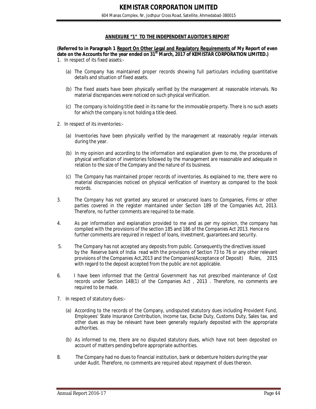#### **ANNEXURE "1" TO THE INDEPENDENT AUDITOR'S REPORT**

**(Referred to in Paragraph 1 Report On Other Legal and Regulatory Requirements of My Report of even date on the Accounts for the year ended on 31st March, 2017 of KEMISTAR CORPORATION LIMITED.)** 1. In respect of its fixed assets:-

- (a) The Company has maintained proper records showing full particulars including quantitative details and situation of fixed assets.
- (b) The fixed assets have been physically verified by the management at reasonable intervals. No material discrepancies were noticed on such physical verification.
- (c) The company is holding title deed in its name for the immovable property. There is no such assets for which the company is not holding a title deed.
- 2. In respect of its inventories:-
	- (a) Inventories have been physically verified by the management at reasonably regular intervals during the year.
	- (b) In my opinion and according to the information and explanation given to me, the procedures of physical verification of inventories followed by the management are reasonable and adequate in relation to the size of the Company and the nature of its business.
	- (c) The Company has maintained proper records of inventories. As explained to me, there were no material discrepancies noticed on physical verification of inventory as compared to the book records.
- 3. The Company has not granted any secured or unsecured loans to Companies, Firms or other parties covered in the register maintained under Section 189 of the Companies Act, 2013. Therefore, no further comments are required to be made.
- 4. As per information and explanation provided to me and as per my opinion, the company has complied with the provisions of the section 185 and 186 of the Companies Act 2013. Hence no further comments are required in respect of loans, investment, guarantees and security.
- 5. The Company has not accepted any deposits from public. Consequently the directives issued by the Reserve bank of India read with the provisions of Section 73 to 76 or any other relevant provisions of the Companies Act,2013 and the Companies(Acceptance of Deposit) Rules, 2015 with regard to the deposit accepted from the public are not applicable.
- 6. I have been informed that the Central Government has not prescribed maintenance of Cost records under Section 148(1) of the Companies Act , 2013 . Therefore, no comments are required to be made.
- 7. In respect of statutory dues:-
	- (a) According to the records of the Company, undisputed statutory dues including Provident Fund, Employees' State Insurance Contribution, Income tax, Excise Duty, Customs Duty, Sales tax, and other dues as may be relevant have been generally regularly deposited with the appropriate authorities.
	- (b) As informed to me, there are no disputed statutory dues, which have not been deposited on account of matters pending before appropriate authorities.
- 8. The Company had no dues to financial institution, bank or debenture holders during the year under Audit. Therefore, no comments are required about repayment of dues thereon.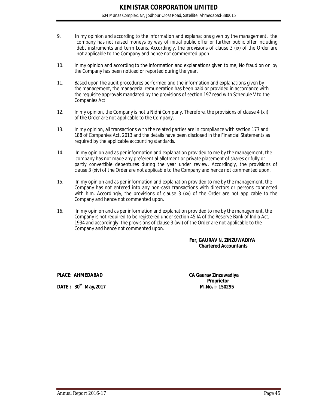- 9. In my opinion and according to the information and explanations given by the management, the company has not raised moneys by way of initial public offer or further public offer including debt instruments and term Loans. Accordingly, the provisions of clause 3 (ix) of the Order are not applicable to the Company and hence not commented upon
- 10. In my opinion and according to the information and explanations given to me, No fraud on or by the Company has been noticed or reported during the year.
- 11. Based upon the audit procedures performed and the information and explanations given by the management, the managerial remuneration has been paid or provided in accordance with the requisite approvals mandated by the provisions of section 197 read with Schedule V to the Companies Act.
- 12. In my opinion, the Company is not a Nidhi Company. Therefore, the provisions of clause 4 (xii) of the Order are not applicable to the Company.
- 13. In my opinion, all transactions with the related parties are in compliance with section 177 and 188 of Companies Act, 2013 and the details have been disclosed in the Financial Statements as required by the applicable accounting standards.
- 14. In my opinion and as per information and explanation provided to me by the management, the company has not made any preferential allotment or private placement of shares or fully or partly convertible debentures during the year under review. Accordingly, the provisions of clause 3 (xiv) of the Order are not applicable to the Company and hence not commented upon.
- 15. In my opinion and as per information and explanation provided to me by the management, the Company has not entered into any non-cash transactions with directors or persons connected with him. Accordingly, the provisions of clause 3 (xv) of the Order are not applicable to the Company and hence not commented upon.
- 16. In my opinion and as per information and explanation provided to me by the management, the Company is not required to be registered under section 45 IA of the Reserve Bank of India Act, 1934 and accordingly, the provisions of clause 3 (xvi) of the Order are not applicable to the Company and hence not commented upon.

#### **For, GAURAV N. ZINZUWADIYA Chartered Accountants**

**DATE : 30th**

**PLACE: AHMEDABAD CA Gaurav Zinzuwadiya Proprietor May,2017 M.No. :- 150295**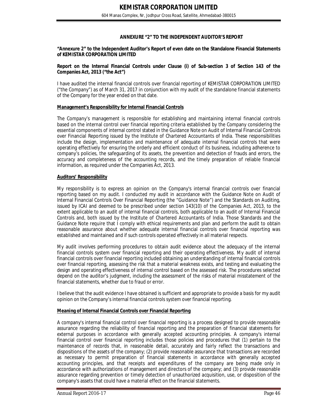### **ANNEXURE "2" TO THE INDEPENDENT AUDITOR'S REPORT**

#### **"Annexure 2" to the Independent Auditor's Report of even date on the Standalone Financial Statements of KEMISTAR CORPORATION LIMITED**

#### **Report on the Internal Financial Controls under Clause (i) of Sub-section 3 of Section 143 of the Companies Act, 2013 ("the Act")**

I have audited the internal financial controls over financial reporting of KEMISTAR CORPORATION LIMITED ("the Company") as of March 31, 2017 in conjunction with my audit of the standalone financial statements of the Company for the year ended on that date.

#### **Management's Responsibility for Internal Financial Controls**

The Company's management is responsible for establishing and maintaining internal financial controls based on the internal control over financial reporting criteria established by the Company considering the essential components of internal control stated in the Guidance Note on Audit of Internal Financial Controls over Financial Reporting issued by the Institute of Chartered Accountants of India. These responsibilities include the design, implementation and maintenance of adequate internal financial controls that were operating effectively for ensuring the orderly and efficient conduct of its business, including adherence to company's policies, the safeguarding of its assets, the prevention and detection of frauds and errors, the accuracy and completeness of the accounting records, and the timely preparation of reliable financial information, as required under the Companies Act, 2013.

#### **Auditors' Responsibility**

My responsibility is to express an opinion on the Company's internal financial controls over financial reporting based on my audit. I conducted my audit in accordance with the Guidance Note on Audit of Internal Financial Controls Over Financial Reporting (the "Guidance Note") and the Standards on Auditing, issued by ICAI and deemed to be prescribed under section 143(10) of the Companies Act, 2013, to the extent applicable to an audit of internal financial controls, both applicable to an audit of Internal Financial Controls and, both issued by the Institute of Chartered Accountants of India. Those Standards and the Guidance Note require that I comply with ethical requirements and plan and perform the audit to obtain reasonable assurance about whether adequate internal financial controls over financial reporting was established and maintained and if such controls operated effectively in all material respects.

My audit involves performing procedures to obtain audit evidence about the adequacy of the internal financial controls system over financial reporting and their operating effectiveness. My audit of internal financial controls over financial reporting included obtaining an understanding of internal financial controls over financial reporting, assessing the risk that a material weakness exists, and testing and evaluating the design and operating effectiveness of internal control based on the assessed risk. The procedures selected depend on the auditor's judgment, including the assessment of the risks of material misstatement of the financial statements, whether due to fraud or error.

I believe that the audit evidence I have obtained is sufficient and appropriate to provide a basis for my audit opinion on the Company's internal financial controls system over financial reporting.

#### **Meaning of Internal Financial Controls over Financial Reporting**

A company's internal financial control over financial reporting is a process designed to provide reasonable assurance regarding the reliability of financial reporting and the preparation of financial statements for external purposes in accordance with generally accepted accounting principles. A company's internal financial control over financial reporting includes those policies and procedures that (1) pertain to the maintenance of records that, in reasonable detail, accurately and fairly reflect the transactions and dispositions of the assets of the company; (2) provide reasonable assurance that transactions are recorded as necessary to permit preparation of financial statements in accordance with generally accepted accounting principles, and that receipts and expenditures of the company are being made only in accordance with authorizations of management and directors of the company; and (3) provide reasonable assurance regarding prevention or timely detection of unauthorized acquisition, use, or disposition of the company's assets that could have a material effect on the financial statements.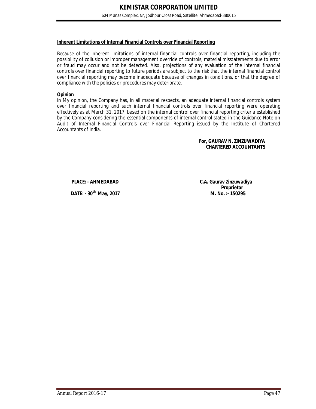#### **Inherent Limitations of Internal Financial Controls over Financial Reporting**

Because of the inherent limitations of internal financial controls over financial reporting, including the possibility of collusion or improper management override of controls, material misstatements due to error or fraud may occur and not be detected. Also, projections of any evaluation of the internal financial controls over financial reporting to future periods are subject to the risk that the internal financial control over financial reporting may become inadequate because of changes in conditions, or that the degree of compliance with the policies or procedures may deteriorate.

#### **Opinion**

In My opinion, the Company has, in all material respects, an adequate internal financial controls system over financial reporting and such internal financial controls over financial reporting were operating effectively as at March 31, 2017, based on the internal control over financial reporting criteria established by the Company considering the essential components of internal control stated in the Guidance Note on Audit of Internal Financial Controls over Financial Reporting issued by the Institute of Chartered Accountants of India.

#### **For, GAURAV N. ZINZUWADIYA CHARTERED ACCOUNTANTS**

**PLACE: - AHMEDABAD C.A. Gaurav Zinzuwadiya**

**DATE: - 30<sup>th</sup> May, 2017** 

**Proprietor**<br>**M. No.:-150295**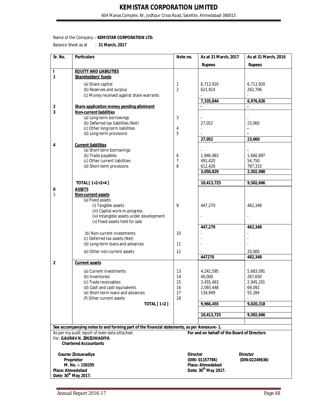604 Manas Complex, Nr, Jodhpur Cross Road, Satellite, Ahmedabad-380015

#### Name of the Company :- **KEMISTAR CORPORATION LTD.**

Balance Sheet as at : **31 March, 2017** 

| Sr. No.                          | <b>Particulars</b>                                                                         | Note no.       | As at 31 March, 2017                        | As at 31 March, 2016 |
|----------------------------------|--------------------------------------------------------------------------------------------|----------------|---------------------------------------------|----------------------|
|                                  |                                                                                            |                | <b>Rupees</b>                               | <b>Rupees</b>        |
| L                                | <b>EQUITY AND LIABILITIES</b>                                                              |                |                                             |                      |
| 1                                | Shareholders' funds                                                                        |                |                                             |                      |
|                                  | (a) Share capital                                                                          | 1              | 6,713,920                                   | 6,713,920            |
|                                  | (b) Reserves and surplus                                                                   | 2              | 621,924                                     | 262,706              |
|                                  | (c) Money received against share warrants                                                  |                |                                             |                      |
|                                  | Share application money pending allotment                                                  |                | 7,335,844                                   | 6,976,626            |
| 2<br>3                           | <b>Non-current liabilities</b>                                                             |                |                                             |                      |
|                                  | (a) Long-term borrowings                                                                   | 3              |                                             |                      |
|                                  | (b) Deferred tax liabilities (Net)                                                         |                | 27,052                                      | 23,060               |
|                                  | (c) Other long-term liabilities                                                            | 4              | $\overline{\phantom{a}}$                    | $\blacksquare$       |
|                                  | (d) Long-term provisions                                                                   | 5              |                                             |                      |
|                                  |                                                                                            |                | 27,052                                      | 23,060               |
| 4                                | <b>Current liabilities</b><br>(a) Short-term borrowings                                    |                |                                             |                      |
|                                  | (b) Trade payables                                                                         | 6              | 1,946,983                                   | 1,660,897            |
|                                  | (c) Other current liabilities                                                              | $\overline{7}$ | 491,420                                     | 54,750               |
|                                  | (d) Short-term provisions                                                                  | 8              | 612,426                                     | 787,333              |
|                                  |                                                                                            |                | 3,050,829                                   | 2,502,980            |
|                                  |                                                                                            |                |                                             |                      |
|                                  | TOTAL [ 1+2+3+4 ]                                                                          |                | 10,413,725                                  | 9,502,666            |
| Ш<br>1                           | <b>ASSETS</b><br>Non-current assets                                                        |                |                                             |                      |
|                                  | (a) Fixed assets                                                                           |                |                                             |                      |
|                                  | (i) Tangible assets                                                                        | 9              | 447,270                                     | 462,348              |
|                                  | (iii) Capital work-in-progress                                                             |                |                                             |                      |
|                                  | (iv) Intangible assets under development                                                   |                |                                             |                      |
|                                  | (v) Fixed assets held for sale                                                             |                | 447,270                                     | 462,348              |
|                                  | (b) Non-current investments                                                                | 10             |                                             |                      |
|                                  | (c) Deferred tax assets (Net)                                                              |                |                                             |                      |
|                                  | (d) Long-term loans and advances                                                           | 11             |                                             |                      |
|                                  | (e) Other non-current assets                                                               | 12             |                                             | 20,000               |
|                                  |                                                                                            |                | 447270                                      | 482,348              |
| 2                                | <b>Current assets</b>                                                                      |                |                                             |                      |
|                                  | (a) Current investments                                                                    | 13             | 4,242,595                                   | 5,683,091            |
|                                  | (b) Inventories                                                                            | 14             | 40,000                                      | 267,650              |
|                                  | (c) Trade receivables                                                                      | 15             | 3,455,463                                   | 2,945,201            |
|                                  | (d) Cash and cash equivalents                                                              | 16             | 2,093,448                                   | 69,092               |
|                                  | (e) Short-term loans and advances                                                          | 17             | 134,949                                     | 55,284               |
|                                  | (f) Other current assets                                                                   | 18             |                                             |                      |
|                                  | <b>TOTAL</b> [ 1+2 ]                                                                       |                | 9,966,455                                   | 9,020,318            |
|                                  |                                                                                            |                | 10,413,725                                  | 9,502,666            |
|                                  |                                                                                            |                |                                             |                      |
|                                  | See accompanying notes to and forming part of the financial statements, as per Annexure-1. |                |                                             |                      |
|                                  | As per my audit report of even date attached.                                              |                | For and on behalf of the Board of Directors |                      |
|                                  | For, GAURAV N. ZINZUWADIYA                                                                 |                |                                             |                      |
|                                  | <b>Chartered Accountants</b>                                                               |                |                                             |                      |
|                                  | Gaurav Zinzuwadiya                                                                         |                | <b>Director</b>                             | <b>Director</b>      |
|                                  | Proprietor                                                                                 |                | (DIN: 01157786)                             | (DIN:02249636)       |
|                                  | M. No.:-150295                                                                             |                | Place: Ahmedabad                            |                      |
| Place: Ahmedabad                 |                                                                                            |                | Date: 30 <sup>th</sup> May 2017.            |                      |
| Date: 30 <sup>th</sup> May 2017. |                                                                                            |                |                                             |                      |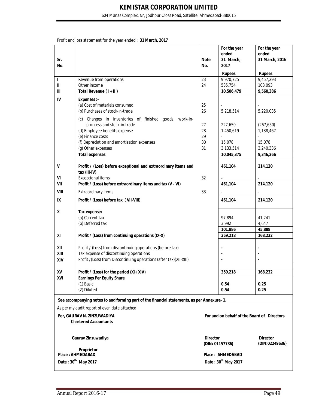604 Manas Complex, Nr, Jodhpur Cross Road, Satellite, Ahmedabad-380015

Profit and loss statement for the year ended : **31 March, 2017**

|             |                                                                                            |                    | For the year<br>ended                       | For the year<br>ended             |
|-------------|--------------------------------------------------------------------------------------------|--------------------|---------------------------------------------|-----------------------------------|
| Sr.<br>No.  |                                                                                            | <b>Note</b><br>No. | 31 March,<br>2017                           | 31 March, 2016                    |
|             |                                                                                            |                    | <b>Rupees</b>                               | <b>Rupees</b>                     |
| г           | Revenue from operations                                                                    | 23                 | 9,970,725                                   | 9,457,293                         |
| Ш           | Other income                                                                               | 24                 | 535,754                                     | 103,093                           |
| Ш           | Total Revenue (I + II)                                                                     |                    | 10,506,479                                  | 9,560,386                         |
| IV          | Expenses :-                                                                                |                    |                                             |                                   |
|             | (a) Cost of materials consumed                                                             | 25                 |                                             |                                   |
|             | (b) Purchases of stock-in-trade                                                            | 26                 | 5,218,514                                   | 5,220,035                         |
|             | Changes in inventories of finished goods, work-in-<br>(c)                                  |                    |                                             |                                   |
|             | progress and stock-in-trade                                                                | 27                 | 227,650                                     | (267, 650)                        |
|             | (d) Employee benefits expense                                                              | 28                 | 1,450,619                                   | 1,138,467                         |
|             | (e) Finance costs                                                                          | 29                 |                                             |                                   |
|             | (f) Depreciation and amortisation expenses                                                 | 30                 | 15,078                                      | 15,078                            |
|             | (g) Other expenses                                                                         | 31                 | 3,133,514                                   | 3,240,336                         |
|             | <b>Total expenses</b>                                                                      |                    | 10,045,375                                  | 9,346,266                         |
| V           | Profit / (Loss) before exceptional and extraordinary items and<br>tax (III-IV)             |                    | 461,104                                     | 214,120                           |
| VI          | <b>Exceptional items</b>                                                                   | 32                 |                                             |                                   |
| VII         | Profit / (Loss) before extraordinary items and tax (V - VI)                                |                    | 461,104                                     | 214,120                           |
| <b>VIII</b> | Extraordinary items                                                                        | 33                 |                                             |                                   |
| IX          | Profit / (Loss) before tax ( VII-VIII)                                                     |                    | 461,104                                     | 214,120                           |
| χ           | Tax expense:                                                                               |                    |                                             |                                   |
|             | (a) Current tax                                                                            |                    | 97,894                                      | 41,241                            |
|             | (b) Deferred tax                                                                           |                    | 3,992                                       | 4,647                             |
|             |                                                                                            |                    | 101,886                                     | 45,888                            |
| XI          | Profit / (Loss) from continuing operations (IX-X)                                          |                    | 359,218                                     | 168,232                           |
| XII         | Profit / (Loss) from discontinuing operations (before tax)                                 |                    |                                             |                                   |
| XIII        | Tax expense of discontinuing operations                                                    |                    |                                             |                                   |
| XIV         | Profit /(Loss) from Discontinuing operations (after tax)(XII-XIII)                         |                    |                                             |                                   |
|             |                                                                                            |                    |                                             |                                   |
| XV          | Profit / (Loss) for the period (XI+ XIV)                                                   |                    | 359,218                                     | 168,232                           |
| XVI         | <b>Earnings Per Equity Share</b>                                                           |                    |                                             |                                   |
|             | (1) Basic                                                                                  |                    | 0.54                                        | 0.25                              |
|             | (2) Diluted                                                                                |                    | 0.54                                        | 0.25                              |
|             | See accompanying notes to and forming part of the financial statements, as per Annexure-1. |                    |                                             |                                   |
|             | As per my audit report of even date attached.                                              |                    |                                             |                                   |
|             | For, GAURAV N. ZINZUWADIYA                                                                 |                    | For and on behalf of the Board of Directors |                                   |
|             | <b>Chartered Accountants</b>                                                               |                    |                                             |                                   |
|             |                                                                                            |                    |                                             |                                   |
|             | Gaurav Zinzuwadiya                                                                         | <b>Director</b>    | (DIN: 01157786)                             | <b>Director</b><br>(DIN:02249636) |
|             | Proprietor<br><b>Place: AHMEDABAD</b>                                                      |                    | Place: AHMEDABAD                            |                                   |
|             | Date: 30 <sup>th</sup> May 2017                                                            |                    | Date: 30 <sup>th</sup> May 2017             |                                   |
|             |                                                                                            |                    |                                             |                                   |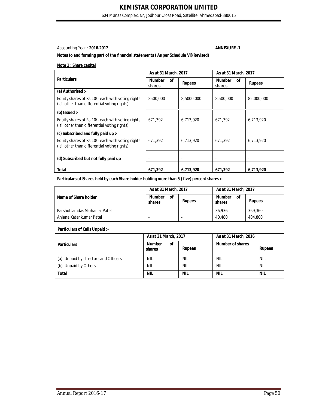604 Manas Complex, Nr, Jodhpur Cross Road, Satellite, Ahmedabad-380015

#### Accounting Year : **2016-2017 ANNEXURE -1**

#### **Notes to and forming part of the financial statements ( As per Schedule VI)(Revised)**

#### **Note 1 : Share capital**

|                     |                               | As at 31 March, 2017 |  |
|---------------------|-------------------------------|----------------------|--|
| 0f<br><b>Rupees</b> | <b>Number</b><br>οf<br>shares | <b>Rupees</b>        |  |
|                     |                               |                      |  |
| 8,5000,000          | 8,500,000                     | 85,000,000           |  |
|                     |                               |                      |  |
| 6.713.920           | 671.392                       | 6,713,920            |  |
|                     |                               |                      |  |
| 6.713.920           | 671.392                       | 6,713,920            |  |
| ٠                   |                               |                      |  |
|                     |                               | 6,713,920            |  |
|                     | 6,713,920                     | 671.392              |  |

#### Particulars of Shares held by each Share holder holding more than 5 (five) percent shares :-

|                              | As at 31 March, 2017          | As at 31 March, 2017 |                               |               |
|------------------------------|-------------------------------|----------------------|-------------------------------|---------------|
| Name of Share holder         | <b>Number</b><br>οf<br>shares | <b>Rupees</b>        | <b>Number</b><br>οf<br>shares | <b>Rupees</b> |
| Parshottamdas Mohanlal Patel |                               |                      | 36.936                        | 369,360       |
| Anjana Ketankumar Patel      |                               |                      | 40.480                        | 404,800       |

#### **Particulars of Calls Unpaid :-**

|                                      | As at 31 March, 2017          |               | As at 31 March, 2016 |               |
|--------------------------------------|-------------------------------|---------------|----------------------|---------------|
| <b>Particulars</b>                   | <b>Number</b><br>οf<br>shares | <b>Rupees</b> | Number of shares     | <b>Rupees</b> |
| (a) Unpaid by directors and Officers | <b>NIL</b>                    | <b>NIL</b>    | <b>NIL</b>           | <b>NIL</b>    |
| (b) Unpaid by Others                 | <b>NIL</b>                    | <b>NIL</b>    | <b>NIL</b>           | <b>NIL</b>    |
| Total                                | <b>NIL</b>                    | <b>NIL</b>    | <b>NIL</b>           | <b>NIL</b>    |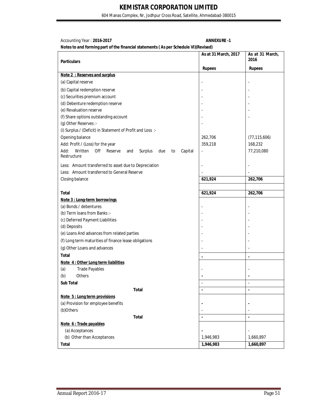604 Manas Complex, Nr, Jodhpur Cross Road, Satellite, Ahmedabad-380015

| Accounting Year: 2016-2017 |  |
|----------------------------|--|
|                            |  |

Accounting Year : **2016-2017 ANNEXURE -1**

|                                                                             | As at 31 March, 2017 | As at 31 March, |
|-----------------------------------------------------------------------------|----------------------|-----------------|
| <b>Particulars</b>                                                          |                      | 2016            |
|                                                                             | <b>Rupees</b>        | <b>Rupees</b>   |
| Note 2 : Reserves and surplus                                               |                      |                 |
| (a) Capital reserve                                                         |                      |                 |
| (b) Capital redemption reserve                                              |                      |                 |
| (c) Securities premium account                                              |                      |                 |
| (d) Debenture redemption reserve                                            |                      |                 |
| (e) Revaluation reserve                                                     |                      |                 |
| (f) Share options outstanding account                                       |                      |                 |
| (g) Other Reserves :-                                                       |                      |                 |
| (i) Surplus / (Deficit) in Statement of Profit and Loss:-                   |                      |                 |
| Opening balance                                                             | 262,706              | (77, 115, 606)  |
| Add: Profit / (Loss) for the year                                           | 359,218              | 168,232         |
| Written<br>Add:<br>Off<br>Reserve<br>Surplus<br>Capital<br>and<br>due<br>to | $\overline{a}$       | 77,210,080      |
| Restructure                                                                 |                      |                 |
| Less: Amount transferred to asset due to Depreciation                       |                      |                 |
| Less: Amount transferred to General Reserve                                 |                      |                 |
| Closing balance                                                             | 621,924              | 262,706         |
|                                                                             |                      |                 |
| <b>Total</b>                                                                | 621,924              | 262,706         |
| Note 3 : Long-term borrowings                                               |                      |                 |
| (a) Bonds / debentures                                                      |                      |                 |
| (b) Term Ioans from Banks :-                                                |                      |                 |
| (c) Deferred Payment Liabilities                                            |                      |                 |
| (d) Deposits                                                                |                      |                 |
| (e) Loans And advances from related parties                                 |                      |                 |
| (f) Long term maturities of finance lease obligations                       |                      |                 |
| (g) Other Loans and advances                                                |                      |                 |
| <b>Total</b>                                                                |                      | ä,              |
| Note 4: Other Long term liabilities                                         |                      |                 |
| (a)<br><b>Trade Payables</b>                                                |                      |                 |
| (b)<br>Others                                                               |                      |                 |
| Sub Total                                                                   |                      |                 |
| <b>Total</b>                                                                |                      | ä,              |
| Note 5 : Long term provisions                                               |                      |                 |
| (a) Provision for employee benefits                                         |                      |                 |
| (b)Others                                                                   |                      |                 |
| <b>Total</b>                                                                |                      |                 |
| Note 6: Trade payables                                                      |                      |                 |
| (a) Acceptances                                                             |                      |                 |
| (b) Other than Acceptances                                                  | 1,946,983            | 1,660,897       |
| <b>Total</b>                                                                | 1,946,983            | 1,660,897       |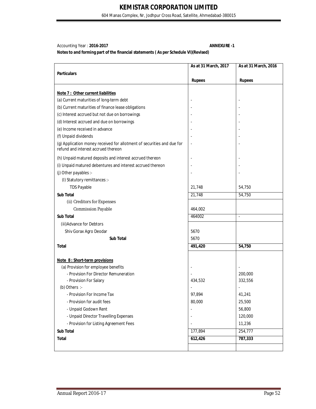604 Manas Complex, Nr, Jodhpur Cross Road, Satellite, Ahmedabad-380015

Accounting Year : **2016-2017 ANNEXURE -1**

|                                                                                                               | As at 31 March, 2017     | As at 31 March, 2016     |
|---------------------------------------------------------------------------------------------------------------|--------------------------|--------------------------|
| <b>Particulars</b>                                                                                            |                          |                          |
|                                                                                                               | <b>Rupees</b>            | <b>Rupees</b>            |
|                                                                                                               |                          |                          |
| Note 7 : Other current liabilities                                                                            |                          |                          |
| (a) Current maturities of long-term debt                                                                      |                          |                          |
| (b) Current maturities of finance lease obligations                                                           |                          |                          |
| (c) Interest accrued but not due on borrowings                                                                |                          |                          |
| (d) Interest accrued and due on borrowings                                                                    |                          |                          |
| (e) Income received in advance                                                                                |                          |                          |
| (f) Unpaid dividends                                                                                          |                          |                          |
| (g) Application money received for allotment of securities and due for<br>refund and interest accrued thereon | $\overline{\phantom{m}}$ |                          |
| (h) Unpaid matured deposits and interest accrued thereon                                                      |                          |                          |
| (i) Unpaid matured debentures and interest accrued thereon                                                    |                          |                          |
| (j) Other payables :-                                                                                         |                          |                          |
| (I) Statutory remittances :-                                                                                  |                          |                          |
| <b>TDS Payable</b>                                                                                            | 21,748                   | 54,750                   |
| <b>Sub Total</b>                                                                                              | 21,748                   | 54,750                   |
| (ii) Creditors for Expenses                                                                                   |                          |                          |
| <b>Commission Payable</b>                                                                                     | 464,002                  |                          |
| <b>Sub Total</b>                                                                                              | 464002                   | $\overline{\phantom{a}}$ |
| (iii) Advance for Debtors                                                                                     |                          |                          |
| Shiv Gorax Agro Deodar                                                                                        | 5670                     |                          |
| <b>Sub Total</b>                                                                                              | 5670                     |                          |
| <b>Total</b>                                                                                                  | 491,420                  | 54,750                   |
|                                                                                                               |                          |                          |
| Note 8: Short-term provisions                                                                                 |                          |                          |
| (a) Provision for employee benefits                                                                           |                          |                          |
| - Provision For Director Remuneration                                                                         |                          | 200,000                  |
| - Provision For Salary                                                                                        | 434,532                  | 332,556                  |
| (b) Others $\therefore$                                                                                       |                          |                          |
| - Provision For Income Tax                                                                                    | 97,894                   | 41,241                   |
| - Provision for audit fees                                                                                    | 80,000                   | 25,500                   |
| - Unpaid Godown Rent                                                                                          |                          | 56,800                   |
| - Unpaid Director Travelling Expenses                                                                         |                          | 120,000                  |
| - Provision for Listing Agreement Fees                                                                        |                          | 11,236                   |
| Sub Total                                                                                                     | 177,894                  | 254,777                  |
| <b>Total</b>                                                                                                  | 612,426                  | 787,333                  |
|                                                                                                               |                          |                          |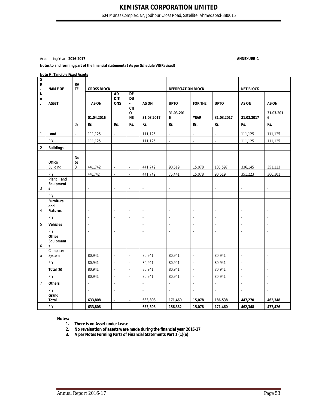604 Manas Complex, Nr, Jodhpur Cross Road, Satellite, Ahmedabad-380015

Accounting Year : **2016-2017 ANNEXURE -1**

#### **Notes to and forming part of the financial statements ( As per Schedule VI)(Revised)**

#### **Note 9 : Tangible Fixed Assets**

| S<br>R<br>$\blacksquare$ | <b>NAME OF</b>                         | <b>RA</b><br><b>TE</b> | <b>GROSS BLOCK</b>          |                                        |                                                 |               | <b>DEPRECIATION BLOCK</b>   |                          | <b>NET BLOCK</b>         |                          |                          |
|--------------------------|----------------------------------------|------------------------|-----------------------------|----------------------------------------|-------------------------------------------------|---------------|-----------------------------|--------------------------|--------------------------|--------------------------|--------------------------|
| N<br>0                   | <b>ASSET</b>                           |                        | AS ON                       | <b>AD</b><br><b>DITI</b><br><b>ONS</b> | DE<br><b>DU</b><br>$\blacksquare$<br><b>CTI</b> | AS ON         | <b>UPTO</b>                 | <b>FOR THE</b>           | <b>UPTO</b>              | AS ON                    | AS ON                    |
|                          |                                        |                        | 01.04.2016                  |                                        | 0<br><b>NS</b>                                  | 31.03.2017    | 31.03.201<br>6              | <b>YEAR</b>              | 31.03.2017               | 31.03.2017               | 31.03.201<br>6           |
|                          |                                        | $\%$                   | Rs.                         | Rs.                                    | Rs.                                             | Rs.           | Rs.                         | Rs.                      | Rs.                      | Rs.                      | Rs.                      |
| $\mathbf{1}$             | Land                                   | ÷.                     | 111,125                     | $\overline{\phantom{a}}$               |                                                 | 111,125       | ä,                          | ä,                       | $\overline{\phantom{a}}$ | 111,125                  | 111,125                  |
|                          | P.Y.                                   |                        | 111,125                     |                                        |                                                 | 111,125       | $\mathcal{L}_{\mathcal{A}}$ | $\overline{\phantom{a}}$ | $\overline{\phantom{a}}$ | 111,125                  | 111,125                  |
| $\mathbf 2$              | <b>Buildings</b>                       |                        |                             |                                        |                                                 |               |                             |                          |                          |                          |                          |
|                          | Office<br>Building                     | <b>No</b><br>te<br>3   | 441,742                     | $\overline{\phantom{a}}$               | $\overline{\phantom{a}}$                        | 441,742       | 90,519                      | 15,078                   | 105,597                  | 336,145                  | 351,223                  |
|                          | P.Y.                                   |                        | 441742                      | ÷.                                     | $\overline{\phantom{a}}$                        | 441,742       | 75,441                      | 15,078                   | 90,519                   | 351,223                  | 366,301                  |
| 3                        | Plant and<br>Equipment<br>$\mathsf{s}$ |                        | ÷.                          | $\mathcal{L}$                          | $\sim$                                          | $\sim$        | $\bar{z}$                   |                          | $\overline{\phantom{a}}$ | $\sim$                   | ÷.                       |
|                          | P.Y.                                   |                        |                             |                                        |                                                 |               |                             |                          |                          |                          |                          |
| 4                        | Furniture<br>and<br><b>Fixtures</b>    |                        |                             | $\sim$                                 | $\overline{\phantom{a}}$                        | ÷,            | ä,                          |                          | ÷,                       | $\bar{z}$                | ä,                       |
|                          | P.Y.                                   |                        | ÷.                          | $\overline{\phantom{a}}$               | ÷.                                              | $\mathcal{L}$ | ä,                          | $\overline{a}$           | $\overline{\phantom{a}}$ | $\sim$                   | ä,                       |
| $\overline{5}$           | <b>Vehicles</b>                        |                        | ÷.                          |                                        |                                                 | ÷.            | $\bar{z}$                   | $\mathbf{r}$             | $\overline{\phantom{a}}$ | ÷.                       | L.                       |
|                          | P.Y.                                   |                        | $\overline{\phantom{a}}$    | $\overline{\phantom{a}}$               |                                                 | ä,            | $\overline{\phantom{a}}$    | $\overline{\phantom{a}}$ | $\overline{\phantom{a}}$ | $\overline{\phantom{a}}$ | $\overline{\phantom{a}}$ |
| 6                        | Office<br>Equipment<br>s               |                        |                             |                                        |                                                 |               |                             |                          |                          |                          |                          |
| a                        | Computer<br>System                     |                        | 80,941                      | $\sim$                                 | $\sim$                                          | 80,941        | 80,941                      | ä,                       | 80,941                   | $\sim$                   | ä,                       |
|                          | P.Y.                                   |                        | 80,941                      | ÷.                                     | $\sim$                                          | 80,941        | 80,941                      | $\overline{\phantom{a}}$ | 80,941                   | ÷,                       | ÷,                       |
|                          | Total (6)                              |                        | 80,941                      | L.                                     | $\sim$                                          | 80,941        | 80,941                      | ä,                       | 80,941                   | ä,                       | ä,                       |
|                          | P.Y.                                   |                        | 80,941                      | ä,                                     | ÷,                                              | 80,941        | 80,941                      | $\overline{a}$           | 80,941                   | ä,                       | ä,                       |
| $\overline{7}$           | <b>Others</b>                          |                        | $\mathcal{L}_{\mathcal{A}}$ | ä,                                     |                                                 | $\mathcal{L}$ | $\mathcal{L}_{\mathcal{A}}$ | ä,                       | $\omega$                 | $\blacksquare$           | $\blacksquare$           |
|                          | P.Y.                                   |                        | ä,                          | $\overline{\phantom{a}}$               |                                                 | ä,            | $\Box$                      | $\Box$                   | ÷,                       | $\overline{\phantom{a}}$ | $\blacksquare$           |
|                          | Grand<br><b>Total</b>                  |                        | 633,808                     | $\blacksquare$                         | $\sim$                                          | 633,808       | 171,460                     | 15,078                   | 186,538                  | 447,270                  | 462,348                  |
|                          | P.Y.                                   |                        | 633,808                     | $\overline{\phantom{a}}$               | $\mathbf{r}$                                    | 633,808       | 156,382                     | 15,078                   | 171,460                  | 462,348                  | 477,426                  |

#### **Notes:**

**1. There is no Asset under Lease**

**2. No revaluation of assets were made during the financial year 2016-17**

**3. A per Notes Forming Parts of Financial Statements Part 1 (1)(e)**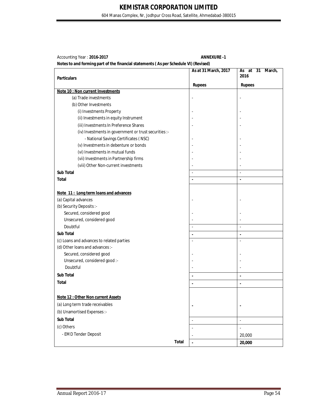604 Manas Complex, Nr, Jodhpur Cross Road, Satellite, Ahmedabad-380015

| Accounting Year: 2016-2017                                                           | <b>ANNEXURE -1</b>   |
|--------------------------------------------------------------------------------------|----------------------|
| Notes to and forming part of the financial statements (As per Schedule VI) (Revised) |                      |
|                                                                                      | As at 31 March, 2017 |

|                                                       | As at 31 March, 2017     | As at 31<br>March,<br>2016 |
|-------------------------------------------------------|--------------------------|----------------------------|
| <b>Particulars</b>                                    |                          |                            |
| Note 10 : Non current Investments                     | <b>Rupees</b>            | <b>Rupees</b>              |
| (a) Trade investments                                 |                          |                            |
| (b) Other Investments                                 |                          |                            |
| (i) Investments Property                              |                          |                            |
| (ii) Investments in equity Instrument                 |                          |                            |
| (iii) Investments In Preference Shares                |                          |                            |
| (iv) Investments in government or trust securities :- |                          |                            |
| - National Savings Certificates (NSC)                 |                          |                            |
| (v) Investments in debenture or bonds                 |                          |                            |
| (vi) Investments in mutual funds                      |                          |                            |
| (vii) Investments in Partnership firms                |                          |                            |
| (viii) Other Non-current investments                  |                          |                            |
| <b>Sub Total</b>                                      | $\sim$                   | $\overline{\phantom{a}}$   |
| <b>Total</b>                                          | $\blacksquare$           | $\blacksquare$             |
|                                                       |                          |                            |
| Note 11: Long term loans and advances                 |                          |                            |
| (a) Capital advances                                  |                          |                            |
| (b) Security Deposits :-                              |                          |                            |
| Secured, considered good                              |                          |                            |
| Unsecured, considered good                            |                          |                            |
| Doubtful                                              | $\Box$                   | $\overline{\phantom{a}}$   |
| Sub Total                                             | ä,                       | $\blacksquare$             |
| (c) Loans and advances to related parties             | $\sim$                   | $\overline{\phantom{a}}$   |
| (d) Other loans and advances :-                       |                          |                            |
| Secured, considered good                              |                          |                            |
| Unsecured, considered good :-                         |                          |                            |
| Doubtful                                              |                          |                            |
| <b>Sub Total</b>                                      |                          | $\blacksquare$             |
| <b>Total</b>                                          |                          |                            |
|                                                       |                          | $\blacksquare$             |
| <b>Note 12: Other Non current Assets</b>              |                          |                            |
| (a) Long term trade receivables                       |                          |                            |
|                                                       |                          |                            |
| (b) Unamortised Expenses :-                           |                          |                            |
| Sub Total                                             | $\overline{\phantom{a}}$ | $\overline{\phantom{a}}$   |
| (c) Others                                            |                          | $\overline{a}$             |
| - EMD Tender Deposit                                  |                          | 20,000                     |
| <b>Total</b>                                          | ä,                       | 20,000                     |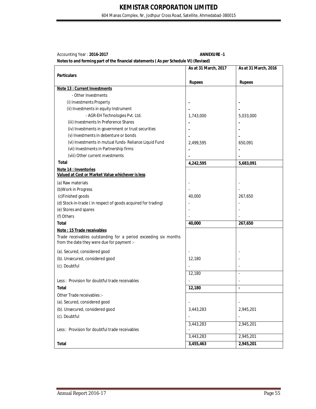604 Manas Complex, Nr, Jodhpur Cross Road, Satellite, Ahmedabad-380015

| Accounting Year: 2016-2017 |  |
|----------------------------|--|
|----------------------------|--|

#### Accounting Year : **2016-2017 ANNEXURE -1**

|                                                                                                               | As at 31 March, 2017 | As at 31 March, 2016     |
|---------------------------------------------------------------------------------------------------------------|----------------------|--------------------------|
| <b>Particulars</b>                                                                                            |                      |                          |
|                                                                                                               | <b>Rupees</b>        | <b>Rupees</b>            |
| Note 13 : Current Investments                                                                                 |                      |                          |
| - Other Investments                                                                                           |                      |                          |
| (i) Investments Property                                                                                      |                      |                          |
| (ii) Investments in equity Instrument                                                                         |                      |                          |
| - AGR-EH Technologies Pvt. Ltd.                                                                               | 1,743,000            | 5,033,000                |
| (iii) Investments In Preference Shares                                                                        |                      |                          |
| (iv) Investments in government or trust securities                                                            |                      |                          |
| (v) Investments in debenture or bonds                                                                         |                      |                          |
| (vi) Investments in mutual funds- Reliance Liquid Fund                                                        | 2,499,595            | 650,091                  |
| (vii) Investments in Partnership firms                                                                        |                      | $\blacksquare$           |
| (viii) Other current investments                                                                              |                      |                          |
| <b>Total</b>                                                                                                  | 4,242,595            | 5,683,091                |
| Note 14 : Inventories<br>Valued at Cost or Market Value whichever is less                                     |                      |                          |
| (a) Raw materials                                                                                             |                      |                          |
| (b) Work in Progress                                                                                          |                      |                          |
| (c)Finished goods                                                                                             | 40,000               | 267,650                  |
| (d) Stock-in-trade (in respect of goods acquired for trading)                                                 |                      |                          |
| (e) Stores and spares                                                                                         |                      |                          |
| (f) Others                                                                                                    |                      |                          |
| <b>Total</b>                                                                                                  | 40,000               | 267,650                  |
| Note: 15 Trade receivables                                                                                    |                      |                          |
| Trade receivables outstanding for a period exceeding six months<br>from the date they were due for payment :- |                      |                          |
| (a). Secured, considered good                                                                                 |                      |                          |
| (b). Unsecured, considered good                                                                               | 12,180               |                          |
| (c). Doubtful                                                                                                 |                      | $\sim$                   |
|                                                                                                               | 12,180               | $\overline{a}$           |
|                                                                                                               |                      |                          |
| Less: Provision for doubtful trade receivables                                                                |                      | $\overline{\phantom{a}}$ |
| Total                                                                                                         | 12,180               | $\blacksquare$           |
| Other Trade receivables :-                                                                                    |                      |                          |
| (a). Secured, considered good                                                                                 |                      |                          |
| (b). Unsecured, considered good                                                                               | 3,443,283            | 2,945,201                |
| (c). Doubtful                                                                                                 |                      |                          |
|                                                                                                               | 3,443,283            | 2,945,201                |
| Less: Provision for doubtful trade receivables                                                                |                      |                          |
|                                                                                                               | 3,443,283            | 2,945,201                |
| <b>Total</b>                                                                                                  | 3,455,463            | 2,945,201                |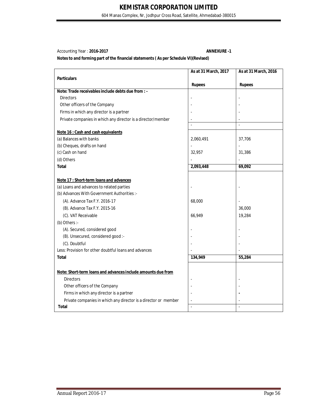604 Manas Complex, Nr, Jodhpur Cross Road, Satellite, Ahmedabad-380015

### Accounting Year : **2016-2017 ANNEXURE -1**

|                                                                 | As at 31 March, 2017 | As at 31 March, 2016 |
|-----------------------------------------------------------------|----------------------|----------------------|
| <b>Particulars</b>                                              |                      |                      |
|                                                                 | <b>Rupees</b>        | <b>Rupees</b>        |
| Note: Trade receivables include debts due from : -              |                      |                      |
| <b>Directors</b>                                                |                      |                      |
| Other officers of the Company                                   |                      |                      |
| Firms in which any director is a partner                        |                      |                      |
| Private companies in which any director is a director/member    |                      |                      |
|                                                                 |                      | $\overline{a}$       |
| Note 16 : Cash and cash equivalents                             |                      |                      |
| (a) Balances with banks                                         | 2,060,491            | 37,706               |
| (b) Cheques, drafts on hand                                     |                      |                      |
| (c) Cash on hand                                                | 32,957               | 31,386               |
| (d) Others                                                      |                      |                      |
| <b>Total</b>                                                    | 2,093,448            | 69,092               |
|                                                                 |                      |                      |
| Note 17 : Short-term loans and advances                         |                      |                      |
| (a) Loans and advances to related parties                       |                      |                      |
| (b) Advances With Government Authorities :-                     |                      |                      |
| (A). Advance Tax F.Y. 2016-17                                   | 68,000               |                      |
| (B). Advance Tax F.Y. 2015-16                                   |                      | 36,000               |
| (C). VAT Receivable                                             | 66,949               | 19,284               |
| (b) Others :-                                                   |                      |                      |
| (A). Secured, considered good                                   |                      |                      |
| (B). Unsecured, considered good :-                              |                      |                      |
| (C). Doubtful                                                   |                      |                      |
| Less: Provision for other doubtful loans and advances           |                      |                      |
| <b>Total</b>                                                    | 134,949              | 55,284               |
|                                                                 |                      |                      |
| Note: Short-term loans and advances include amounts due from    |                      |                      |
| <b>Directors</b>                                                |                      |                      |
| Other officers of the Company                                   |                      |                      |
| Firms in which any director is a partner                        |                      |                      |
| Private companies in which any director is a director or member |                      |                      |
| Total                                                           |                      | $\overline{a}$       |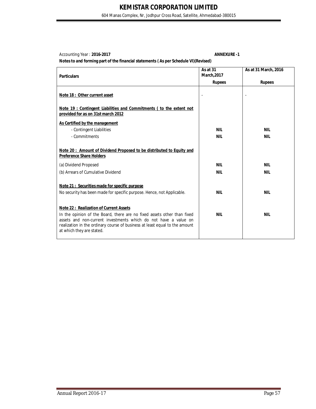604 Manas Complex, Nr, Jodhpur Cross Road, Satellite, Ahmedabad-380015

Accounting Year : **2016-2017 ANNEXURE -1**

| <b>Particulars</b>                                                                                                                                                                                                                                                                                      | As at 31<br><b>March, 2017</b> | As at 31 March, 2016 |
|---------------------------------------------------------------------------------------------------------------------------------------------------------------------------------------------------------------------------------------------------------------------------------------------------------|--------------------------------|----------------------|
|                                                                                                                                                                                                                                                                                                         | <b>Rupees</b>                  | <b>Rupees</b>        |
| Note 18: Other current asset                                                                                                                                                                                                                                                                            |                                |                      |
| Note 19 : Contingent Liabilities and Commitments ( to the extent not<br>provided for as on 31st march 2012                                                                                                                                                                                              |                                |                      |
| As Certified by the management                                                                                                                                                                                                                                                                          |                                |                      |
| - Contingent Liabilities                                                                                                                                                                                                                                                                                | NIL                            | NIL                  |
| - Commitments                                                                                                                                                                                                                                                                                           | <b>NIL</b>                     | <b>NIL</b>           |
| Note 20: Amount of Dividend Proposed to be distributed to Equity and<br><b>Preference Share Holders</b><br>(a) Dividend Proposed                                                                                                                                                                        | <b>NIL</b>                     | <b>NIL</b>           |
| (b) Arrears of Cumulative Dividend                                                                                                                                                                                                                                                                      | NIL                            | NIL                  |
| Note 21: Securities made for specific purpose<br>No security has been made for specific purpose. Hence, not Applicable.                                                                                                                                                                                 | <b>NIL</b>                     | <b>NIL</b>           |
| <b>Note 22: Realization of Current Assets</b><br>In the opinion of the Board, there are no fixed assets other than fixed<br>assets and non-current investments which do not have a value on<br>realization in the ordinary course of business at least equal to the amount<br>at which they are stated. | <b>NIL</b>                     | <b>NIL</b>           |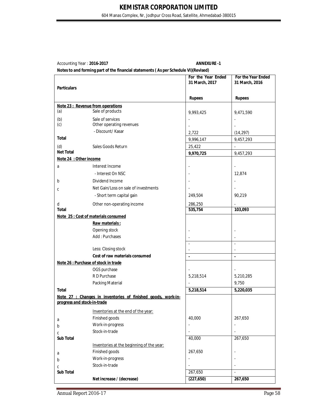604 Manas Complex, Nr, Jodhpur Cross Road, Satellite, Ahmedabad-380015

Accounting Year: **2016-2017** ANNEXURE -1

|                             |                                                              | For the Year Ended<br>31 March, 2017 | For the Year Ended<br>31 March, 2016 |
|-----------------------------|--------------------------------------------------------------|--------------------------------------|--------------------------------------|
| <b>Particulars</b>          |                                                              |                                      |                                      |
|                             |                                                              | <b>Rupees</b>                        | <b>Rupees</b>                        |
|                             | Note 23 : Revenue from operations                            |                                      |                                      |
| (a)                         | Sale of products                                             | 9,993,425                            | 9,471,590                            |
| (b)                         | Sale of services                                             |                                      |                                      |
| (c)                         | Other operating revenues                                     |                                      |                                      |
|                             | - Discount/ Kasar                                            | 2,722                                | (14, 297)                            |
| <b>Total</b>                |                                                              | 9,996,147                            | 9,457,293                            |
| (d)                         | Sales Goods Return                                           | 25,422                               |                                      |
| <b>Net Total</b>            |                                                              | 9,970,725                            | 9,457,293                            |
| Note 24 : Other income      |                                                              |                                      |                                      |
| a                           | Interest Income                                              |                                      | $\blacksquare$                       |
|                             | - Interest On NSC                                            |                                      | 12,874                               |
| b                           | Dividend Income                                              |                                      | $\overline{\phantom{a}}$             |
| C                           | Net Gain/Loss on sale of investments                         |                                      |                                      |
|                             | - Short term capital gain                                    | 249,504                              | 90,219                               |
| d                           | Other non-operating income                                   | 286,250                              |                                      |
| <b>Total</b>                |                                                              | 535,754                              | 103,093                              |
|                             | Note 25 : Cost of materials consumed                         |                                      |                                      |
|                             | Raw materials:                                               |                                      |                                      |
|                             | Opening stock                                                |                                      |                                      |
|                             | Add: Purchases                                               |                                      |                                      |
|                             | Less: Closing stock                                          | $\overline{a}$                       | $\overline{a}$                       |
|                             | Cost of raw materials consumed                               |                                      | $\overline{\phantom{a}}$             |
|                             | Note 26 : Purchase of stock in trade                         | $\blacksquare$                       | $\blacksquare$                       |
|                             | OGS purchase                                                 |                                      |                                      |
|                             | R D Purchase                                                 | 5,218,514                            | 5,210,285                            |
|                             | Packing Material                                             |                                      | 9,750                                |
| <b>Total</b>                |                                                              | 5,218,514                            | 5,220,035                            |
|                             | Note 27 : Changes in inventories of finished goods, work-in- |                                      |                                      |
| progress and stock-in-trade |                                                              |                                      |                                      |
|                             | Inventories at the end of the year:                          |                                      |                                      |
| a                           | Finished goods                                               | 40,000                               | 267,650                              |
| b                           | Work-in-progress                                             |                                      | $\blacksquare$                       |
| С                           | Stock-in-trade                                               |                                      | $\frac{1}{2}$                        |
| Sub Total                   |                                                              | 40,000                               | 267,650                              |
|                             | Inventories at the beginning of the year:                    |                                      |                                      |
| a                           | Finished goods                                               | 267,650                              |                                      |
| b                           | Work-in-progress                                             | $\qquad \qquad \blacksquare$         | $\overline{a}$                       |
| C                           | Stock-in-trade                                               |                                      |                                      |
| Sub Total                   |                                                              | 267,650                              | $\blacksquare$                       |
|                             | Net increase / (decrease)                                    | (227, 650)                           | 267,650                              |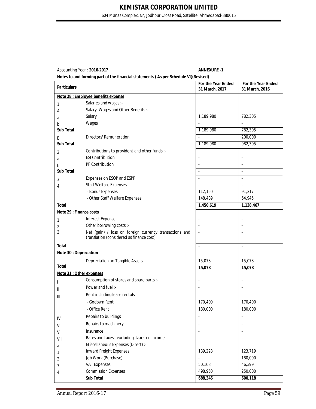604 Manas Complex, Nr, Jodhpur Cross Road, Satellite, Ahmedabad-380015

Accounting Year : **2016-2017 ANNEXURE -1**

| <b>Particulars</b>       |                                                                                                    | For the Year Ended<br>31 March, 2017 | For the Year Ended<br>31 March, 2016 |
|--------------------------|----------------------------------------------------------------------------------------------------|--------------------------------------|--------------------------------------|
|                          | Note 28 : Employee benefits expense                                                                |                                      |                                      |
| 1                        | Salaries and wages :-                                                                              |                                      |                                      |
| Α                        | Salary, Wages and Other Benefits :-                                                                |                                      |                                      |
| a                        | Salary                                                                                             | 1,189,980                            | 782,305                              |
| b                        | Wages                                                                                              |                                      |                                      |
| Sub Total                |                                                                                                    | 1,189,980                            | 782,305                              |
| Β                        | <b>Directors' Remuneration</b>                                                                     |                                      | 200,000                              |
| <b>Sub Total</b>         |                                                                                                    | 1,189,980                            | 982,305                              |
| 2                        | Contributions to provident and other funds :-                                                      |                                      |                                      |
| a                        | <b>ESI Contribution</b>                                                                            |                                      |                                      |
| b                        | PF Contribution                                                                                    |                                      |                                      |
| Sub Total                |                                                                                                    | $\overline{a}$                       | $\overline{a}$                       |
| 3                        | Expenses on ESOP and ESPP                                                                          | ÷,                                   | $\overline{a}$                       |
| 4                        | <b>Staff Welfare Expenses</b>                                                                      |                                      |                                      |
|                          | - Bonus Expenses                                                                                   | 112,150                              | 91,217                               |
|                          | - Other Staff Welfare Expenses                                                                     | 148,489                              | 64,945                               |
| <b>Total</b>             |                                                                                                    | 1,450,619                            | 1,138,467                            |
| Note 29 : Finance costs  |                                                                                                    |                                      |                                      |
| 1                        | Interest Expense                                                                                   |                                      |                                      |
| 2                        | Other borrowing costs :-                                                                           |                                      |                                      |
| 3                        | Net (gain) / loss on foreign currency transactions and<br>translation (considered as finance cost) |                                      |                                      |
| <b>Total</b>             |                                                                                                    | $\blacksquare$                       | ä,                                   |
| Note 30 : Depreciation   |                                                                                                    |                                      |                                      |
|                          | Depreciation on Tangible Assets                                                                    | 15,078                               | 15,078                               |
| <b>Total</b>             |                                                                                                    | 15,078                               | 15,078                               |
| Note 31 : Other expenses |                                                                                                    |                                      |                                      |
| L                        | Consumption of stores and spare parts :-                                                           |                                      |                                      |
| Ш                        | Power and fuel:-                                                                                   |                                      |                                      |
| Ш                        | Rent including lease rentals                                                                       |                                      |                                      |
|                          | - Godown Rent                                                                                      | 170,400                              | 170,400                              |
|                          | - Office Rent                                                                                      | 180,000                              | 180,000                              |
| IV                       | Repairs to buildings                                                                               |                                      |                                      |
| V                        | Repairs to machinery                                                                               |                                      |                                      |
| VI                       | Insurance                                                                                          |                                      |                                      |
| VII                      | Rates and taxes, excluding, taxes on income                                                        |                                      |                                      |
| a                        | Miscellaneous Expenses (Direct) :-                                                                 |                                      |                                      |
| 1                        | Inward Freight Expenses                                                                            | 139,228                              | 123,719                              |
| 2                        | Job Work (Purchase)                                                                                |                                      | 180,000                              |
| 3                        | <b>VAT Expenses</b>                                                                                | 50,168                               | 46,399                               |
| 4                        | <b>Commission Expenses</b>                                                                         | 498,950                              | 250,000                              |
|                          | Sub Total                                                                                          | 688,346                              | 600,118                              |
|                          |                                                                                                    |                                      |                                      |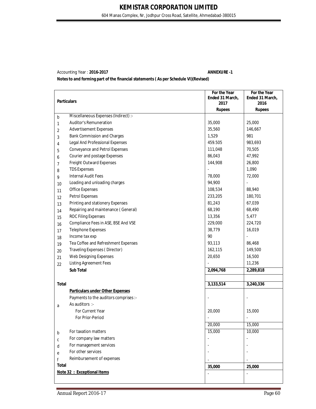# Accounting Year : **2016-2017 ANNEXURE -1**

| <b>Particulars</b> |                                         | For the Year<br>Ended 31 March, | For the Year<br>Ended 31 March, |
|--------------------|-----------------------------------------|---------------------------------|---------------------------------|
|                    |                                         |                                 | 2016                            |
|                    | Miscellaneous Expenses (Indirect) :-    | <b>Rupees</b>                   | <b>Rupees</b>                   |
| b<br>1             | Auditor's Remuneration                  | 35,000                          | 25,000                          |
|                    | <b>Advertisement Expenses</b>           | 35,560                          | 146,667                         |
| 2                  | Bank Commission and Charges             | 1,529                           | 981                             |
| 3                  | Legal And Professional Expenses         | 459.505                         | 983,693                         |
| 4                  | Conveyance and Petrol Expenses          | 111,048                         | 70,505                          |
| 5                  | Courier and postage Expenses            | 86,043                          | 47,992                          |
| 6                  | Freight Outward Expenses                | 144,908                         | 26,800                          |
| 7                  | <b>TDS Expenses</b>                     | $\overline{\phantom{a}}$        | 1,090                           |
| 8<br>9             | <b>Internal Audit Fees</b>              | 78,000                          | 72,000                          |
|                    | Loading and unloading charges           | 94,900                          |                                 |
| 10                 | Office Expenses                         | 108,534                         | 88,940                          |
| 11                 | <b>Petrol Expenses</b>                  | 233,205                         | 180,701                         |
| 12                 | Printing and stationery Expenses        | 81,243                          | 67,039                          |
| 13                 | Repairing and maintenance (General)     | 68,190                          | 68,490                          |
| 14                 | <b>ROC Filing Expenses</b>              | 13,356                          | 5,477                           |
| 15                 | Compliance Fees in ASE, BSE And VSE     | 229,000                         | 224,720                         |
| 16                 | <b>Telephone Expenses</b>               | 38,779                          | 16,019                          |
| 17                 | Income tax exp                          | 90                              | $\blacksquare$                  |
| 18<br>19           | Tea Coffee and Refreshment Expenses     | 93,113                          | 86,468                          |
|                    | Traveling Expenses (Director)           | 162,115                         | 149,500                         |
| 20                 | Web Designing Expenses                  | 20,650                          | 16,500                          |
| 21                 | <b>Listing Agreement Fees</b>           |                                 | 11,236                          |
| 22                 | <b>Sub Total</b>                        | 2,094,768                       | 2,289,818                       |
|                    |                                         |                                 |                                 |
| <b>Total</b>       |                                         | 3,133,514                       | 3,240,336                       |
|                    | <b>Particulars under Other Expenses</b> |                                 |                                 |
|                    | Payments to the auditors comprises :-   |                                 |                                 |
| a                  | As auditors :-                          |                                 |                                 |
|                    | For Current Year                        | 20,000                          | 15,000                          |
|                    | For Prior-Period                        | $\overline{\phantom{a}}$        | $\overline{\phantom{a}}$        |
|                    |                                         | 20,000                          | 15,000                          |
| b                  | For taxation matters                    | 15,000                          | 10,000                          |
| C                  | For company law matters                 |                                 |                                 |
| d                  | For management services                 |                                 |                                 |
| e                  | For other services                      |                                 |                                 |
| f                  | Reimbursement of expenses               |                                 |                                 |
| <b>Total</b>       |                                         | 35,000                          | 25,000                          |
|                    | Note 32 : Exceptional Items             | $\overline{a}$                  |                                 |
|                    |                                         |                                 |                                 |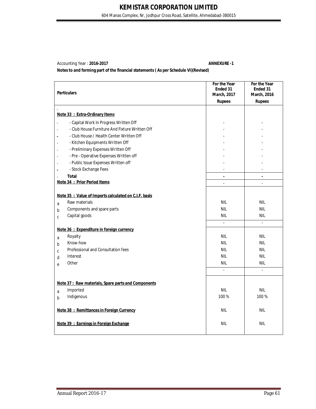604 Manas Complex, Nr, Jodhpur Cross Road, Satellite, Ahmedabad-380015

Accounting Year : **2016-2017 ANNEXURE -1**

| <b>Particulars</b> |                                                       | For the Year<br>Ended 31<br>March, 2017 | For the Year<br>Ended 31<br><b>March, 2016</b> |
|--------------------|-------------------------------------------------------|-----------------------------------------|------------------------------------------------|
|                    |                                                       | <b>Rupees</b>                           | <b>Rupees</b>                                  |
|                    | Note 33 : Extra-Ordinary Items                        |                                         |                                                |
| ä,                 | - Capital Work In Progress Written Off                |                                         |                                                |
| à.                 | - Club House Furniture And Fixture Written Off        |                                         |                                                |
| j.                 | - Club House / Health Center Written Off              |                                         |                                                |
| $\overline{a}$     | - Kitchen Equipments Written Off                      |                                         |                                                |
| $\overline{a}$     | - Preliminary Expenses Written Off                    |                                         |                                                |
| ä,                 | - Pre - Operative Expenses Written off                |                                         |                                                |
| Ĭ.                 | - Public Issue Expenses Written off                   |                                         |                                                |
| Ĭ.                 | - Stock Exchange Fees                                 | $\overline{\phantom{a}}$                |                                                |
|                    | <b>Total</b>                                          | $\blacksquare$                          | $\blacksquare$                                 |
|                    | Note 34 : Prior Period Items                          | $\overline{\phantom{a}}$                | $\overline{a}$                                 |
|                    | Note 35 : Value of Imports calculated on C.I.F. basis |                                         |                                                |
|                    | Raw materials                                         | <b>NIL</b>                              | <b>NIL</b>                                     |
| a<br>$\mathbf b$   | Components and spare parts                            | <b>NIL</b>                              | <b>NIL</b>                                     |
| $\mathsf{C}$       | Capital goods                                         | <b>NIL</b>                              | <b>NIL</b>                                     |
|                    |                                                       | $\overline{\phantom{a}}$                |                                                |
|                    | Note 36 : Expenditure in foreign currency             |                                         |                                                |
| a                  | Royalty                                               | <b>NIL</b>                              | <b>NIL</b>                                     |
| h                  | Know-how                                              | <b>NIL</b>                              | <b>NIL</b>                                     |
| C                  | Professional and Consultation fees                    | <b>NIL</b>                              | <b>NIL</b>                                     |
| d                  | Interest                                              | <b>NIL</b>                              | <b>NIL</b>                                     |
| e                  | Other                                                 | nil                                     | <b>NIL</b>                                     |
|                    |                                                       | L.                                      | $\overline{a}$                                 |
|                    | Note 37: Raw materials, Spare parts and Components    |                                         |                                                |
| a                  | Imported                                              | <b>NIL</b>                              | <b>NIL</b>                                     |
| b                  | Indigenous                                            | 100%                                    | 100 %                                          |
|                    | Note 38 : Remittances in Foreign Currency             | <b>NIL</b>                              | <b>NIL</b>                                     |
|                    | Note 39 : Earnings in Foreign Exchange                | <b>NIL</b>                              | <b>NIL</b>                                     |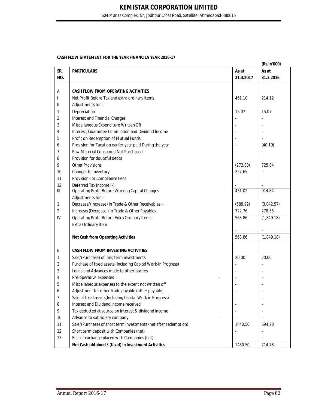604 Manas Complex, Nr, Jodhpur Cross Road, Satellite, Ahmedabad-380015

#### **CASH FLOW STATEMENT FOR THE YEAR FINANCILA YEAR 2016-17**

|     |                                                                  |           | (Rs.In'000) |
|-----|------------------------------------------------------------------|-----------|-------------|
| SR. | <b>PARTICULARS</b>                                               | As at     | As at       |
| NO. |                                                                  | 31.3.2017 | 31.3.2016   |
|     |                                                                  |           |             |
| Α   | <b>CASH FLOW FROM OPERATING ACTIVITIES</b>                       |           |             |
|     | Net Profit Before Tax and extra ordinary items                   | 461.10    | 214.12      |
| Ш   | Adjustments for :-                                               |           |             |
| 1   | Depreciation                                                     | 15.07     | 15.07       |
| 2   | Interest and Financial Charges                                   |           |             |
| 3   | Miscellaneous Expenditure Written Off                            |           |             |
| 4   | Interest, Guarantee Commission and Dividend Income               |           |             |
| 5   | Profit on Redemption of Mutual Funds                             |           |             |
| 6   | Provision for Taxation earlier year paid During the year         |           | (40.19)     |
| 7   | Raw Material Consumed Not Purchased                              |           |             |
| 8   | Provision for doubtful debts                                     |           |             |
| 9   | <b>Other Provisions</b>                                          | (272.80)  | 725.84      |
| 10  | Changes In Inventory                                             | 227.65    |             |
| 11  | Provision For Compliance Fees                                    |           |             |
| 12  | Deferred Tax Income (-)                                          |           |             |
| Ш   | Operating Profit Before Working Capital Changes                  | 431.02    | 914.84      |
|     | Adjustments for :-                                               |           |             |
| 1   | Decrease/(Increase) in Trade & Other Receivables :-              | (589.92)  | (3,042.57)  |
| 2   | Increase/(Decrease) in Trade & Other Payables                    | 722.76    | 278.55      |
| IV  | Operating Profit Before Extra Ordinary Items                     | 563.86    | (1,849.18)  |
|     | Extra Ordinary Item                                              |           |             |
|     |                                                                  |           |             |
|     | <b>Net Cash from Operating Activities</b>                        | 563.86    | (1,849.18)  |
|     |                                                                  |           |             |
| B   | <b>CASH FLOW FROM INVESTING ACTIVITIES</b>                       |           |             |
| 1   | Sale/(Purchase) of long term investments                         | 20.00     | 20.00       |
| 2   | Purchase of fixed assets (including Capital Work-in Progress)    |           |             |
| 3   | Loans and Advances made to other parties                         |           |             |
| 4   | Pre-operative expenses                                           |           |             |
| 5   | Miscellaneous expenses to the extent not written off             |           |             |
| 6   | Adjustment for other trade payable (other payable)               |           |             |
| 7   | Sale of fixed assets (Including Capital Work in Progress)        |           |             |
| 8   | Interest and Dividend income received                            |           |             |
| 9   | Tax deducted at source on interest & dividend income             |           |             |
| 10  | Advance to subsidiary company                                    |           |             |
| 11  | Sale/(Purchase) of short term investments (net after redemption) | 1440.50   | 694.78      |
| 12  | Short term deposit with Companies (net)                          |           |             |
| 13  | Bills of exchange placed with Companies (net)                    |           |             |
|     | Net Cash obtained / (Used) in Investment Activities              | 1460.50   | 714.78      |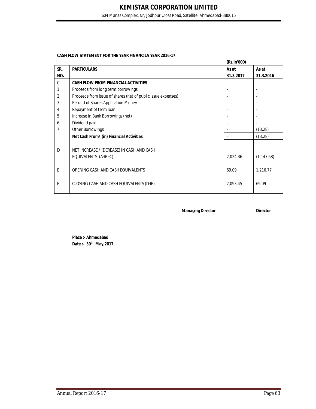604 Manas Complex, Nr, Jodhpur Cross Road, Satellite, Ahmedabad-380015

#### **CASH FLOW STATEMENT FOR THE YEAR FINANCILA YEAR 2016-17**

|     |                                                              | (Rs.In'000) |             |
|-----|--------------------------------------------------------------|-------------|-------------|
| SR. | <b>PARTICULARS</b>                                           | As at       | As at       |
| NO. |                                                              | 31.3.2017   | 31.3.2016   |
| C   | <b>CASH FLOW FROM FINANCIAL ACTIVITIES</b>                   |             |             |
|     | Proceeds from long term borrowings                           |             |             |
| 2   | Proceeds from issue of shares (net of public issue expenses) |             |             |
| 3   | Refund of Shares Application Money                           |             |             |
| 4   | Repayment of term loan                                       |             |             |
| 5   | Increase in Bank Borrowings (net)                            |             |             |
| 6   | Dividend paid                                                |             |             |
|     | <b>Other Borrowings</b>                                      |             | (13.28)     |
|     | Net Cash From/ (in) Financial Activities                     |             | (13.28)     |
|     |                                                              |             |             |
| D   | NET INCREASE / (DCREASE) IN CASH AND CASH                    |             |             |
|     | EQUIVALENTS $(A+B+C)$                                        | 2,024.36    | (1, 147.68) |
|     |                                                              |             |             |
| E   | OPENING CASH AND CASH EQUIVALENTS                            | 69.09       | 1,216.77    |
|     |                                                              |             |             |
| F   | CLOSING CASH AND CASH EQUIVALENTS (D+E)                      | 2,093.45    | 69.09       |
|     |                                                              |             |             |

**Managing Director Director** 

**Place :- Ahmedabad Date :- 30th May,2017**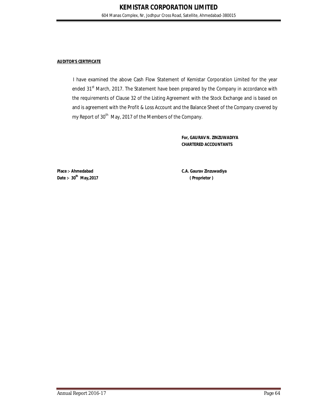#### **AUDITOR'S CERTIFICATE**

I have examined the above Cash Flow Statement of Kemistar Corporation Limited for the year ended 31<sup>st</sup> March, 2017. The Statement have been prepared by the Company in accordance with the requirements of Clause 32 of the Listing Agreement with the Stock Exchange and is based on and is agreement with the Profit & Loss Account and the Balance Sheet of the Company covered by my Report of 30<sup>th</sup> May, 2017 of the Members of the Company.

> **For, GAURAV N. ZINZUWADIYA CHARTERED ACCOUNTANTS**

**Place :- Ahmedabad C.A. Gaurav Zinzuwadiya Date :- 30th May,2017 ( Proprietor )**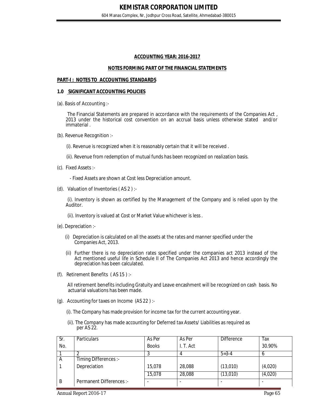#### **ACCOUNTING YEAR: 2016-2017**

#### **NOTES FORMING PART OF THE FINANCIAL STATEMENTS**

#### **PART-I : NOTES TO ACCOUNTING STANDARDS**

#### **1.0 SIGNIFICANT ACCOUNTING POLICIES**

(a). Basis of Accounting :-

 The Financial Statements are prepared in accordance with the requirements of the Companies Act , 2013 under the historical cost convention on an accrual basis unless otherwise stated and/or immaterial .

(b). Revenue Recognition :-

(i). Revenue is recognized when it is reasonably certain that it will be received .

- (ii). Revenue from redemption of mutual funds has been recognized on realization basis.
- (c). Fixed Assets :-

- Fixed Assets are shown at Cost less Depreciation amount.

(d). Valuation of Inventories ( AS 2 ) :-

 (i). Inventory is shown as certified by the Management of the Company and is relied upon by the Auditor.

(ii). Inventory is valued at Cost or Market Value whichever is less .

- (e). Depreciation :-
	- (i) Depreciation is calculated on all the assets at the rates and manner specified under the Companies Act, 2013.
	- (ii) Further there is no depreciation rates specified under the companies act 2013 instead of the Act mentioned useful life in Schedule II of The Companies Act 2013 and hence accordingly the depreciation has been calculated.
- (f). Retirement Benefits ( AS 15 ) :-

 All retirement benefits including Gratuity and Leave encashment will be recognized on cash basis. No actuarial valuations has been made.

- (g). Accounting for taxes on Income (AS 22 ) :-
	- (i). The Company has made provision for income tax for the current accounting year.
	- (ii). The Company has made accounting for Deferred tax Assets/ Liabilities as required as per AS 22.

| Sr. | <b>Particulars</b>       | As Per       | As Per    | <b>Difference</b> | Tax     |
|-----|--------------------------|--------------|-----------|-------------------|---------|
| No. |                          | <b>Books</b> | I. T. Act |                   | 30.90%  |
|     |                          |              |           | $5 = 3 - 4$       | O       |
| A   | Timing Differences :-    |              |           |                   |         |
|     | Depreciation             | 15,078       | 28,088    | (13,010)          | (4,020) |
|     |                          | 15,078       | 28,088    | (13,010)          | (4,020) |
| B   | Permanent Differences :- |              |           |                   |         |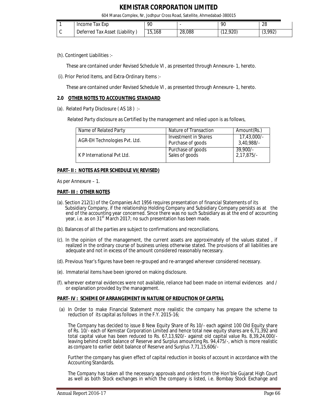604 Manas Complex, Nr, Jodhpur Cross Road, Satellite, Ahmedabad-380015

| Income lax Exp                 | 90     |        | 90           | 28                 |
|--------------------------------|--------|--------|--------------|--------------------|
| Deferred Tax Asset (Liability) | 15,168 | 28,088 | 2,920<br>(10 | (3,992)<br>1 J J J |

(h). Contingent Liabilities :-

These are contained under Revised Schedule VI , as presented through Annexure- 1, hereto.

(i). Prior Period Items, and Extra-Ordinary Items :-

These are contained under Revised Schedule VI , as presented through Annexure- 1, hereto.

#### **2.0 OTHER NOTES TO ACCOUNTING STANDARD**

(a). Related Party Disclosure ( AS 18 ) :-

Related Party disclosure as Certified by the management and relied upon is as follows,

| Name of Related Party         | Nature of Transaction                     | Amount(Rs.)               |
|-------------------------------|-------------------------------------------|---------------------------|
| AGR-EH Technologies Pvt. Ltd. | Investment in Shares<br>Purchase of goods | 17,43,000/-<br>3,40,988/- |
| K P International Pvt Ltd.    | Purchase of goods<br>Sales of goods       | $\frac{39,900}{2,17,875}$ |

#### **PART- II : NOTES AS PER SCHEDULE VI( REVISED)**

As per Annexure – 1.

#### **PART- III : OTHER NOTES**

- (a). Section 212(1) of the Companies Act 1956 requires presentation of financial Statements of its Subsidiary Company, if the relationship Holding Company and Subsidiary Company persists as at the end of the accounting year concerned. Since there was no such Subsidiary as at the end of accounting year, i.e. as on 31<sup>st</sup> March 2017; no such presentation has been made.
- (b). Balances of all the parties are subject to confirmations and reconciliations.
- (c). In the opinion of the management, the current assets are approximately of the values stated , if realized in the ordinary course of business unless otherwise stated. The provisions of all liabilities are adequate and not in excess of the amount considered reasonably necessary.
- (d). Previous Year's figures have been re-grouped and re-arranged wherever considered necessary.
- (e). Immaterial items have been ignored on making disclosure.
- (f). wherever external evidences were not available, reliance had been made on internal evidences and / or explanation provided by the management.

#### **PART- IV : SCHEME OF ARRANGEMENT IN NATURE OF REDUCTION OF CAPITAL**

(a) In Order to make Financial Statement more realistic the company has prepare the scheme to reduction of its capital as follows in the F.Y. 2015-16;

The Company has decided to issue 8 New Equity Share of Rs 10/- each against 100 Old Equity share of Rs. 10/- each of Kemistar Corporation Limited and hence total new equity shares are 6,71,392 and total capital value has been reduced to Rs. 67,13,920/- against old capital value Rs. 8,39,24,000/ leaving behind credit balance of Reserve and Surplus amounting Rs. 94,475/-, which is more realistic as compare to earlier debit balance of Reserve and Surplus 7,71,15,606/-

Further the company has given effect of capital reduction in books of account in accordance with the Accounting Standards.

The Company has taken all the necessary approvals and orders from the Hon'ble Gujarat High Court as well as both Stock exchanges in which the company is listed, i.e. Bombay Stock Exchange and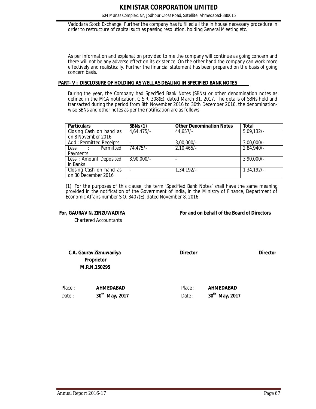604 Manas Complex, Nr, Jodhpur Cross Road, Satellite, Ahmedabad-380015

Vadodara Stock Exchange. Further the company has fulfilled all the in house necessary procedure in order to restructure of capital such as passing resolution, holding General Meeting etc.

As per information and explanation provided to me the company will continue as going concern and there will not be any adverse effect on its existence. On the other hand the company can work more effectively and realistically. Further the financial statement has been prepared on the basis of going concern basis.

#### **PART- V : DISCLOSURE OF HOLDING AS WELL AS DEALING IN SPECIFIED BANK NOTES**

During the year, the Company had Specified Bank Notes (SBNs) or other denomination notes as defined in the MCA notification, G.S.R. 308(E), dated March 31, 2017. The details of SBNs held and transacted during the period from 8th November 2016 to 30th December 2016, the denominationwise SBNs and other notes as per the notification are as follows:

| <b>Particulars</b>      | $\overline{\text{SBNs}}(1)$ | <b>Other Denomination Notes</b> | <b>Total</b>  |
|-------------------------|-----------------------------|---------------------------------|---------------|
| Closing Cash on hand as | 4,64,475/                   | 44.657/-                        | 5,09,132/     |
| on 8 November 2016      |                             |                                 |               |
| Add: Permitted Receipts |                             | $3,00,000/$ -                   | $3,00,000/$ - |
| Less : Permitted        | $74,475/-$                  | $2,10,465/-$                    | 2,84,940/-    |
| Payments                |                             |                                 |               |
| Less: Amount Deposited  | $3,90,000/$ -               |                                 | $3,90,000/$ - |
| in Banks                |                             |                                 |               |
| Closing Cash on hand as |                             | $1,34,192/-$                    | $1,34,192/-$  |
| on 30 December 2016     |                             |                                 |               |

(1). For the purposes of this clause, the term 'Specified Bank Notes' shall have the same meaning provided in the notification of the Government of India, in the Ministry of Finance, Department of Economic Affairs number S.O. 3407(E), dated November 8, 2016.

**For, GAURAV N. ZINZUWADIYA For and on behalf of the Board of Directors** 

Chartered Accountants

**C.A. Gaurav Ziznuwadiya Director Director Director Director Director Proprietor M.R.N.150295**

 Place : **AHMEDABAD** Place : **AHMEDABAD**  Date : **30th May, 2017** Date : **30th**

 **May, 2017**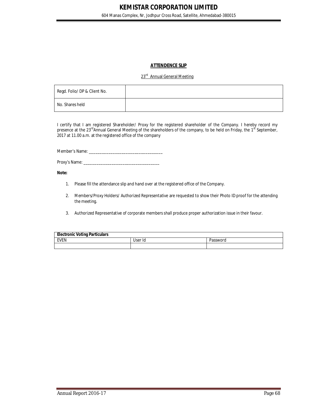#### **ATTENDENCE SLIP**

#### 23<sup>rd</sup> Annual General Meeting

| Regd. Folio/ DP & Client No. |  |
|------------------------------|--|
| No. Shares held              |  |

I certify that I am registered Shareholder/ Proxy for the registered shareholder of the Company. I hereby record my presence at the 23<sup>rd</sup>Annual General Meeting of the shareholders of the company, to be held on Friday, the 1<sup>st</sup> September, 2017 at 11.00 a.m. at the registered office of the company

Member's Name:

Proxy's Name: \_\_\_\_\_\_\_\_\_\_\_\_\_\_\_\_\_\_\_\_\_\_\_\_\_\_\_\_\_\_\_\_\_\_\_

#### **Note:**

- 1. Please fill the attendance slip and hand over at the registered office of the Company.
- 2. Members/Proxy Holders/ Authorized Representative are requested to show their Photo ID proof for the attending the meeting.
- 3. Authorized Representative of corporate members shall produce proper authorization issue in their favour.

| <b>Electronic Voting Particulars</b> |         |          |  |  |
|--------------------------------------|---------|----------|--|--|
| EVEN                                 | User Id | Password |  |  |
|                                      |         |          |  |  |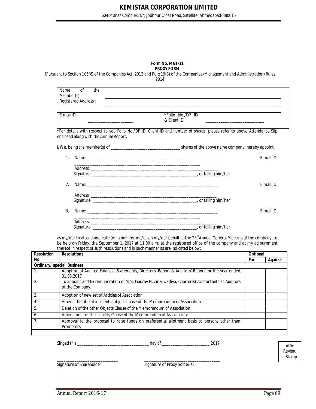604 Manas Complex, Nr, Jodhpur Cross Road, Satellite, Ahmedabad-380015

#### **Form No. MGT-11 PROXY FORM**

[Pursuant to Section 105(6) of the Companies Act, 2013 and Rule 19(3) of the Companies (Management and Administration) Rules, 2014]

| Name<br>$Member(s)$ :                  | $\Omega$<br>Registered Address: | the | the control of the control of the control of the control of the control of the control of the control of the control of the control of the control of the control of the control of the control of the control of the control |            |
|----------------------------------------|---------------------------------|-----|-------------------------------------------------------------------------------------------------------------------------------------------------------------------------------------------------------------------------------|------------|
| F-mail ID:                             |                                 |     | *Folio No./DP ID<br>& Client ID:                                                                                                                                                                                              |            |
| enclosed along with the Annual Report. |                                 |     | *For details with respect to you Folio No./DP ID, Client ID and number of shares, please refer to above Attendance Slip                                                                                                       |            |
|                                        |                                 |     |                                                                                                                                                                                                                               |            |
| 1.                                     |                                 |     |                                                                                                                                                                                                                               | E-mail ID: |
|                                        |                                 |     | <u> 1989 - Johann John Stone, Amerikaansk politiker (* 1905)</u>                                                                                                                                                              |            |
| 2.                                     |                                 |     |                                                                                                                                                                                                                               | E-mail ID: |
|                                        |                                 |     |                                                                                                                                                                                                                               |            |
| 3.                                     |                                 |     |                                                                                                                                                                                                                               | E-mail ID: |
|                                        |                                 |     | <u> 1989 - Johann Harry Harry Harry Harry Harry Harry Harry Harry Harry Harry Harry Harry Harry Harry Harry Harry</u>                                                                                                         |            |
|                                        |                                 |     |                                                                                                                                                                                                                               |            |

as my/our to attend and vote (on a poll) for me/us on my/our behalf at the 23<sup>rd</sup>Annual General Meeting of the company, to be held on Friday, the September 1, 2017 at 11.00 a.m. at the registered office of the company and at my adjournment thereof in respect of such resolutions and in such manner as are indicated below:

| <b>Resolution</b>                 | <b>Resolutions</b>                                                                                                  |     | Optional |  |  |
|-----------------------------------|---------------------------------------------------------------------------------------------------------------------|-----|----------|--|--|
| No.                               |                                                                                                                     | For | Against  |  |  |
| <b>Ordinary/ special Business</b> |                                                                                                                     |     |          |  |  |
| 1.                                | Adoption of Audited Financial Statements, Directors' Report & Auditors' Report for the year ended<br>31.03.2017     |     |          |  |  |
| 2.                                | To appoint and fix remuneration of M/s. Gaurav N. Zinzuwadiya, Chartered Accountants as Auditors<br>of the Company. |     |          |  |  |
| 3.                                | Adoption of new set of Articles of Association                                                                      |     |          |  |  |
| 4.                                | Amend the title of incidental object clause of the Memorandum of Association                                        |     |          |  |  |
| 5.                                | Deletion of the other Objects Clause of the Memorandum of Association                                               |     |          |  |  |
| 6.                                | Amendment of the Liability Clause of the Memorandum of Association:                                                 |     |          |  |  |
| 7 <sub>1</sub>                    | Approval to the proposal to raise funds on preferential allotment basis to persons other than<br>Promoters          |     |          |  |  |
|                                   |                                                                                                                     |     |          |  |  |

Singed this \_\_\_\_\_\_\_\_\_\_\_\_\_\_\_\_\_\_\_\_\_\_\_\_\_\_\_\_\_\_\_\_\_ day of \_\_\_\_\_\_\_\_\_\_\_\_\_\_\_\_\_\_\_\_\_\_ 2017.

Affix Revenu e Stamp

Signature of Shareholder Signature of Proxy holder(s)

\_\_\_\_\_\_\_\_\_\_\_\_\_\_\_\_\_\_\_\_\_\_\_\_\_\_\_\_ \_\_\_\_\_\_\_\_\_\_\_\_\_\_\_\_\_\_\_\_\_\_\_\_\_\_\_\_\_\_\_\_\_\_\_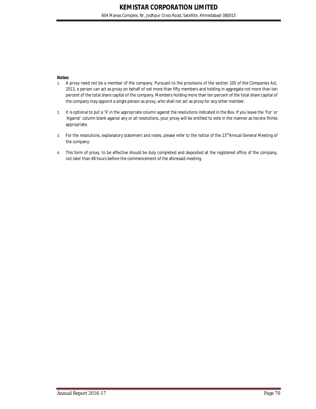#### **Notes:**

- 1. A proxy need not be a member of the company. Pursuant to the provisions of the section 105 of the Companies Act, 2013, a person can act as proxy on behalf of not more than fifty members and holding in aggregate not more than ten percent of the total share capital of the company. Members holding more than ten percent of the total share capital of the company may appoint a single person as proxy, who shall not act as proxy for any other member.
- 2. It is optional to put a 'X' in the appropriate column against the resolutions indicated in the Box. If you leave the 'For' or 'Against' column blank against any or all resolutions, your proxy will be entitled to vote in the manner as he/she thinks appropriate.
- 3. For the resolutions, explanatory statement and notes, please refer to the notice of the 23<sup>rd</sup>Annual General Meeting of the company.
- 4. This form of proxy, to be effective should be duly completed and deposited at the registered office of the company, not later than 48 hours before the commencement of the aforesaid meeting.